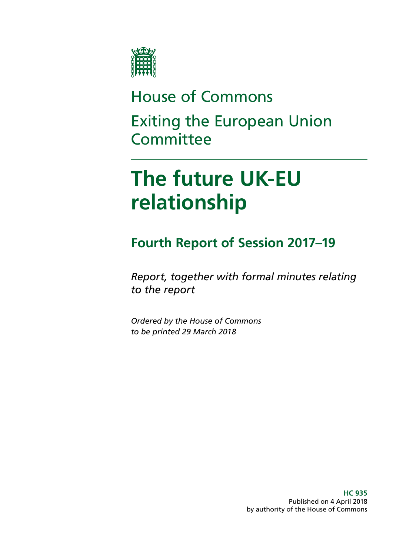

# House of Commons Exiting the European Union **Committee**

# **The future UK-EU relationship**

# **Fourth Report of Session 2017–19**

*Report, together with formal minutes relating to the report*

*Ordered by the House of Commons to be printed 29 March 2018*

> **HC 935** Published on 4 April 2018 by authority of the House of Commons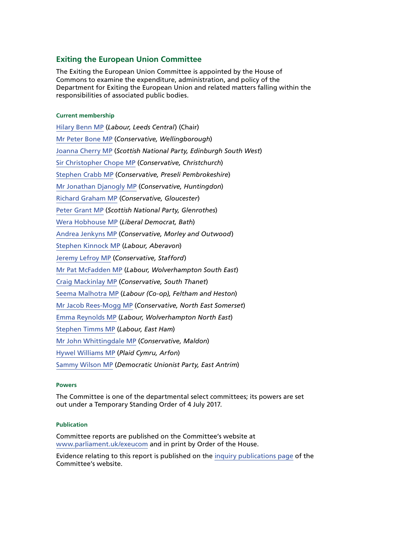#### **Exiting the European Union Committee**

The Exiting the European Union Committee is appointed by the House of Commons to examine the expenditure, administration, and policy of the Department for Exiting the European Union and related matters falling within the responsibilities of associated public bodies.

#### **Current membership**

[Hilary Benn MP](http://www.parliament.uk/biographies/commons/hilary-benn/413) (*Labour, Leeds Central*) (Chair) [Mr Peter Bone MP](http://www.parliament.uk/biographies/commons/mr-peter-bone/1581) (*Conservative, Wellingborough*) [Joanna Cherry MP](http://www.parliament.uk/biographies/commons/joanna-cherry/4419) (*Scottish National Party, Edinburgh South West*) [Sir Christopher Chope MP](http://www.parliament.uk/biographies/commons/mr-christopher-chope/242) (*Conservative, Christchurch*) [Stephen Crabb MP](http://www.parliament.uk/biographies/commons/stephen-crabb/1554) (*Conservative, Preseli Pembrokeshire*) [Mr Jonathan Djanogly MP](http://www.parliament.uk/biographies/commons/mr-jonathan-djanogly/1425) (*Conservative, Huntingdon*) [Richard Graham MP](http://www.parliament.uk/biographies/commons/richard-graham/3990) (*Conservative, Gloucester*) [Peter Grant MP](http://www.parliament.uk/biographies/commons/peter-grant/4466) (*Scottish National Party, Glenrothes*) [Wera Hobhouse MP](http://www.parliament.uk/biographies/commons/wera-hobhouse/4602) (*Liberal Democrat, Bath*) [Andrea Jenkyns MP](http://www.parliament.uk/biographies/commons/andrea-jenkyns/4490) (*Conservative, Morley and Outwood*) [Stephen Kinnock MP](http://www.parliament.uk/biographies/commons/stephen-kinnock/4359) (*Labour, Aberavon*) [Jeremy Lefroy MP](http://www.parliament.uk/biographies/commons/jeremy-lefroy/4109) (*Conservative, Stafford*) [Mr Pat McFadden MP](http://www.parliament.uk/biographies/commons/mr-pat-mcfadden/1587) (*Labour, Wolverhampton South East*) [Craig Mackinlay MP](http://www.parliament.uk/biographies/commons/craig-mackinlay/4529) (*Conservative, South Thanet*) [Seema Malhotra MP](http://www.parliament.uk/biographies/commons/seema-malhotra/4253) (*Labour (Co-op), Feltham and Heston*) [Mr Jacob Rees-Mogg MP](http://www.parliament.uk/biographies/commons/mr-jacob-rees-mogg/4099) (*Conservative, North East Somerset*) [Emma Reynolds MP](http://www.parliament.uk/biographies/commons/emma-reynolds/4077) (*Labour, Wolverhampton North East*) [Stephen Timms MP](http://www.parliament.uk/biographies/commons/stephen-timms/163) (*Labour, East Ham*) [Mr John Whittingdale MP](http://www.parliament.uk/biographies/commons/mr-john-whittingdale/39) (*Conservative, Maldon*) [Hywel Williams MP](http://www.parliament.uk/biographies/commons/hywel-williams/1397) (*Plaid Cymru, Arfon*) [Sammy Wilson MP](http://www.parliament.uk/biographies/commons/sammy-wilson/1593) (*Democratic Unionist Party, East Antrim*)

#### **Powers**

The Committee is one of the departmental select committees; its powers are set out under a Temporary Standing Order of 4 July 2017.

#### **Publication**

Committee reports are published on the Committee's website at [www.parliament.uk/exeucom](http://www.parliament.uk/exeucom) and in print by Order of the House.

Evidence relating to this report is published on the [inquiry publications page](https://www.parliament.uk/business/committees/committees-a-z/commons-select/exiting-the-european-union-committee/inquiries/parliament-2017/progress-uk-negotiations-eu-withdrawal-17-19/publications/) of the Committee's website.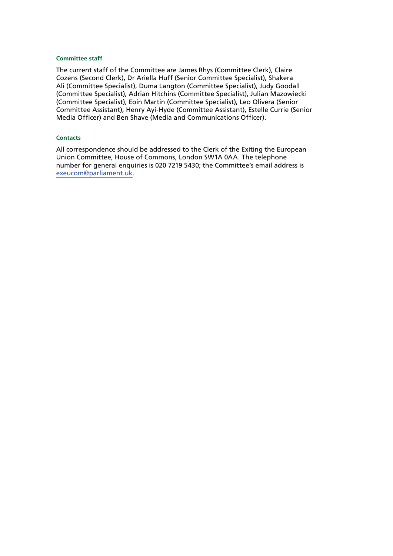#### **Committee staff**

The current staff of the Committee are James Rhys (Committee Clerk), Claire Cozens (Second Clerk), Dr Ariella Huff (Senior Committee Specialist), Shakera Ali (Committee Specialist), Duma Langton (Committee Specialist), Judy Goodall (Committee Specialist), Adrian Hitchins (Committee Specialist), Julian Mazowiecki (Committee Specialist), Eoin Martin (Committee Specialist), Leo Olivera (Senior Committee Assistant), Henry Ayi-Hyde (Committee Assistant), Estelle Currie (Senior Media Officer) and Ben Shave (Media and Communications Officer).

#### **Contacts**

All correspondence should be addressed to the Clerk of the Exiting the European Union Committee, House of Commons, London SW1A 0AA. The telephone number for general enquiries is 020 7219 5430; the Committee's email address is [exeucom@parliament.uk.](mailto:exeucom%40parliament.uk?subject=)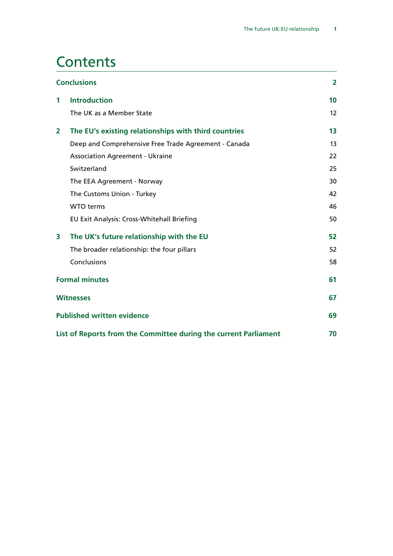# **Contents**

| <b>Conclusions</b>                                               |                                                      | $\overline{2}$ |
|------------------------------------------------------------------|------------------------------------------------------|----------------|
| 1                                                                | <b>Introduction</b>                                  | 10             |
|                                                                  | The UK as a Member State                             | 12             |
| $\overline{2}$                                                   | The EU's existing relationships with third countries | 13             |
|                                                                  | Deep and Comprehensive Free Trade Agreement - Canada | 13             |
|                                                                  | <b>Association Agreement - Ukraine</b>               | 22             |
|                                                                  | Switzerland                                          | 25             |
|                                                                  | The EEA Agreement - Norway                           | 30             |
|                                                                  | The Customs Union - Turkey                           | 42             |
|                                                                  | <b>WTO</b> terms                                     | 46             |
|                                                                  | EU Exit Analysis: Cross-Whitehall Briefing           | 50             |
| 3                                                                | The UK's future relationship with the EU             | 52             |
|                                                                  | The broader relationship: the four pillars           | 52             |
|                                                                  | Conclusions                                          | 58             |
| <b>Formal minutes</b>                                            |                                                      | 61             |
| <b>Witnesses</b>                                                 |                                                      | 67             |
| <b>Published written evidence</b>                                |                                                      | 69             |
| List of Reports from the Committee during the current Parliament |                                                      | 70             |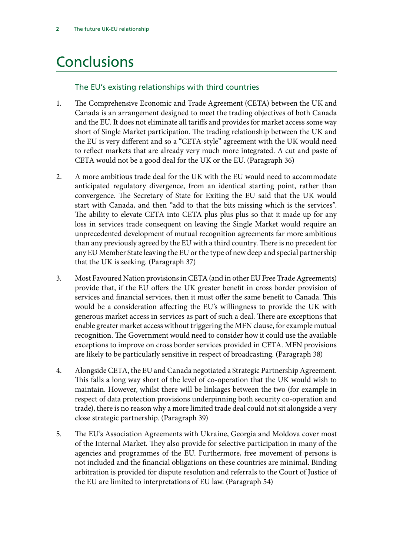# <span id="page-5-0"></span>Conclusions

### The EU's existing relationships with third countries

- 1. [The Comprehensive Economic and Trade Agreement \(CETA\) between the UK and](#page-24-0) [Canada is an arrangement designed to meet the trading objectives of both Canada](#page-24-0) [and the EU. It does not eliminate all tariffs and provides for market access some way](#page-24-0) [short of Single Market participation. The trading relationship between the UK and](#page-24-0) [the EU is very different and so a "CETA-style" agreement with the UK would need](#page-24-0) [to reflect markets that are already very much more integrated. A cut and paste of](#page-24-0) [CETA would not be a good deal for the UK or the EU.](#page-24-0) (Paragraph 36)
- 2. [A more ambitious trade deal for the UK with the EU would need to accommodate](#page-24-1) [anticipated regulatory divergence, from an identical starting point, rather than](#page-24-1) [convergence. The Secretary of State for Exiting the EU said that the UK would](#page-24-1) [start with Canada, and then "add to that the bits missing which is the services".](#page-24-1) [The ability to elevate CETA into CETA plus plus plus so that it made up for any](#page-24-1) [loss in services trade consequent on leaving the Single Market would require an](#page-24-1) [unprecedented development of mutual recognition agreements far more ambitious](#page-24-1) [than any previously agreed by the EU with a third country.](#page-24-1) There is no precedent for any EU Member State leaving the EU or the type of new deep and special partnership that the UK is seeking. (Paragraph 37)
- 3. [Most Favoured Nation provisions in CETA \(and in other EU Free Trade Agreements\)](#page-24-2) [provide that, if the EU offers the UK greater benefit in cross border provision of](#page-24-2) [services and financial services, then it must offer the same benefit to Canada. This](#page-24-2) [would be a consideration affecting the EU's willingness to provide the UK with](#page-24-2) [generous market access in services as part of such a deal. There are exceptions that](#page-24-2) [enable greater market access without triggering the MFN clause, for example mutual](#page-24-2) [recognition. The Government would need to consider how it could use the available](#page-24-2) [exceptions to improve on cross border services provided in CETA. MFN provisions](#page-24-2) [are likely to be particularly sensitive in respect of broadcasting.](#page-24-2) (Paragraph 38)
- 4. [Alongside CETA, the EU and Canada negotiated a Strategic Partnership Agreement.](#page-24-3) [This falls a long way short of the level of co-operation that the UK would wish to](#page-24-3) [maintain. However, whilst there will be linkages between the two \(for example in](#page-24-3) [respect of data protection provisions underpinning both security co-operation and](#page-24-3) [trade\), there is no reason why a more limited trade deal could not sit alongside a very](#page-24-3) [close strategic partnership.](#page-24-3) (Paragraph 39)
- 5. [The EU's Association Agreements with Ukraine, Georgia and Moldova cover most](#page-28-1) [of the Internal Market. They also provide for selective participation in many of the](#page-28-1) [agencies and programmes of the EU. Furthermore, free movement of persons is](#page-28-1) [not included and the financial obligations on these countries are minimal. Binding](#page-28-1) [arbitration is provided for dispute resolution and referrals to the Court of Justice of](#page-28-1) [the EU are limited to interpretations of EU law.](#page-28-1) (Paragraph 54)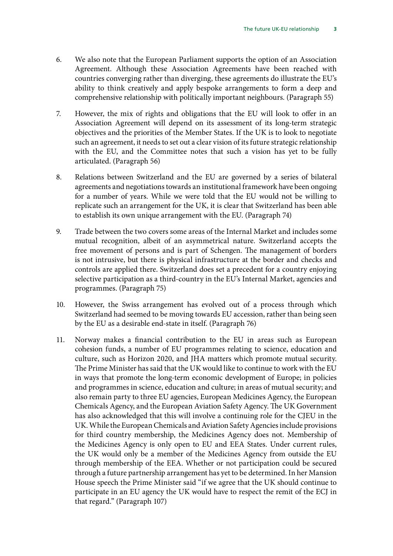- 6. [We also note that the European Parliament supports the option of an Association](#page-28-2) [Agreement. Although these Association Agreements have been reached with](#page-28-2) [countries converging rather than diverging, these agreements do illustrate the EU's](#page-28-2) [ability to think creatively and apply bespoke arrangements to form a deep and](#page-28-2) [comprehensive relationship with politically important neighbours.](#page-28-2) (Paragraph 55)
- 7. [However, the mix of rights and obligations that the EU will look to offer in an](#page-28-3) [Association Agreement will depend on its assessment of its long-term strategic](#page-28-3) [objectives and the priorities of the Member States. If the UK is to look to negotiate](#page-28-3) [such an agreement, it needs to set out a clear vision of its future strategic relationship](#page-28-3) [with the EU, and the Committee notes that such a vision has yet to be fully](#page-28-3) [articulated.](#page-28-3) (Paragraph 56)
- 8. [Relations between Switzerland and the EU are governed by a series of bilateral](#page-32-0) [agreements and negotiations towards an institutional framework have been ongoing](#page-32-0) [for a number of years. While we were told that the EU would not be willing to](#page-32-0) [replicate such an arrangement for the UK, it is clear that Switzerland has been able](#page-32-0) [to establish its own unique arrangement with the EU.](#page-32-0) (Paragraph 74)
- 9. [Trade between the two covers some areas of the Internal Market and includes some](#page-33-1) [mutual recognition, albeit of an asymmetrical nature. Switzerland accepts the](#page-33-1) [free movement of persons and is part of Schengen. The management of borders](#page-33-1) [is not intrusive, but there is physical infrastructure at the border and checks and](#page-33-1) [controls are applied there. Switzerland does set a precedent for a country enjoying](#page-33-1) [selective participation as a third-country in the EU's Internal Market, agencies and](#page-33-1) [programmes.](#page-33-1) (Paragraph 75)
- 10. [However, the Swiss arrangement has evolved out of a process through which](#page-33-2) [Switzerland had seemed to be moving towards EU accession, rather than being seen](#page-33-2) [by the EU as a desirable end-state in itself.](#page-33-2) (Paragraph 76)
- 11. [Norway makes a financial contribution to the EU in areas such as European](#page-44-0) [cohesion funds, a number of EU programmes relating to science, education and](#page-44-0) [culture, such as Horizon 2020, and JHA matters which promote mutual security.](#page-44-0) [The Prime Minister has said that the UK would like to continue to work with the EU](#page-44-0) [in ways that promote the long-term economic development of Europe; in policies](#page-44-0) [and programmes in science, education and culture; in areas of mutual security; and](#page-44-0) [also remain party to three EU agencies, European Medicines Agency, the European](#page-44-0) [Chemicals Agency, and the European Aviation Safety Agency. The UK Government](#page-44-0) [has also acknowledged that this will involve a continuing role for the CJEU in the](#page-44-0) [UK. While the European Chemicals and Aviation Safety Agencies include provisions](#page-44-0) [for third country membership, the Medicines Agency does not. Membership of](#page-44-0) [the Medicines Agency is only open to EU and EEA States. Under current rules,](#page-44-0) [the UK would only be a member of the Medicines Agency from outside the EU](#page-44-0) [through membership of the EEA. Whether or not participation could be secured](#page-44-0) [through a future partnership arrangement has yet to be determined. In her Mansion](#page-44-0) [House speech the Prime Minister said "if we agree that the UK should continue to](#page-44-0) [participate in an EU agency the UK would have to respect the remit of the ECJ in](#page-44-0) [that regard."](#page-44-0) (Paragraph 107)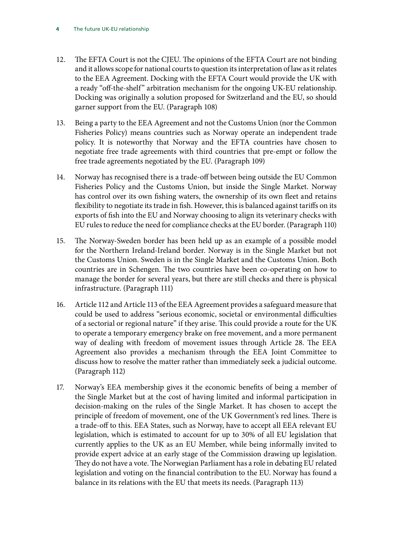- 12. [The EFTA Court is not the CJEU. The opinions of the EFTA Court are not binding](#page-44-1) [and it allows scope for national courts to question its interpretation of law as it relates](#page-44-1) [to the EEA Agreement. Docking with the EFTA Court would provide the UK with](#page-44-1) [a ready "off-the-shelf" arbitration mechanism for the ongoing UK-EU relationship.](#page-44-1) [Docking was originally a solution proposed for Switzerland and the EU, so should](#page-44-1) [garner support from the EU.](#page-44-1) (Paragraph 108)
- 13. [Being a party to the EEA Agreement and not the Customs Union \(nor the Common](#page-44-2) [Fisheries Policy\) means countries such as Norway operate an independent trade](#page-44-2) [policy. It is noteworthy that Norway and the EFTA countries have chosen to](#page-44-2) [negotiate free trade agreements with third countries that pre-empt or follow the](#page-44-2) [free trade agreements negotiated by the EU.](#page-44-2) (Paragraph 109)
- 14. [Norway has recognised there is a trade-off between being outside the EU Common](#page-45-1) [Fisheries Policy and the Customs Union, but inside the Single Market. Norway](#page-45-1) [has control over its own fishing waters, the ownership of its own fleet and retains](#page-45-1) [flexibility to negotiate its trade in fish. However, this is balanced against tariffs on its](#page-45-1) [exports of fish into the EU and Norway choosing to align its veterinary checks with](#page-45-1) [EU rules to reduce the need for compliance checks at the EU border.](#page-45-1) (Paragraph 110)
- 15. [The Norway-Sweden border has been held up as an example of a possible model](#page-45-2) [for the Northern Ireland-Ireland border. Norway is in the Single Market but not](#page-45-2) [the Customs Union. Sweden is in the Single Market and the Customs Union. Both](#page-45-2) [countries are in Schengen. The two countries have been co-operating on how to](#page-45-2) [manage the border for several years, but there are still checks and there is physical](#page-45-2) [infrastructure.](#page-45-2) (Paragraph 111)
- 16. [Article 112 and Article 113 of the EEA Agreement provides a safeguard measure that](#page-45-3) [could be used to address "serious economic, societal or environmental difficulties](#page-45-3) [of a sectorial or regional nature" if they arise. This could provide a route for the UK](#page-45-3) [to operate a temporary emergency brake on free movement, and a more permanent](#page-45-3) [way of dealing with freedom of movement issues through Article 28. The EEA](#page-45-3) [Agreement also provides a mechanism through the EEA Joint Committee to](#page-45-3) [discuss how to resolve the matter rather than immediately seek a judicial outcome.](#page-45-3) (Paragraph 112)
- 17. [Norway's EEA membership gives it the economic benefits of being a member of](#page-45-4) [the Single Market but at the cost of having limited and informal participation in](#page-45-4) [decision-making on the rules of the Single Market. It has chosen to accept the](#page-45-4) [principle of freedom of movement, one of the UK Government's red lines. There is](#page-45-4) [a trade-off to this. EEA States, such as Norway, have to accept all EEA relevant EU](#page-45-4) [legislation, which is estimated to account for up to 30% of all EU legislation that](#page-45-4) [currently applies to the UK as an EU Member, while being informally invited to](#page-45-4) [provide expert advice at an early stage of the Commission drawing up legislation.](#page-45-4) [They do not have a vote. The Norwegian Parliament has a role in debating EU related](#page-45-4) [legislation and voting on the financial contribution to the EU. Norway has found a](#page-45-4) [balance in its relations with the EU that meets its needs.](#page-45-4) (Paragraph 113)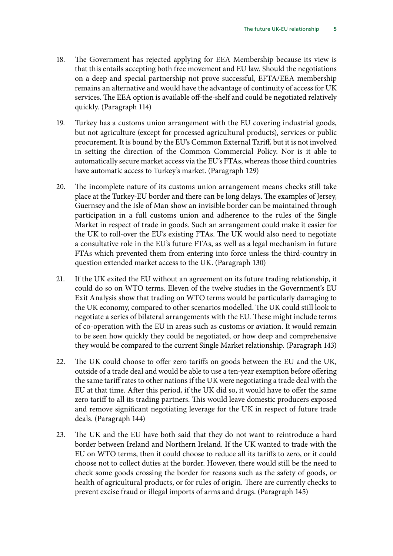- 18. [The Government has rejected applying for EEA Membership because its view is](#page-45-5) [that this entails accepting both free movement and EU law. Should the negotiations](#page-45-5) [on a deep and special partnership not prove successful, EFTA/EEA membership](#page-45-5) [remains an alternative and would have the advantage of continuity of access for UK](#page-45-5) [services. The EEA option is available off-the-shelf and could be negotiated relatively](#page-45-5) [quickly.](#page-45-5) (Paragraph 114)
- 19. [Turkey has a customs union arrangement with the EU covering industrial goods,](#page-49-1) [but not agriculture \(except for processed agricultural products\), services or public](#page-49-1) [procurement. It is bound by the EU's Common External Tariff, but it is not involved](#page-49-1) [in setting the direction of the Common Commercial Policy. Nor is it able to](#page-49-1) [automatically secure market access via the EU's FTAs, whereas those third countries](#page-49-1) [have automatic access to Turkey's market.](#page-49-1) (Paragraph 129)
- 20. [The incomplete nature of its customs union arrangement means checks still take](#page-49-2) [place at the Turkey-EU border and there can be long delays. The examples of Jersey,](#page-49-2) [Guernsey and the Isle of Man show an invisible border can be maintained through](#page-49-2) [participation in a full customs union and adherence to the rules of the Single](#page-49-2) [Market in respect of trade in goods. Such an arrangement could make it easier for](#page-49-2) [the UK to roll-over the EU's existing FTAs. The UK would also need to negotiate](#page-49-2) [a consultative role in the EU's future FTAs, as well as a legal mechanism in future](#page-49-2) [FTAs which prevented them from entering into force unless the third-country in](#page-49-2) [question extended market access to the UK.](#page-49-2) (Paragraph 130)
- 21. [If the UK exited the EU without an agreement on its future trading relationship, it](#page-52-0) [could do so on WTO terms. Eleven of the twelve studies in the Government's EU](#page-52-0) [Exit Analysis show that trading on WTO terms would be particularly damaging to](#page-52-0) [the UK economy, compared to other scenarios modelled. The UK could still look to](#page-52-0) [negotiate a series of bilateral arrangements with the EU. These might include terms](#page-52-0) [of co-operation with the EU in areas such as customs or aviation. It would remain](#page-52-0) [to be seen how quickly they could be negotiated, or how deep and comprehensive](#page-52-0) [they would be compared to the current Single Market relationship.](#page-52-0) (Paragraph 143)
- 22. [The UK could choose to offer zero tariffs on goods between the EU and the UK,](#page-52-1) [outside of a trade deal and would be able to use a ten-year exemption before offering](#page-52-1) [the same tariff rates to other nations if the UK were negotiating a trade deal with the](#page-52-1) [EU at that time. After this period, if the UK did so, it would have to offer the same](#page-52-1) [zero tariff to all its trading partners. This would leave domestic producers exposed](#page-52-1) [and remove significant negotiating leverage for the UK in respect of future trade](#page-52-1) [deals.](#page-52-1) (Paragraph 144)
- 23. [The UK and the EU have both said that they do not want to reintroduce a hard](#page-52-2) [border between Ireland and Northern Ireland. If the UK wanted to trade with the](#page-52-2) [EU on WTO terms, then it could choose to reduce all its tariffs to zero, or it could](#page-52-2) [choose not to collect duties at the border. However, there would still be the need to](#page-52-2) [check some goods crossing the border for reasons such as the safety of goods, or](#page-52-2) [health of agricultural products, or for rules of origin. There are currently checks to](#page-52-2) [prevent excise fraud or illegal imports of arms and drugs.](#page-52-2) (Paragraph 145)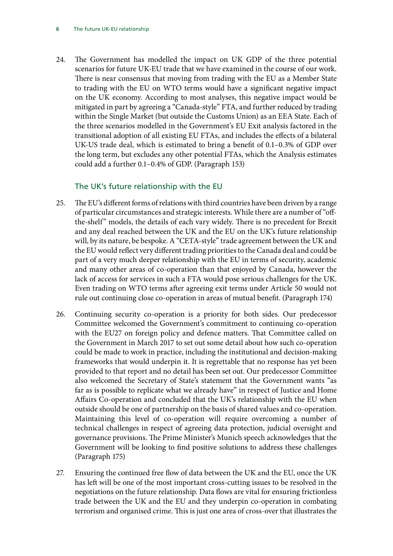24. [The Government has modelled the impact on UK GDP of the three potential](#page-54-0) [scenarios for future UK-EU trade that we have examined in the course of our work.](#page-54-0) [There is near consensus that moving from trading with the EU as a Member State](#page-54-0) [to trading with the EU on WTO terms would have a significant negative impact](#page-54-0) [on the UK economy. According to most analyses, this negative impact would be](#page-54-0) [mitigated in part by agreeing a "Canada-style" FTA, and further reduced by trading](#page-54-0) [within the Single Market \(but outside the Customs Union\) as an EEA State. Each of](#page-54-0) [the three scenarios modelled in the Government's EU Exit analysis factored in the](#page-54-0) [transitional adoption of all existing EU FTAs, and includes the effects of a bilateral](#page-54-0) [UK-US trade deal, which is estimated to bring a benefit of 0.1–0.3% of GDP over](#page-54-0) [the long term, but excludes any other potential FTAs, which the Analysis estimates](#page-54-0) [could add a further 0.1–0.4% of GDP.](#page-54-0) (Paragraph 153)

#### The UK's future relationship with the EU

- 25. [The EU's different forms of relations with third countries have been driven by a range](#page-61-1) [of particular circumstances and strategic interests. While there are a number of "off](#page-61-1)[the-shelf" models, the details of each vary widely. There is no precedent for Brexit](#page-61-1) [and any deal reached between the UK and the EU on the UK's future relationship](#page-61-1) [will, by its nature, be bespoke. A "CETA-style" trade agreement between the UK and](#page-61-1) [the EU would reflect very different trading priorities to the Canada deal and could be](#page-61-1) [part of a very much deeper relationship with the EU in terms of security, academic](#page-61-1) [and many other areas of co-operation than that enjoyed by Canada, however the](#page-61-1) [lack of access for services in such a FTA would pose serious challenges for the UK.](#page-61-1) [Even trading on WTO terms after agreeing exit terms under Article 50 would not](#page-61-1) [rule out continuing close co-operation in areas of mutual benefit.](#page-61-1) (Paragraph 174)
- 26. [Continuing security co-operation is a priority for both sides. Our predecessor](#page-61-2) [Committee welcomed the Government's commitment to continuing co-operation](#page-61-2) [with the EU27 on foreign policy and defence matters. That Committee called on](#page-61-2) [the Government in March 2017 to set out some detail about how such co-operation](#page-61-2) [could be made to work in practice, including the institutional and decision-making](#page-61-2) [frameworks that would underpin it. It is regrettable that no response has yet been](#page-61-2) [provided to that report and no detail has been set out. Our predecessor Committee](#page-61-2) [also welcomed the Secretary of State's statement that the Government wants "as](#page-61-2) [far as is possible to replicate what we already have" in respect of Justice and Home](#page-61-2) [Affairs Co-operation and concluded that the UK's relationship with the EU when](#page-61-2) [outside should be one of partnership on the basis of shared values and co-operation.](#page-61-2) [Maintaining this level of co-operation will require overcoming a number of](#page-61-2) [technical challenges in respect of agreeing data protection, judicial oversight and](#page-61-2) [governance provisions. The Prime Minister's Munich speech acknowledges that the](#page-61-2) [Government will be looking to find positive solutions to address these challenges](#page-61-2) (Paragraph 175)
- 27. [Ensuring the continued free flow of data between the UK and the EU, once the UK](#page-61-3) [has left will be one of the most important cross-cutting issues to be resolved in the](#page-61-3) [negotiations on the future relationship. Data flows are vital for ensuring frictionless](#page-61-3) [trade between the UK and the EU and they underpin co-operation in combating](#page-61-3) [terrorism and organised crime. This is just one area of cross-over that illustrates the](#page-61-3)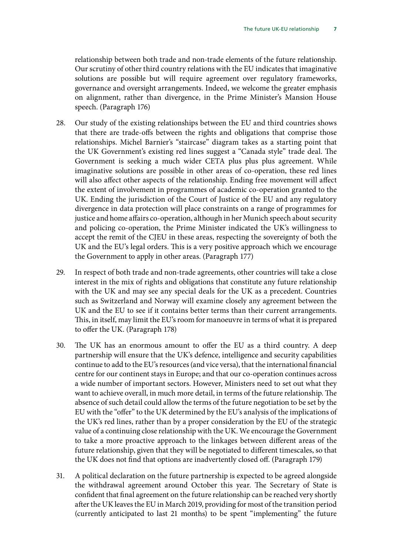[relationship between both trade and non-trade elements of the future relationship.](#page-61-3) [Our scrutiny of other third country relations with the EU indicates that imaginative](#page-61-3) [solutions are possible but will require agreement over regulatory frameworks,](#page-61-3) [governance and oversight arrangements. Indeed, we welcome the greater emphasis](#page-61-3) [on alignment, rather than divergence, in the Prime Minister's Mansion House](#page-61-3) [speech.](#page-61-3) (Paragraph 176)

- 28. [Our study of the existing relationships between the EU and third countries shows](#page-61-4) [that there are trade-offs between the rights and obligations that comprise those](#page-61-4) [relationships. Michel Barnier's "staircase" diagram takes as a starting point that](#page-61-4) [the UK Government's existing red lines suggest a "Canada style" trade deal. The](#page-61-4) [Government is seeking a much wider CETA plus plus plus agreement. While](#page-61-4) [imaginative solutions are possible in other areas of co-operation, these red lines](#page-61-4) [will also affect other aspects of the relationship. Ending free movement will affect](#page-61-4) [the extent of involvement in programmes of academic co-operation granted to the](#page-61-4) [UK. Ending the jurisdiction of the Court of Justice of the EU and any regulatory](#page-61-4) [divergence in data protection will place constraints on a range of programmes for](#page-61-4) [justice and home affairs co-operation, although in her Munich speech about security](#page-61-4) [and policing co-operation, the Prime Minister indicated the UK's willingness to](#page-61-4) [accept the remit of the CJEU in these areas, respecting the sovereignty of both the](#page-61-4) [UK and the EU's legal orders. This is a very positive approach which we encourage](#page-61-4) [the Government to apply in other areas.](#page-61-4) (Paragraph 177)
- 29. [In respect of both trade and non-trade agreements, other countries will take a close](#page-62-0) [interest in the mix of rights and obligations that constitute any future relationship](#page-62-0) [with the UK and may see any special deals for the UK as a precedent. Countries](#page-62-0) [such as Switzerland and Norway will examine closely any agreement between the](#page-62-0) [UK and the EU to see if it contains better terms than their current arrangements.](#page-62-0) [This, in itself, may limit the EU's room for manoeuvre in terms of what it is prepared](#page-62-0) [to offer the UK.](#page-62-0) (Paragraph 178)
- 30. [The UK has an enormous amount to offer the EU as a third country. A deep](#page-62-1) [partnership will ensure that the UK's defence, intelligence and security capabilities](#page-62-1) [continue to add to the EU's resources \(and vice versa\), that the international financial](#page-62-1) [centre for our continent stays in Europe; and that our co-operation continues across](#page-62-1) [a wide number of important sectors. However, Ministers need to set out what they](#page-62-1) [want to achieve overall, in much more detail, in terms of the future relationship. The](#page-62-1) [absence of such detail could allow the terms of the future negotiation to be set by the](#page-62-1) [EU with the "offer" to the UK determined by the EU's analysis of the implications of](#page-62-1) [the UK's red lines, rather than by a proper consideration by the EU of the strategic](#page-62-1) [value of a continuing close relationship with the UK. We encourage the Government](#page-62-1) [to take a more proactive approach to the linkages between different areas of the](#page-62-1) [future relationship, given that they will be negotiated to different timescales, so that](#page-62-1) [the UK does not find that options are inadvertently closed off.](#page-62-1) (Paragraph 179)
- 31. [A political declaration on the future partnership is expected to be agreed alongside](#page-62-2) [the withdrawal agreement around October this year. The Secretary of State is](#page-62-2) [confident that final agreement on the future relationship can be reached very shortly](#page-62-2) [after the UK leaves the EU in March 2019, providing for most of the transition period](#page-62-2) [\(currently anticipated to last 21 months\) to be spent "implementing" the future](#page-62-2)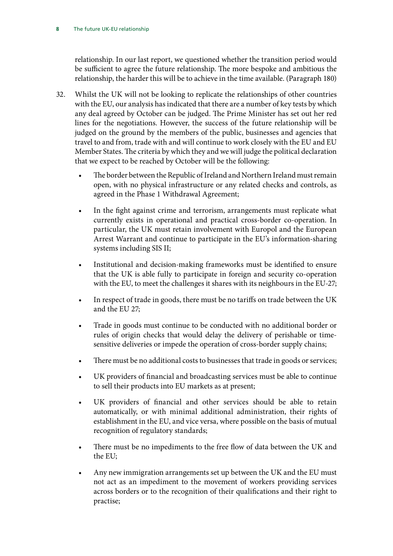[relationship. In our last report, we questioned whether the transition period would](#page-62-2) [be sufficient to agree the future relationship. The more bespoke and ambitious the](#page-62-2) [relationship, the harder this will be to achieve in the time available.](#page-62-2) (Paragraph 180)

- 32. [Whilst the UK will not be looking to replicate the relationships of other countries](#page-62-3) [with the EU, our analysis has indicated that there are a number of key tests by which](#page-62-3) [any deal agreed by October can be judged. The Prime Minister has set out her red](#page-62-3) [lines for the negotiations. However, the success of the future relationship will be](#page-62-3) [judged on the ground by the members of the public, businesses and agencies that](#page-62-3) [travel to and from, trade with and will continue to work closely with the EU and EU](#page-62-3) [Member States. The criteria by which they and we will judge the political declaration](#page-62-3) [that we expect to be reached by October will be the following:](#page-62-3)
	- [The border between the Republic of Ireland and Northern Ireland must remain](#page-62-4) [open, with no physical infrastructure or any related checks and controls, as](#page-62-4) [agreed in the Phase 1 Withdrawal Agreement;](#page-62-4)
	- [In the fight against crime and terrorism, arrangements must replicate what](#page-62-5) [currently exists in operational and practical cross-border co-operation. In](#page-62-5) [particular, the UK must retain involvement with Europol and the European](#page-62-5) [Arrest Warrant and continue to participate in the EU's information-sharing](#page-62-5) [systems including SIS II;](#page-62-5)
	- [Institutional and decision-making frameworks must be identified to ensure](#page-63-0) [that the UK is able fully to participate in foreign and security co-operation](#page-63-0) [with the EU, to meet the challenges it shares with its neighbours in the EU-27;](#page-63-0)
	- [In respect of trade in goods, there must be no tariffs on trade between the UK](#page-63-1) [and the EU 27;](#page-63-1)
	- [Trade in goods must continue to be conducted with no additional border or](#page-63-2) [rules of origin checks that would delay the delivery of perishable or time](#page-63-2)[sensitive deliveries or impede the operation of cross-border supply chains;](#page-63-2)
	- [There must be no additional costs to businesses that trade in goods or services;](#page-63-3)
	- [UK providers of financial and broadcasting services must be able to continue](#page-63-4) [to sell their products into EU markets as at present;](#page-63-4)
	- [UK providers of financial and other services should be able to retain](#page-63-5) [automatically, or with minimal additional administration, their rights of](#page-63-5) [establishment in the EU, and vice versa, where possible on the basis of mutual](#page-63-5) [recognition of regulatory standards;](#page-63-5)
	- [There must be no impediments to the free flow of data between the UK and](#page-63-6) [the EU;](#page-63-6)
	- [Any new immigration arrangements set up between the UK and the EU must](#page-63-7) [not act as an impediment to the movement of workers providing services](#page-63-7) [across borders or to the recognition of their qualifications and their right to](#page-63-7) [practise;](#page-63-7)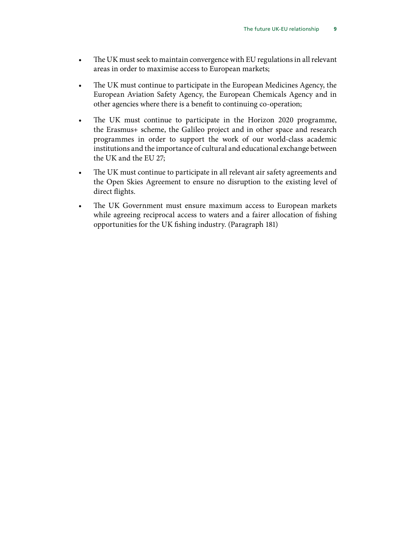- [The UK must seek to maintain convergence with EU regulations in all relevant](#page-63-8) [areas in order to maximise access to European markets;](#page-63-8)
- [The UK must continue to participate in the European Medicines Agency, the](#page-63-9) [European Aviation Safety Agency, the European Chemicals Agency and in](#page-63-9) [other agencies where there is a benefit to continuing co-operation;](#page-63-9)
- [The UK must continue to participate in the Horizon 2020 programme,](#page-63-10) [the Erasmus+ scheme, the Galileo project and in other space and research](#page-63-10) [programmes in order to support the work of our world-class academic](#page-63-10) [institutions and the importance of cultural and educational exchange between](#page-63-10) [the UK and the EU 27;](#page-63-10)
- [The UK must continue to participate in all relevant air safety agreements and](#page-63-11) [the Open Skies Agreement to ensure no disruption to the existing level of](#page-63-11) [direct flights.](#page-63-11)
- [The UK Government must ensure maximum access to European markets](#page-63-12) [while agreeing reciprocal access to waters and a fairer allocation of fishing](#page-63-12) [opportunities for the UK fishing industry.](#page-63-12) (Paragraph 181)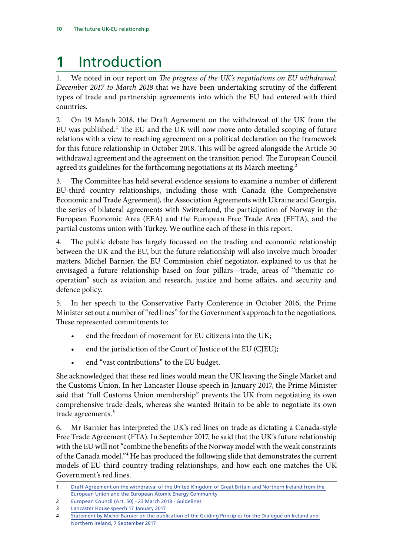# <span id="page-13-0"></span>**1** Introduction

1. We noted in our report on *The progress of the UK's negotiations on EU withdrawal: December 2017 to March 2018* that we have been undertaking scrutiny of the different types of trade and partnership agreements into which the EU had entered with third countries.

2. On 19 March 2018, the Draft Agreement on the withdrawal of the UK from the EU was published.1 The EU and the UK will now move onto detailed scoping of future relations with a view to reaching agreement on a political declaration on the framework for this future relationship in October 2018. This will be agreed alongside the Article 50 withdrawal agreement and the agreement on the transition period. The European Council agreed its guidelines for the forthcoming negotiations at its March meeting.<sup>2</sup>

3. The Committee has held several evidence sessions to examine a number of different EU-third country relationships, including those with Canada (the Comprehensive Economic and Trade Agreement), the Association Agreements with Ukraine and Georgia, the series of bilateral agreements with Switzerland, the participation of Norway in the European Economic Area (EEA) and the European Free Trade Area (EFTA), and the partial customs union with Turkey. We outline each of these in this report.

4. The public debate has largely focussed on the trading and economic relationship between the UK and the EU, but the future relationship will also involve much broader matters. Michel Barnier, the EU Commission chief negotiator, explained to us that he envisaged a future relationship based on four pillars—trade, areas of "thematic cooperation" such as aviation and research, justice and home affairs, and security and defence policy.

5. In her speech to the Conservative Party Conference in October 2016, the Prime Minister set out a number of "red lines" for the Government's approach to the negotiations. These represented commitments to:

- end the freedom of movement for EU citizens into the UK;
- end the jurisdiction of the Court of Justice of the EU (CJEU);
- end "vast contributions" to the EU budget.

She acknowledged that these red lines would mean the UK leaving the Single Market and the Customs Union. In her Lancaster House speech in January 2017, the Prime Minister said that "full Customs Union membership" prevents the UK from negotiating its own comprehensive trade deals, whereas she wanted Britain to be able to negotiate its own trade agreements.<sup>3</sup>

6. Mr Barnier has interpreted the UK's red lines on trade as dictating a Canada-style Free Trade Agreement (FTA). In September 2017, he said that the UK's future relationship with the EU will not "combine the benefits of the Norway model with the weak constraints of the Canada model."<sup>4</sup> He has produced the following slide that demonstrates the current models of EU-third country trading relationships, and how each one matches the UK Government's red lines.

<sup>1</sup> [Draft Agreement on the withdrawal of the United Kingdom of Great Britain and Northern Ireland from the](https://www.gov.uk/government/uploads/system/uploads/attachment_data/file/691366/20180319_DRAFT_WITHDRAWAL_AGREEMENT.pdf)  [European Union and the European Atomic Energy Community](https://www.gov.uk/government/uploads/system/uploads/attachment_data/file/691366/20180319_DRAFT_WITHDRAWAL_AGREEMENT.pdf)

<sup>2</sup> [European Council \(Art. 50\) - 23 March 2018 - Guidelines](http://data.consilium.europa.eu/doc/document/XT-20001-2018-INIT/en/pdf)

<sup>3</sup> [Lancaster House speech 17 January 2017](https://www.gov.uk/government/speeches/the-governments-negotiating-objectives-for-exiting-the-eu-pm-speech)

<sup>4</sup> [Statement by Michel Barnier on the publication of the Guiding Principles for the Dialogue on Ireland and](http://europa.eu/rapid/press-release_SPEECH-17-3145_en.htm)  [Northern Ireland, 7 September 2017](http://europa.eu/rapid/press-release_SPEECH-17-3145_en.htm)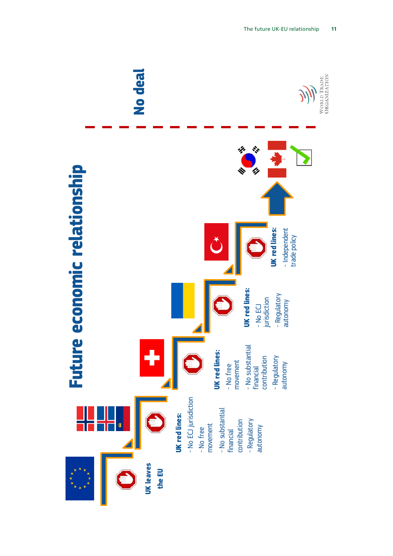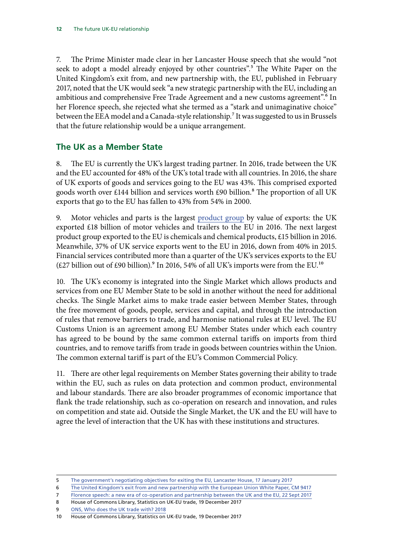<span id="page-15-0"></span>7. The Prime Minister made clear in her Lancaster House speech that she would "not seek to adopt a model already enjoyed by other countries".<sup>5</sup> The White Paper on the United Kingdom's exit from, and new partnership with, the EU, published in February 2017, noted that the UK would seek "a new strategic partnership with the EU, including an ambitious and comprehensive Free Trade Agreement and a new customs agreement".<sup>6</sup> In her Florence speech, she rejected what she termed as a "stark and unimaginative choice" between the EEA model and a Canada-style relationship.<sup>7</sup> It was suggested to us in Brussels that the future relationship would be a unique arrangement.

## **The UK as a Member State**

8. The EU is currently the UK's largest trading partner. In 2016, trade between the UK and the EU accounted for 48% of the UK's total trade with all countries. In 2016, the share of UK exports of goods and services going to the EU was 43%. This comprised exported goods worth over £144 billion and services worth £90 billion.<sup>8</sup> The proportion of all UK exports that go to the EU has fallen to 43% from 54% in 2000.

9. Motor vehicles and parts is the largest [product group](https://www.ons.gov.uk/economy/nationalaccounts/balanceofpayments/datasets/publicationtablesuktradecpa08/current) by value of exports: the UK exported £18 billion of motor vehicles and trailers to the EU in 2016. The next largest product group exported to the EU is chemicals and chemical products, £15 billion in 2016. Meanwhile, 37% of UK service exports went to the EU in 2016, down from 40% in 2015. Financial services contributed more than a quarter of the UK's services exports to the EU (£27 billion out of £90 billion).<sup>9</sup> In 2016, 54% of all UK's imports were from the EU.<sup>10</sup>

10. The UK's economy is integrated into the Single Market which allows products and services from one EU Member State to be sold in another without the need for additional checks. The Single Market aims to make trade easier between Member States, through the free movement of goods, people, services and capital, and through the introduction of rules that remove barriers to trade, and harmonise national rules at EU level. The EU Customs Union is an agreement among EU Member States under which each country has agreed to be bound by the same common external tariffs on imports from third countries, and to remove tariffs from trade in goods between countries within the Union. The common external tariff is part of the EU's Common Commercial Policy.

11. There are other legal requirements on Member States governing their ability to trade within the EU, such as rules on data protection and common product, environmental and labour standards. There are also broader programmes of economic importance that flank the trade relationship, such as co-operation on research and innovation, and rules on competition and state aid. Outside the Single Market, the UK and the EU will have to agree the level of interaction that the UK has with these institutions and structures.

- 6 [The United Kingdom's exit from and new partnership with the European Union White Paper, CM 9417](https://www.gov.uk/government/uploads/system/uploads/attachment_data/file/589191/The_United_Kingdoms_exit_from_and_partnership_with_the_EU_Web.pdf)
- 7 [Florence speech: a new era of co-operation and partnership between the UK and the EU, 22 Sept 2017](https://www.gov.uk/government/speeches/pms-florence-speech-a-new-era-of-cooperation-and-partnership-between-the-uk-and-the-eu)

8 House of Commons Library, Statistics on UK-EU trade, 19 December 2017

9 [ONS, Who does the UK trade with? 2018](https://visual.ons.gov.uk/uk-trade-partners/)

<sup>5</sup> [The government's negotiating objectives for exiting the EU, Lancaster House, 17 January 2017](https://www.gov.uk/government/speeches/the-governments-negotiating-objectives-for-exiting-the-eu-pm-speech)

<sup>10</sup> House of Commons Library, Statistics on UK-EU trade, 19 December 2017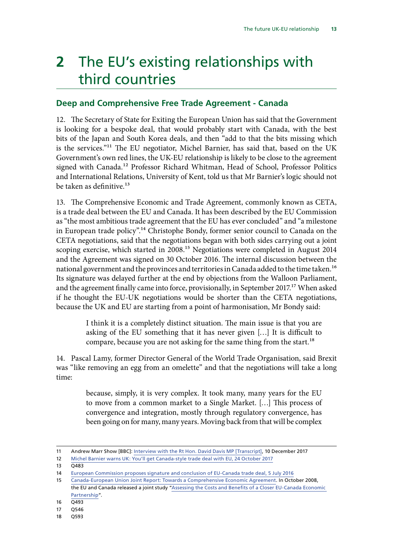# <span id="page-16-0"></span>**2** The EU's existing relationships with third countries

### **Deep and Comprehensive Free Trade Agreement - Canada**

12. The Secretary of State for Exiting the European Union has said that the Government is looking for a bespoke deal, that would probably start with Canada, with the best bits of the Japan and South Korea deals, and then "add to that the bits missing which is the services."11 The EU negotiator, Michel Barnier, has said that, based on the UK Government's own red lines, the UK-EU relationship is likely to be close to the agreement signed with Canada.<sup>12</sup> Professor Richard Whitman, Head of School, Professor Politics and International Relations, University of Kent, told us that Mr Barnier's logic should not be taken as definitive. $13$ 

13. The Comprehensive Economic and Trade Agreement, commonly known as CETA, is a trade deal between the EU and Canada. It has been described by the EU Commission as "the most ambitious trade agreement that the EU has ever concluded" and "a milestone in European trade policy".14 Christophe Bondy, former senior council to Canada on the CETA negotiations, said that the negotiations began with both sides carrying out a joint scoping exercise, which started in 2008.<sup>15</sup> Negotiations were completed in August 2014 and the Agreement was signed on 30 October 2016. The internal discussion between the national government and the provinces and territories in Canada added to the time taken.<sup>16</sup> Its signature was delayed further at the end by objections from the Walloon Parliament, and the agreement finally came into force, provisionally, in September 2017.<sup>17</sup> When asked if he thought the EU-UK negotiations would be shorter than the CETA negotiations, because the UK and EU are starting from a point of harmonisation, Mr Bondy said:

> I think it is a completely distinct situation. The main issue is that you are asking of the EU something that it has never given […] It is difficult to compare, because you are not asking for the same thing from the start.<sup>18</sup>

14. Pascal Lamy, former Director General of the World Trade Organisation, said Brexit was "like removing an egg from an omelette" and that the negotiations will take a long time:

> because, simply, it is very complex. It took many, many years for the EU to move from a common market to a Single Market. […] This process of convergence and integration, mostly through regulatory convergence, has been going on for many, many years. Moving back from that will be complex

16 Q493

<sup>11</sup> Andrew Marr Show [BBC]: [Interview with the Rt Hon. David Davis MP \[Transcript\],](http://news.bbc.co.uk/1/shared/bsp/hi/pdfs/10121703.pdf) 10 December 2017

<sup>12</sup> [Michel Barnier warns UK: You'll get Canada-style trade deal with EU, 24 October 2017](https://news.sky.com/story/michel-barnier-warns-uk-youll-get-canada-style-trade-deal-with-eu-11096092)

<sup>13</sup> Q483

<sup>14</sup> [European Commission proposes signature and conclusion of EU-Canada trade deal, 5 July 2016](http://trade.ec.europa.eu/doclib/press/index.cfm?id=1524)

<sup>15</sup> [Canada-European Union Joint Report: Towards a Comprehensive Economic Agreement](http://www.international.gc.ca/trade-agreements-accords-commerciaux/agr-acc/eu-ue/can-eu-report-can-ue-rapport.aspx?lang=eng). In October 2008, the EU and Canada released a joint study ["Assessing the Costs and Benefits of a Closer EU-Canada Economic](http://trade.ec.europa.eu/doclib/docs/2008/october/tradoc_141032.pdf)  [Partnership](http://trade.ec.europa.eu/doclib/docs/2008/october/tradoc_141032.pdf)".

<sup>17</sup> Q546

<sup>18</sup> Q593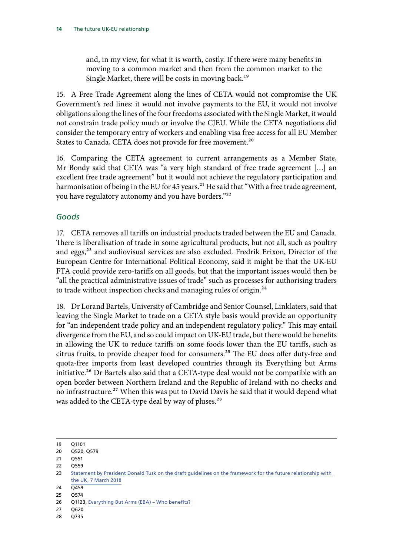and, in my view, for what it is worth, costly. If there were many benefits in moving to a common market and then from the common market to the Single Market, there will be costs in moving back.<sup>19</sup>

15. A Free Trade Agreement along the lines of CETA would not compromise the UK Government's red lines: it would not involve payments to the EU, it would not involve obligations along the lines of the four freedoms associated with the Single Market, it would not constrain trade policy much or involve the CJEU. While the CETA negotiations did consider the temporary entry of workers and enabling visa free access for all EU Member States to Canada, CETA does not provide for free movement.<sup>20</sup>

16. Comparing the CETA agreement to current arrangements as a Member State, Mr Bondy said that CETA was "a very high standard of free trade agreement […] an excellent free trade agreement" but it would not achieve the regulatory participation and harmonisation of being in the EU for 45 years.<sup>21</sup> He said that "With a free trade agreement, you have regulatory autonomy and you have borders."<sup>22</sup>

#### *Goods*

17. CETA removes all tariffs on industrial products traded between the EU and Canada. There is liberalisation of trade in some agricultural products, but not all, such as poultry and eggs,<sup>23</sup> and audiovisual services are also excluded. Fredrik Erixon, Director of the European Centre for International Political Economy, said it might be that the UK-EU FTA could provide zero-tariffs on all goods, but that the important issues would then be "all the practical administrative issues of trade" such as processes for authorising traders to trade without inspection checks and managing rules of origin.<sup>24</sup>

18. Dr Lorand Bartels, University of Cambridge and Senior Counsel, Linklaters, said that leaving the Single Market to trade on a CETA style basis would provide an opportunity for "an independent trade policy and an independent regulatory policy." This may entail divergence from the EU, and so could impact on UK-EU trade, but there would be benefits in allowing the UK to reduce tariffs on some foods lower than the EU tariffs, such as citrus fruits, to provide cheaper food for consumers.<sup>25</sup> The EU does offer duty-free and quota-free imports from least developed countries through its Everything but Arms initiative.<sup>26</sup> Dr Bartels also said that a CETA-type deal would not be compatible with an open border between Northern Ireland and the Republic of Ireland with no checks and no infrastructure.<sup>27</sup> When this was put to David Davis he said that it would depend what was added to the CETA-type deal by way of pluses.<sup>28</sup>

<sup>19</sup> Q1101

<sup>20</sup> Q520, Q579

<sup>21</sup> Q551

<sup>22</sup> Q559

<sup>23</sup> [Statement by President Donald Tusk on the draft guidelines on the framework for the future relationship with](http://www.consilium.europa.eu/en/press/press-releases/2018/03/07/statement-by-president-donald-tusk-on-the-draft-guidelines-on-the-framework-for-the-future-relationship-with-the-uk/) [the UK, 7 March 2018](http://www.consilium.europa.eu/en/press/press-releases/2018/03/07/statement-by-president-donald-tusk-on-the-draft-guidelines-on-the-framework-for-the-future-relationship-with-the-uk/)

<sup>24</sup> Q459

<sup>25</sup> Q574

<sup>26</sup> Q1123, [Everything But Arms \(EBA\) – Who benefits?](http://trade.ec.europa.eu/doclib/docs/2013/april/tradoc_150983.pdf)

<sup>27</sup> Q620

<sup>28</sup> Q735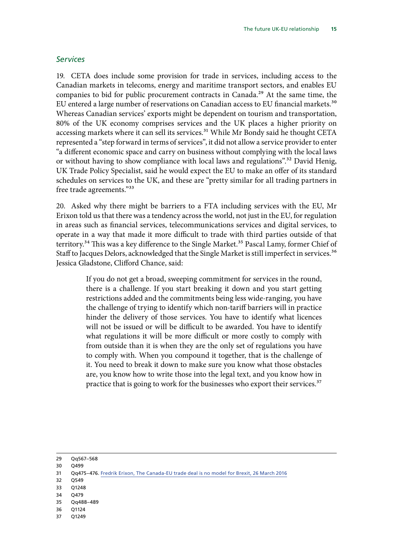#### *Services*

19. CETA does include some provision for trade in services, including access to the Canadian markets in telecoms, energy and maritime transport sectors, and enables EU companies to bid for public procurement contracts in Canada.<sup>29</sup> At the same time, the EU entered a large number of reservations on Canadian access to EU financial markets.<sup>30</sup> Whereas Canadian services' exports might be dependent on tourism and transportation, 80% of the UK economy comprises services and the UK places a higher priority on accessing markets where it can sell its services.<sup>31</sup> While Mr Bondy said he thought CETA represented a "step forward in terms of services", it did not allow a service provider to enter "a different economic space and carry on business without complying with the local laws or without having to show compliance with local laws and regulations".<sup>32</sup> David Henig, UK Trade Policy Specialist, said he would expect the EU to make an offer of its standard schedules on services to the UK, and these are "pretty similar for all trading partners in free trade agreements."33

20. Asked why there might be barriers to a FTA including services with the EU, Mr Erixon told us that there was a tendency across the world, not just in the EU, for regulation in areas such as financial services, telecommunications services and digital services, to operate in a way that made it more difficult to trade with third parties outside of that territory.<sup>34</sup> This was a key difference to the Single Market.<sup>35</sup> Pascal Lamy, former Chief of Staff to Jacques Delors, acknowledged that the Single Market is still imperfect in services.<sup>36</sup> Jessica Gladstone, Clifford Chance, said:

> If you do not get a broad, sweeping commitment for services in the round, there is a challenge. If you start breaking it down and you start getting restrictions added and the commitments being less wide-ranging, you have the challenge of trying to identify which non-tariff barriers will in practice hinder the delivery of those services. You have to identify what licences will not be issued or will be difficult to be awarded. You have to identify what regulations it will be more difficult or more costly to comply with from outside than it is when they are the only set of regulations you have to comply with. When you compound it together, that is the challenge of it. You need to break it down to make sure you know what those obstacles are, you know how to write those into the legal text, and you know how in practice that is going to work for the businesses who export their services.<sup>37</sup>

- 30 Q499
- 31 Qq475–476. [Fredrik Erixon, The Canada-EU trade deal is no model for Brexit, 26 March 2016](https://capx.co/the-canada-eu-trade-deal-is-no-model-for-brexit/)
- 32 Q549
- 33 Q1248
- 34 Q479
- 35 Qq488–489
- 36 Q1124
- 37 Q1249

<sup>29</sup> Qq567–568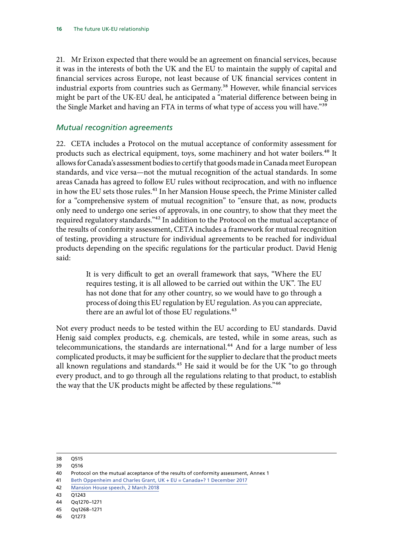21. Mr Erixon expected that there would be an agreement on financial services, because it was in the interests of both the UK and the EU to maintain the supply of capital and financial services across Europe, not least because of UK financial services content in industrial exports from countries such as Germany.<sup>38</sup> However, while financial services might be part of the UK-EU deal, he anticipated a "material difference between being in the Single Market and having an FTA in terms of what type of access you will have."<sup>39</sup>

#### *Mutual recognition agreements*

22. CETA includes a Protocol on the mutual acceptance of conformity assessment for products such as electrical equipment, toys, some machinery and hot water boilers.<sup>40</sup> It allows for Canada's assessment bodies to certify that goods made in Canada meet European standards, and vice versa—not the mutual recognition of the actual standards. In some areas Canada has agreed to follow EU rules without reciprocation, and with no influence in how the EU sets those rules.<sup>41</sup> In her Mansion House speech, the Prime Minister called for a "comprehensive system of mutual recognition" to "ensure that, as now, products only need to undergo one series of approvals, in one country, to show that they meet the required regulatory standards."<sup>42</sup> In addition to the Protocol on the mutual acceptance of the results of conformity assessment, CETA includes a framework for mutual recognition of testing, providing a structure for individual agreements to be reached for individual products depending on the specific regulations for the particular product. David Henig said:

> It is very difficult to get an overall framework that says, "Where the EU requires testing, it is all allowed to be carried out within the UK". The EU has not done that for any other country, so we would have to go through a process of doing this EU regulation by EU regulation. As you can appreciate, there are an awful lot of those EU regulations.<sup>43</sup>

Not every product needs to be tested within the EU according to EU standards. David Henig said complex products, e.g. chemicals, are tested, while in some areas, such as telecommunications, the standards are international.<sup>44</sup> And for a large number of less complicated products, it may be sufficient for the supplier to declare that the product meets all known regulations and standards.<sup>45</sup> He said it would be for the UK "to go through every product, and to go through all the regulations relating to that product, to establish the way that the UK products might be affected by these regulations."46

38 Q515

- 39 Q516
- 40 Protocol on the mutual acceptance of the results of conformity assessment, Annex 1
- 41 [Beth Oppenheim and Charles Grant, UK + EU = Canada+? 1 December 2017](http://www.cer.eu/insights/uk-eu-canada)
- 42 [Mansion House speech, 2 March 2018](https://www.gov.uk/government/speeches/pm-speech-on-our-future-economic-partnership-with-the-european-union)
- 43 Q1243
- 44 Qq1270–1271

46 Q1273

<sup>45</sup> Qq1268–1271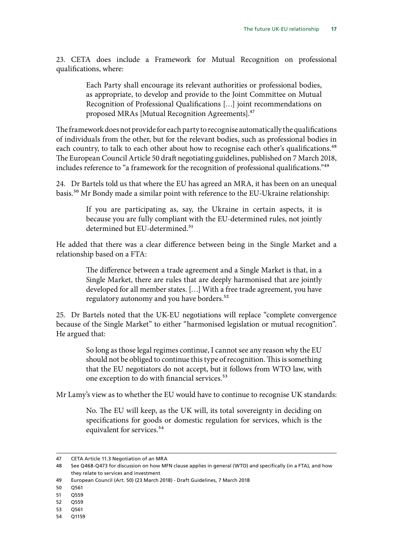23. CETA does include a Framework for Mutual Recognition on professional qualifications, where:

> Each Party shall encourage its relevant authorities or professional bodies, as appropriate, to develop and provide to the Joint Committee on Mutual Recognition of Professional Qualifications […] joint recommendations on proposed MRAs [Mutual Recognition Agreements].47

The framework does not provide for each party to recognise automatically the qualifications of individuals from the other, but for the relevant bodies, such as professional bodies in each country, to talk to each other about how to recognise each other's qualifications.<sup>48</sup> The European Council Article 50 draft negotiating guidelines, published on 7 March 2018, includes reference to "a framework for the recognition of professional qualifications."<sup>49</sup>

24. Dr Bartels told us that where the EU has agreed an MRA, it has been on an unequal basis.50 Mr Bondy made a similar point with reference to the EU-Ukraine relationship:

> If you are participating as, say, the Ukraine in certain aspects, it is because you are fully compliant with the EU-determined rules, not jointly determined but EU-determined.<sup>51</sup>

He added that there was a clear difference between being in the Single Market and a relationship based on a FTA:

> The difference between a trade agreement and a Single Market is that, in a Single Market, there are rules that are deeply harmonised that are jointly developed for all member states. […] With a free trade agreement, you have regulatory autonomy and you have borders.<sup>52</sup>

25. Dr Bartels noted that the UK-EU negotiations will replace "complete convergence because of the Single Market" to either "harmonised legislation or mutual recognition". He argued that:

> So long as those legal regimes continue, I cannot see any reason why the EU should not be obliged to continue this type of recognition. This is something that the EU negotiators do not accept, but it follows from WTO law, with one exception to do with financial services.<sup>53</sup>

Mr Lamy's view as to whether the EU would have to continue to recognise UK standards:

No. The EU will keep, as the UK will, its total sovereignty in deciding on specifications for goods or domestic regulation for services, which is the equivalent for services.<sup>54</sup>

- 49 European Council (Art. 50) (23 March 2018) Draft Guidelines, 7 March 2018
- 50 Q561
- 51 Q559
- 52 Q559
- 53 Q561
- 54 Q1159

<sup>47</sup> CETA Article 11.3 Negotiation of an MRA

<sup>48</sup> See Q468-Q473 for discussion on how MFN clause applies in general (WTO) and specifically (in a FTA), and how they relate to services and investment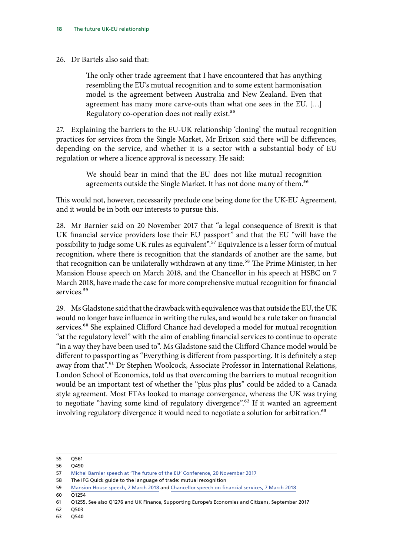#### 26. Dr Bartels also said that:

The only other trade agreement that I have encountered that has anything resembling the EU's mutual recognition and to some extent harmonisation model is the agreement between Australia and New Zealand. Even that agreement has many more carve-outs than what one sees in the EU. […] Regulatory co-operation does not really exist.<sup>55</sup>

27. Explaining the barriers to the EU-UK relationship 'cloning' the mutual recognition practices for services from the Single Market, Mr Erixon said there will be differences, depending on the service, and whether it is a sector with a substantial body of EU regulation or where a licence approval is necessary. He said:

> We should bear in mind that the EU does not like mutual recognition agreements outside the Single Market. It has not done many of them.<sup>56</sup>

This would not, however, necessarily preclude one being done for the UK-EU Agreement, and it would be in both our interests to pursue this.

28. Mr Barnier said on 20 November 2017 that "a legal consequence of Brexit is that UK financial service providers lose their EU passport" and that the EU "will have the possibility to judge some UK rules as equivalent".<sup>57</sup> Equivalence is a lesser form of mutual recognition, where there is recognition that the standards of another are the same, but that recognition can be unilaterally withdrawn at any time.<sup>58</sup> The Prime Minister, in her Mansion House speech on March 2018, and the Chancellor in his speech at HSBC on 7 March 2018, have made the case for more comprehensive mutual recognition for financial services.<sup>59</sup>

29. Ms Gladstone said that the drawback with equivalence was that outside the EU, the UK would no longer have influence in writing the rules, and would be a rule taker on financial services.<sup>60</sup> She explained Clifford Chance had developed a model for mutual recognition "at the regulatory level" with the aim of enabling financial services to continue to operate "in a way they have been used to". Ms Gladstone said the Clifford Chance model would be different to passporting as "Everything is different from passporting. It is definitely a step away from that".<sup>61</sup> Dr Stephen Woolcock, Associate Professor in International Relations, London School of Economics, told us that overcoming the barriers to mutual recognition would be an important test of whether the "plus plus plus" could be added to a Canada style agreement. Most FTAs looked to manage convergence, whereas the UK was trying to negotiate "having some kind of regulatory divergence".62 If it wanted an agreement involving regulatory divergence it would need to negotiate a solution for arbitration.<sup>63</sup>

 $60 \overline{01254}$ 

- 62 Q503
- 63 Q540

<sup>55</sup> Q561

<sup>56</sup> Q490

<sup>57</sup> [Michel Barnier speech at 'The future of the EU' Conference, 20 November 2017](http://www.cer.eu/in-the-press/speech-michel-barnier-future-eu-conference)

<sup>58</sup> The IFG Quick guide to the language of trade: mutual recognition

<sup>59</sup> [Mansion House speech, 2 March 2018](https://www.gov.uk/government/speeches/pm-speech-on-our-future-economic-partnership-with-the-european-union) and [Chancellor speech on financial services, 7 March 2018](https://www.gov.uk/government/speeches/chancellors-hsbc-speech-financial-services)

<sup>61</sup> Q1255. See also Q1276 and UK Finance, Supporting Europe's Economies and Citizens, September 2017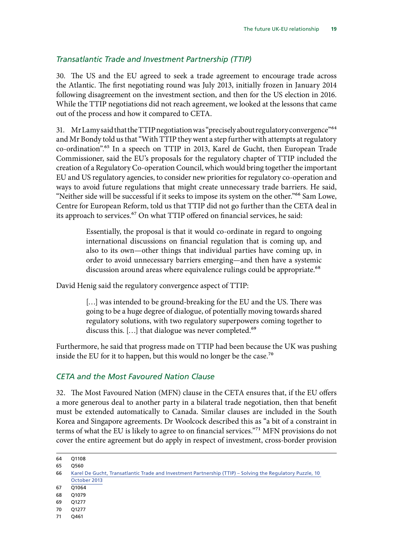### *Transatlantic Trade and Investment Partnership (TTIP)*

30. The US and the EU agreed to seek a trade agreement to encourage trade across the Atlantic. The first negotiating round was July 2013, initially frozen in January 2014 following disagreement on the investment section, and then for the US election in 2016. While the TTIP negotiations did not reach agreement, we looked at the lessons that came out of the process and how it compared to CETA.

31. Mr Lamy said that the TTIP negotiation was "precisely about regulatory convergence"<sup>64</sup> and Mr Bondy told us that "With TTIP they went a step further with attempts at regulatory co-ordination".65 In a speech on TTIP in 2013, Karel de Gucht, then European Trade Commissioner, said the EU's proposals for the regulatory chapter of TTIP included the creation of a Regulatory Co-operation Council, which would bring together the important EU and US regulatory agencies, to consider new priorities for regulatory co-operation and ways to avoid future regulations that might create unnecessary trade barriers. He said, "Neither side will be successful if it seeks to impose its system on the other."<sup>66</sup> Sam Lowe, Centre for European Reform, told us that TTIP did not go further than the CETA deal in its approach to services.<sup>67</sup> On what TTIP offered on financial services, he said:

> Essentially, the proposal is that it would co-ordinate in regard to ongoing international discussions on financial regulation that is coming up, and also to its own—other things that individual parties have coming up, in order to avoid unnecessary barriers emerging—and then have a systemic discussion around areas where equivalence rulings could be appropriate.<sup>68</sup>

David Henig said the regulatory convergence aspect of TTIP:

[...] was intended to be ground-breaking for the EU and the US. There was going to be a huge degree of dialogue, of potentially moving towards shared regulatory solutions, with two regulatory superpowers coming together to discuss this. [...] that dialogue was never completed.<sup>69</sup>

Furthermore, he said that progress made on TTIP had been because the UK was pushing inside the EU for it to happen, but this would no longer be the case.<sup>70</sup>

#### *CETA and the Most Favoured Nation Clause*

32. The Most Favoured Nation (MFN) clause in the CETA ensures that, if the EU offers a more generous deal to another party in a bilateral trade negotiation, then that benefit must be extended automatically to Canada. Similar clauses are included in the South Korea and Singapore agreements. Dr Woolcock described this as "a bit of a constraint in terms of what the EU is likely to agree to on financial services."71 MFN provisions do not cover the entire agreement but do apply in respect of investment, cross-border provision

<sup>64</sup> Q1108 65 0560

<sup>66</sup> [Karel De Gucht, Transatlantic Trade and Investment Partnership \(TTIP\) – Solving the Regulatory Puzzle, 10](http://europa.eu/rapid/press-release_SPEECH-13-801_en.htm)  [October 2013](http://europa.eu/rapid/press-release_SPEECH-13-801_en.htm)

<sup>67</sup> Q1064

<sup>68</sup> Q1079

<sup>69</sup> Q1277

<sup>70</sup> Q1277

<sup>71</sup> Q461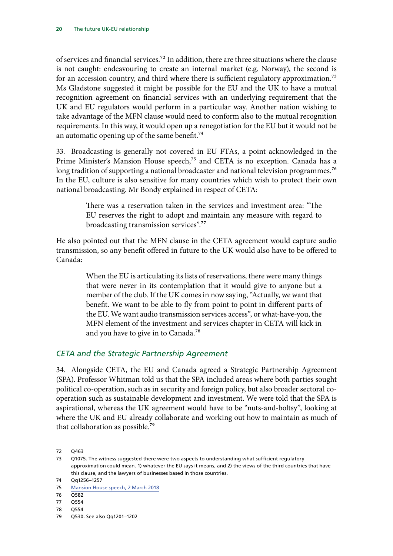of services and financial services.72 In addition, there are three situations where the clause is not caught: endeavouring to create an internal market (e.g. Norway), the second is for an accession country, and third where there is sufficient regulatory approximation.<sup>73</sup> Ms Gladstone suggested it might be possible for the EU and the UK to have a mutual recognition agreement on financial services with an underlying requirement that the UK and EU regulators would perform in a particular way. Another nation wishing to take advantage of the MFN clause would need to conform also to the mutual recognition requirements. In this way, it would open up a renegotiation for the EU but it would not be an automatic opening up of the same benefit.<sup>74</sup>

33. Broadcasting is generally not covered in EU FTAs, a point acknowledged in the Prime Minister's Mansion House speech,<sup>75</sup> and CETA is no exception. Canada has a long tradition of supporting a national broadcaster and national television programmes.<sup>76</sup> In the EU, culture is also sensitive for many countries which wish to protect their own national broadcasting. Mr Bondy explained in respect of CETA:

> There was a reservation taken in the services and investment area: "The EU reserves the right to adopt and maintain any measure with regard to broadcasting transmission services".77

He also pointed out that the MFN clause in the CETA agreement would capture audio transmission, so any benefit offered in future to the UK would also have to be offered to Canada:

> When the EU is articulating its lists of reservations, there were many things that were never in its contemplation that it would give to anyone but a member of the club. If the UK comes in now saying, "Actually, we want that benefit. We want to be able to fly from point to point in different parts of the EU. We want audio transmission services access", or what-have-you, the MFN element of the investment and services chapter in CETA will kick in and you have to give in to Canada.78

#### *CETA and the Strategic Partnership Agreement*

34. Alongside CETA, the EU and Canada agreed a Strategic Partnership Agreement (SPA). Professor Whitman told us that the SPA included areas where both parties sought political co-operation, such as in security and foreign policy, but also broader sectoral cooperation such as sustainable development and investment. We were told that the SPA is aspirational, whereas the UK agreement would have to be "nuts-and-boltsy", looking at where the UK and EU already collaborate and working out how to maintain as much of that collaboration as possible.79

<sup>72</sup> Q463

<sup>73</sup> Q1075. The witness suggested there were two aspects to understanding what sufficient regulatory approximation could mean. 1) whatever the EU says it means, and 2) the views of the third countries that have this clause, and the lawyers of businesses based in those countries.

<sup>74</sup> Qq1256–1257

<sup>75</sup> [Mansion House speech, 2 March 2018](https://www.gov.uk/government/speeches/pm-speech-on-our-future-economic-partnership-with-the-european-union)

<sup>76 0582</sup> 

<sup>77</sup> Q554

<sup>78</sup> Q554

<sup>79</sup> Q530. See also Qq1201–1202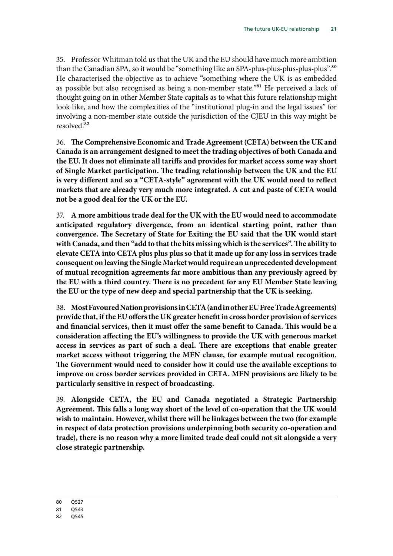35. Professor Whitman told us that the UK and the EU should have much more ambition than the Canadian SPA, so it would be "something like an SPA-plus-plus-plus-plus-plus".<sup>80</sup> He characterised the objective as to achieve "something where the UK is as embedded as possible but also recognised as being a non-member state."<sup>81</sup> He perceived a lack of thought going on in other Member State capitals as to what this future relationship might look like, and how the complexities of the "institutional plug-in and the legal issues" for involving a non-member state outside the jurisdiction of the CJEU in this way might be resolved.82

<span id="page-24-0"></span>36. **T he Comprehensive Economic and Trade Agreement (CETA) between the UK and Canada is an arrangement designed to meet the trading objectives of both Canada and the EU. It does not eliminate all tariffs and provides for market access some way short of Single Market participation. The trading relationship between the UK and the EU is very different and so a "CETA-style" agreement with the UK would need to reflect markets that are already very much more integrated. A cut and paste of CETA would not be a good deal for the UK or the EU.**

<span id="page-24-1"></span>37. **A more ambitious trade deal for the UK with the EU would need to accommodate anticipated regulatory divergence, from an identical starting point, rather than convergence. The Secretary of State for Exiting the EU said that the UK would start with Canada, and then "add to that the bits missing which is the services". The ability to elevate CETA into CETA plus plus plus so that it made up for any loss in services trade consequent on leaving the Single Market would require an unprecedented development of mutual recognition agreements far more ambitious than any previously agreed by the EU with a third country. There is no precedent for any EU Member State leaving the EU or the type of new deep and special partnership that the UK is seeking.**

<span id="page-24-2"></span>38. **Most Favoured Nation provisions in CETA (and in other EU Free Trade Agreements) provide that, if the EU offers the UK greater benefit in cross border provision of services and financial services, then it must offer the same benefit to Canada. This would be a consideration affecting the EU's willingness to provide the UK with generous market access in services as part of such a deal. There are exceptions that enable greater market access without triggering the MFN clause, for example mutual recognition. The Government would need to consider how it could use the available exceptions to improve on cross border services provided in CETA. MFN provisions are likely to be particularly sensitive in respect of broadcasting.**

<span id="page-24-3"></span>39. **Alongside CETA, the EU and Canada negotiated a Strategic Partnership Agreement. This falls a long way short of the level of co-operation that the UK would wish to maintain. However, whilst there will be linkages between the two (for example in respect of data protection provisions underpinning both security co-operation and trade), there is no reason why a more limited trade deal could not sit alongside a very close strategic partnership.**

<sup>80</sup> Q527

<sup>81</sup> Q543

<sup>82</sup> Q545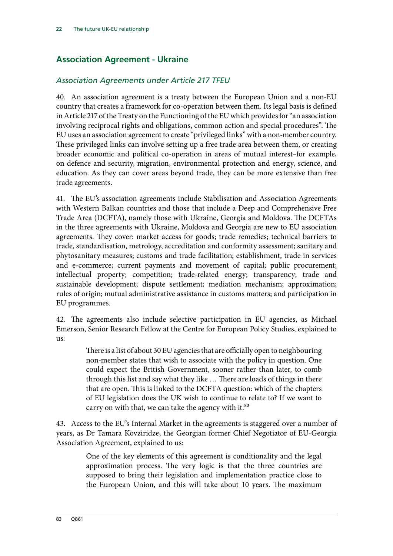# <span id="page-25-0"></span>**Association Agreement - Ukraine**

### *Association Agreements under Article 217 TFEU*

40. An association agreement is a treaty between the European Union and a non-EU country that creates a framework for co-operation between them. Its legal basis is defined in Article 217 of the Treaty on the Functioning of the EU which provides for "an association involving reciprocal rights and obligations, common action and special procedures". The EU uses an association agreement to create "privileged links" with a non-member country. These privileged links can involve setting up a free trade area between them, or creating broader economic and political co-operation in areas of mutual interest–for example, on defence and security, migration, environmental protection and energy, science, and education. As they can cover areas beyond trade, they can be more extensive than free trade agreements.

41. The EU's association agreements include Stabilisation and Association Agreements with Western Balkan countries and those that include a Deep and Comprehensive Free Trade Area (DCFTA), namely those with Ukraine, Georgia and Moldova. The DCFTAs in the three agreements with Ukraine, Moldova and Georgia are new to EU association agreements. They cover: market access for goods; trade remedies; technical barriers to trade, standardisation, metrology, accreditation and conformity assessment; sanitary and phytosanitary measures; customs and trade facilitation; establishment, trade in services and e-commerce; current payments and movement of capital; public procurement; intellectual property; competition; trade-related energy; transparency; trade and sustainable development; dispute settlement; mediation mechanism; approximation; rules of origin; mutual administrative assistance in customs matters; and participation in EU programmes.

42. The agreements also include selective participation in EU agencies, as Michael Emerson, Senior Research Fellow at the Centre for European Policy Studies, explained to us:

> There is a list of about 30 EU agencies that are officially open to neighbouring non-member states that wish to associate with the policy in question. One could expect the British Government, sooner rather than later, to comb through this list and say what they like … There are loads of things in there that are open. This is linked to the DCFTA question: which of the chapters of EU legislation does the UK wish to continue to relate to? If we want to carry on with that, we can take the agency with it.<sup>83</sup>

43. Access to the EU's Internal Market in the agreements is staggered over a number of years, as Dr Tamara Kovziridze, the Georgian former Chief Negotiator of EU-Georgia Association Agreement, explained to us:

> One of the key elements of this agreement is conditionality and the legal approximation process. The very logic is that the three countries are supposed to bring their legislation and implementation practice close to the European Union, and this will take about 10 years. The maximum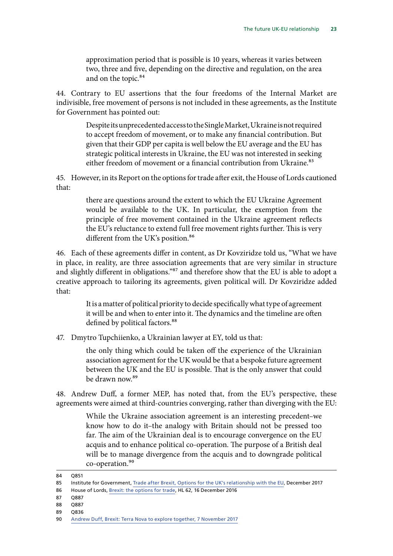approximation period that is possible is 10 years, whereas it varies between two, three and five, depending on the directive and regulation, on the area and on the topic.<sup>84</sup>

44. Contrary to EU assertions that the four freedoms of the Internal Market are indivisible, free movement of persons is not included in these agreements, as the Institute for Government has pointed out:

> Despite its unprecedented access to the Single Market, Ukraine is not required to accept freedom of movement, or to make any financial contribution. But given that their GDP per capita is well below the EU average and the EU has strategic political interests in Ukraine, the EU was not interested in seeking either freedom of movement or a financial contribution from Ukraine.<sup>85</sup>

45. However, in its Report on the options for trade after exit, the House of Lords cautioned that:

> there are questions around the extent to which the EU Ukraine Agreement would be available to the UK. In particular, the exemption from the principle of free movement contained in the Ukraine agreement reflects the EU's reluctance to extend full free movement rights further. This is very different from the UK's position.<sup>86</sup>

46. Each of these agreements differ in content, as Dr Kovziridze told us, "What we have in place, in reality, are three association agreements that are very similar in structure and slightly different in obligations."87 and therefore show that the EU is able to adopt a creative approach to tailoring its agreements, given political will. Dr Kovziridze added that:

> It is a matter of political priority to decide specifically what type of agreement it will be and when to enter into it. The dynamics and the timeline are often defined by political factors.<sup>88</sup>

47. Dmytro Tupchiienko, a Ukrainian lawyer at EY, told us that:

the only thing which could be taken off the experience of the Ukrainian association agreement for the UK would be that a bespoke future agreement between the UK and the EU is possible. That is the only answer that could be drawn now.<sup>89</sup>

48. Andrew Duff, a former MEP, has noted that, from the EU's perspective, these agreements were aimed at third-countries converging, rather than diverging with the EU:

> While the Ukraine association agreement is an interesting precedent–we know how to do it–the analogy with Britain should not be pressed too far. The aim of the Ukrainian deal is to encourage convergence on the EU acquis and to enhance political co-operation. The purpose of a British deal will be to manage divergence from the acquis and to downgrade political co-operation.<sup>90</sup>

- 86 House of Lords, [Brexit: the options for trade,](https://publications.parliament.uk/pa/ld201617/ldselect/ldeucom/72/7202.htm) HL 62, 16 December 2016
- 87 0887
- 88 Q887
- 89 0836

<sup>84</sup> Q851

<sup>85</sup> Institute for Government, [Trade after Brexit, Options for the UK's relationship with the EU,](https://www.instituteforgovernment.org.uk/sites/default/files/publications/IFGJ5896-Brexit-Report-171214-final_0.pdf) December 2017

<sup>90</sup> [Andrew Duff, Brexit: Terra Nova to explore together, 7 November 2017](http://www.epc.eu/documents/uploads/pub_8044_brexit-terranovatoexploretogether.pdf?doc_id=1902)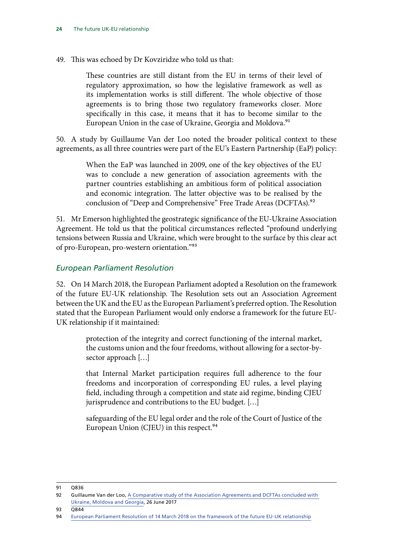49. This was echoed by Dr Kovziridze who told us that:

These countries are still distant from the EU in terms of their level of regulatory approximation, so how the legislative framework as well as its implementation works is still different. The whole objective of those agreements is to bring those two regulatory frameworks closer. More specifically in this case, it means that it has to become similar to the European Union in the case of Ukraine, Georgia and Moldova.<sup>91</sup>

50. A study by Guillaume Van der Loo noted the broader political context to these agreements, as all three countries were part of the EU's Eastern Partnership (EaP) policy:

> When the EaP was launched in 2009, one of the key objectives of the EU was to conclude a new generation of association agreements with the partner countries establishing an ambitious form of political association and economic integration. The latter objective was to be realised by the conclusion of "Deep and Comprehensive" Free Trade Areas (DCFTAs).<sup>92</sup>

51. Mr Emerson highlighted the geostrategic significance of the EU-Ukraine Association Agreement. He told us that the political circumstances reflected "profound underlying tensions between Russia and Ukraine, which were brought to the surface by this clear act of pro-European, pro-western orientation."93

#### *European Parliament Resolution*

52. On 14 March 2018, the European Parliament adopted a Resolution on the framework of the future EU-UK relationship. The Resolution sets out an Association Agreement between the UK and the EU as the European Parliament's preferred option. The Resolution stated that the European Parliament would only endorse a framework for the future EU-UK relationship if it maintained:

> protection of the integrity and correct functioning of the internal market, the customs union and the four freedoms, without allowing for a sector-bysector approach […]

> that Internal Market participation requires full adherence to the four freedoms and incorporation of corresponding EU rules, a level playing field, including through a competition and state aid regime, binding CJEU jurisprudence and contributions to the EU budget. […]

> safeguarding of the EU legal order and the role of the Court of Justice of the European Union (CJEU) in this respect.<sup>94</sup>

<sup>91</sup> Q836

<sup>92</sup> Guillaume Van der Loo, A Comparative study of the Association Agreements and DCFTAs concluded with [Ukraine, Moldova and Georgia,](http://www.3dcftas.eu/publications/other/comparative-study-association-agreements-and-dcftas-concluded-ukraine-moldova-and) 26 June 2017

<sup>93</sup> Q844

<sup>94</sup> [European Parliament Resolution of 14 March 2018 on the framework of the future EU-UK relationship](http://www.europarl.europa.eu/sides/getDoc.do?pubRef=-//EP//TEXT+TA+P8-TA-2018-0069+0+DOC+XML+V0//EN&language=EN)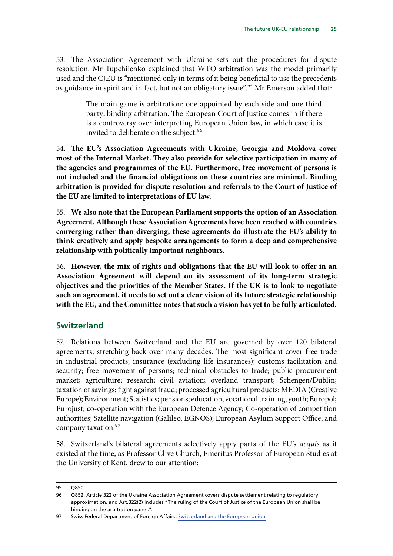<span id="page-28-0"></span>53. The Association Agreement with Ukraine sets out the procedures for dispute resolution. Mr Tupchiienko explained that WTO arbitration was the model primarily used and the CJEU is "mentioned only in terms of it being beneficial to use the precedents as guidance in spirit and in fact, but not an obligatory issue".<sup>95</sup> Mr Emerson added that:

> The main game is arbitration: one appointed by each side and one third party; binding arbitration. The European Court of Justice comes in if there is a controversy over interpreting European Union law, in which case it is invited to deliberate on the subject.<sup>96</sup>

<span id="page-28-1"></span>54. The EU's Association Agreements with Ukraine, Georgia and Moldova cover **most of the Internal Market. They also provide for selective participation in many of the agencies and programmes of the EU. Furthermore, free movement of persons is not included and the financial obligations on these countries are minimal. Binding arbitration is provided for dispute resolution and referrals to the Court of Justice of the EU are limited to interpretations of EU law.**

<span id="page-28-2"></span>55. **We also note that the European Parliament supports the option of an Association Agreement. Although these Association Agreements have been reached with countries converging rather than diverging, these agreements do illustrate the EU's ability to think creatively and apply bespoke arrangements to form a deep and comprehensive relationship with politically important neighbours.**

<span id="page-28-3"></span>56. **However, the mix of rights and obligations that the EU will look to offer in an Association Agreement will depend on its assessment of its long-term strategic objectives and the priorities of the Member States. If the UK is to look to negotiate such an agreement, it needs to set out a clear vision of its future strategic relationship with the EU, and the Committee notes that such a vision has yet to be fully articulated.**

### **Switzerland**

57. Relations between Switzerland and the EU are governed by over 120 bilateral agreements, stretching back over many decades. The most significant cover free trade in industrial products; insurance (excluding life insurances); customs facilitation and security; free movement of persons; technical obstacles to trade; public procurement market; agriculture; research; civil aviation; overland transport; Schengen/Dublin; taxation of savings; fight against fraud; processed agricultural products; MEDIA (Creative Europe); Environment; Statistics; pensions; education, vocational training, youth; Europol; Eurojust; co-operation with the European Defence Agency; Co-operation of competition authorities; Satellite navigation (Galileo, EGNOS); European Asylum Support Office; and company taxation.97

58. Switzerland's bilateral agreements selectively apply parts of the EU's *acquis* as it existed at the time, as Professor Clive Church, Emeritus Professor of European Studies at the University of Kent, drew to our attention:

<sup>95</sup> Q850

<sup>96</sup> Q852. Article 322 of the Ukraine Association Agreement covers dispute settlement relating to regulatory approximation, and Art.322(2) includes "The ruling of the Court of Justice of the European Union shall be binding on the arbitration panel.".

<sup>97</sup> Swiss Federal Department of Foreign Affairs, [Switzerland and the European Union](https://www.eda.admin.ch/dam/eda/en/documents/publications/EuropaeischeAngelegenheiten/Schweiz-und-EU_en.pdf)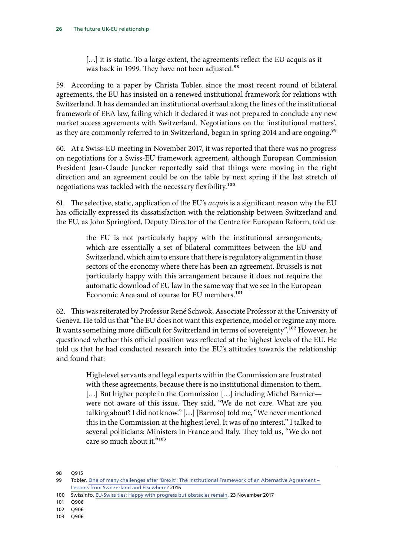[...] it is static. To a large extent, the agreements reflect the EU acquis as it was back in 1999. They have not been adjusted.<sup>98</sup>

59. According to a paper by Christa Tobler, since the most recent round of bilateral agreements, the EU has insisted on a renewed institutional framework for relations with Switzerland. It has demanded an institutional overhaul along the lines of the institutional framework of EEA law, failing which it declared it was not prepared to conclude any new market access agreements with Switzerland. Negotiations on the 'institutional matters', as they are commonly referred to in Switzerland, began in spring 2014 and are ongoing.<sup>99</sup>

60. At a Swiss-EU meeting in November 2017, it was reported that there was no progress on negotiations for a Swiss-EU framework agreement, although European Commission President Jean-Claude Juncker reportedly said that things were moving in the right direction and an agreement could be on the table by next spring if the last stretch of negotiations was tackled with the necessary flexibility.<sup>100</sup>

61. The selective, static, application of the EU's *acquis* is a significant reason why the EU has officially expressed its dissatisfaction with the relationship between Switzerland and the EU, as John Springford, Deputy Director of the Centre for European Reform, told us:

> the EU is not particularly happy with the institutional arrangements, which are essentially a set of bilateral committees between the EU and Switzerland, which aim to ensure that there is regulatory alignment in those sectors of the economy where there has been an agreement. Brussels is not particularly happy with this arrangement because it does not require the automatic download of EU law in the same way that we see in the European Economic Area and of course for EU members.<sup>101</sup>

62. This was reiterated by Professor René Schwok, Associate Professor at the University of Geneva. He told us that "the EU does not want this experience, model or regime any more. It wants something more difficult for Switzerland in terms of sovereignty".<sup>102</sup> However, he questioned whether this official position was reflected at the highest levels of the EU. He told us that he had conducted research into the EU's attitudes towards the relationship and found that:

> High-level servants and legal experts within the Commission are frustrated with these agreements, because there is no institutional dimension to them. [...] But higher people in the Commission [...] including Michel Barnier were not aware of this issue. They said, "We do not care. What are you talking about? I did not know." […] [Barroso] told me, "We never mentioned this in the Commission at the highest level. It was of no interest." I talked to several politicians: Ministers in France and Italy. They told us, "We do not care so much about it."<sup>103</sup>

- 102 Q906
- 103 Q906

<sup>98</sup> Q915

<sup>99</sup> Tobler, One of many challenges after 'Brexit': The Institutional Framework of an Alternative Agreement – [Lessons from Switzerland and Elsewhere?](https://www.biicl.org/documents/1686_professor_dr_christa_tobler.pdf?showdocument=1) 2016

<sup>100</sup> Swissinfo, [EU-Swiss ties: Happy with progress but obstacles remain,](https://www.swissinfo.ch/eng/juncker-visit_eu-swiss-ties--happy-with-progress-but-obstacles-remain-/43698698) 23 November 2017

<sup>101</sup> Q906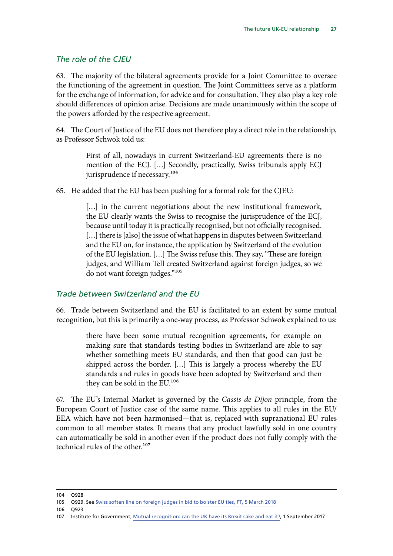#### *The role of the CJEU*

63. The majority of the bilateral agreements provide for a Joint Committee to oversee the functioning of the agreement in question. The Joint Committees serve as a platform for the exchange of information, for advice and for consultation. They also play a key role should differences of opinion arise. Decisions are made unanimously within the scope of the powers afforded by the respective agreement.

64. The Court of Justice of the EU does not therefore play a direct role in the relationship, as Professor Schwok told us:

> First of all, nowadays in current Switzerland-EU agreements there is no mention of the ECJ. […] Secondly, practically, Swiss tribunals apply ECJ jurisprudence if necessary.<sup>104</sup>

65. He added that the EU has been pushing for a formal role for the CJEU:

[...] in the current negotiations about the new institutional framework, the EU clearly wants the Swiss to recognise the jurisprudence of the ECJ, because until today it is practically recognised, but not officially recognised. [...] there is [also] the issue of what happens in disputes between Switzerland and the EU on, for instance, the application by Switzerland of the evolution of the EU legislation. […] The Swiss refuse this. They say, "These are foreign judges, and William Tell created Switzerland against foreign judges, so we do not want foreign judges."105

#### *Trade between Switzerland and the EU*

66. Trade between Switzerland and the EU is facilitated to an extent by some mutual recognition, but this is primarily a one-way process, as Professor Schwok explained to us:

> there have been some mutual recognition agreements, for example on making sure that standards testing bodies in Switzerland are able to say whether something meets EU standards, and then that good can just be shipped across the border. […] This is largely a process whereby the EU standards and rules in goods have been adopted by Switzerland and then they can be sold in the EU.<sup>106</sup>

67. The EU's Internal Market is governed by the *Cassis de Dijon* principle, from the European Court of Justice case of the same name. This applies to all rules in the EU/ EEA which have not been harmonised—that is, replaced with supranational EU rules common to all member states. It means that any product lawfully sold in one country can automatically be sold in another even if the product does not fully comply with the technical rules of the other. $107$ 

<sup>104</sup> Q928

<sup>105</sup> Q929. See [Swiss soften line on foreign judges in bid to bolster EU ties, FT, 5 March 2018](https://www.ft.com/content/17d840b6-209b-11e8-a895-1ba1f72c2c11)

<sup>106</sup> Q923

<sup>107</sup> Institute for Government, [Mutual recognition: can the UK have its Brexit cake and eat it?,](https://www.instituteforgovernment.org.uk/blog/mutual-recognition-can-uk-have-its-brexit-cake-and-eat-it) 1 September 2017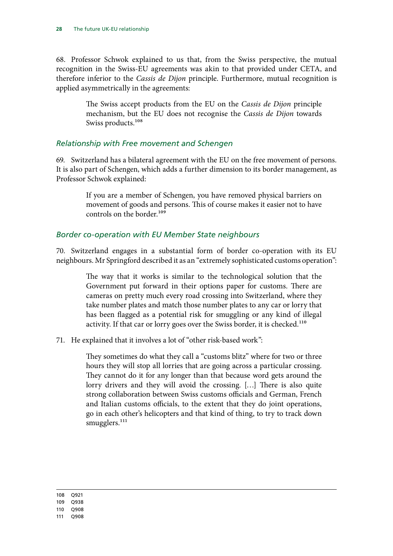68. Professor Schwok explained to us that, from the Swiss perspective, the mutual recognition in the Swiss-EU agreements was akin to that provided under CETA, and therefore inferior to the *Cassis de Dijon* principle. Furthermore, mutual recognition is applied asymmetrically in the agreements:

> The Swiss accept products from the EU on the *Cassis de Dijon* principle mechanism, but the EU does not recognise the *Cassis de Dijon* towards Swiss products.<sup>108</sup>

#### *Relationship with Free movement and Schengen*

69. Switzerland has a bilateral agreement with the EU on the free movement of persons. It is also part of Schengen, which adds a further dimension to its border management, as Professor Schwok explained:

> If you are a member of Schengen, you have removed physical barriers on movement of goods and persons. This of course makes it easier not to have controls on the border.<sup>109</sup>

#### *Border co-operation with EU Member State neighbours*

70. Switzerland engages in a substantial form of border co-operation with its EU neighbours. Mr Springford described it as an "extremely sophisticated customs operation":

> The way that it works is similar to the technological solution that the Government put forward in their options paper for customs. There are cameras on pretty much every road crossing into Switzerland, where they take number plates and match those number plates to any car or lorry that has been flagged as a potential risk for smuggling or any kind of illegal activity. If that car or lorry goes over the Swiss border, it is checked.<sup>110</sup>

71. He explained that it involves a lot of "other risk-based work":

They sometimes do what they call a "customs blitz" where for two or three hours they will stop all lorries that are going across a particular crossing. They cannot do it for any longer than that because word gets around the lorry drivers and they will avoid the crossing. […] There is also quite strong collaboration between Swiss customs officials and German, French and Italian customs officials, to the extent that they do joint operations, go in each other's helicopters and that kind of thing, to try to track down smugglers.<sup>111</sup>

108 Q921

109 Q938

110 Q908

111 Q908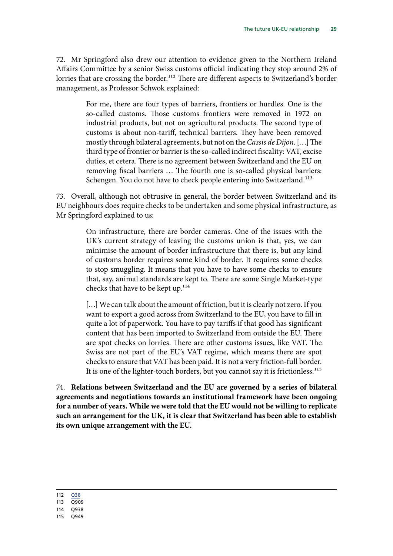72. Mr Springford also drew our attention to evidence given to the Northern Ireland Affairs Committee by a senior Swiss customs official indicating they stop around 2% of lorries that are crossing the border.<sup>112</sup> There are different aspects to Switzerland's border management, as Professor Schwok explained:

> For me, there are four types of barriers, frontiers or hurdles. One is the so-called customs. Those customs frontiers were removed in 1972 on industrial products, but not on agricultural products. The second type of customs is about non-tariff, technical barriers. They have been removed mostly through bilateral agreements, but not on the *Cassis de Dijon*. […] The third type of frontier or barrier is the so-called indirect fiscality: VAT, excise duties, et cetera. There is no agreement between Switzerland and the EU on removing fiscal barriers … The fourth one is so-called physical barriers: Schengen. You do not have to check people entering into Switzerland.<sup>113</sup>

73. Overall, although not obtrusive in general, the border between Switzerland and its EU neighbours does require checks to be undertaken and some physical infrastructure, as Mr Springford explained to us:

> On infrastructure, there are border cameras. One of the issues with the UK's current strategy of leaving the customs union is that, yes, we can minimise the amount of border infrastructure that there is, but any kind of customs border requires some kind of border. It requires some checks to stop smuggling. It means that you have to have some checks to ensure that, say, animal standards are kept to. There are some Single Market-type checks that have to be kept up.<sup>114</sup>

> [...] We can talk about the amount of friction, but it is clearly not zero. If you want to export a good across from Switzerland to the EU, you have to fill in quite a lot of paperwork. You have to pay tariffs if that good has significant content that has been imported to Switzerland from outside the EU. There are spot checks on lorries. There are other customs issues, like VAT. The Swiss are not part of the EU's VAT regime, which means there are spot checks to ensure that VAT has been paid. It is not a very friction-full border. It is one of the lighter-touch borders, but you cannot say it is frictionless.<sup>115</sup>

<span id="page-32-0"></span>74. **Relations between Switzerland and the EU are governed by a series of bilateral agreements and negotiations towards an institutional framework have been ongoing for a number of years. While we were told that the EU would not be willing to replicate such an arrangement for the UK, it is clear that Switzerland has been able to establish its own unique arrangement with the EU.**

112 038

113 Q909

114 Q938

115 Q949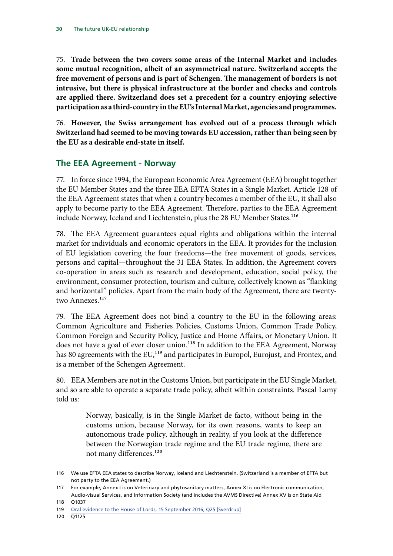<span id="page-33-1"></span><span id="page-33-0"></span>75. **Trade between the two covers some areas of the Internal Market and includes some mutual recognition, albeit of an asymmetrical nature. Switzerland accepts the free movement of persons and is part of Schengen. The management of borders is not intrusive, but there is physical infrastructure at the border and checks and controls are applied there. Switzerland does set a precedent for a country enjoying selective participation as a third-country in the EU's Internal Market, agencies and programmes.**

<span id="page-33-2"></span>76. **However, the Swiss arrangement has evolved out of a process through which Switzerland had seemed to be moving towards EU accession, rather than being seen by the EU as a desirable end-state in itself.**

## **The EEA Agreement - Norway**

77. In force since 1994, the European Economic Area Agreement (EEA) brought together the EU Member States and the three EEA EFTA States in a Single Market. Article 128 of the EEA Agreement states that when a country becomes a member of the EU, it shall also apply to become party to the EEA Agreement. Therefore, parties to the EEA Agreement include Norway, Iceland and Liechtenstein, plus the 28 EU Member States.<sup>116</sup>

78. The EEA Agreement guarantees equal rights and obligations within the internal market for individuals and economic operators in the EEA. It provides for the inclusion of EU legislation covering the four freedoms—the free movement of goods, services, persons and capital—throughout the 31 EEA States. In addition, the Agreement covers co-operation in areas such as research and development, education, social policy, the environment, consumer protection, tourism and culture, collectively known as "flanking and horizontal" policies. Apart from the main body of the Agreement, there are twentytwo Annexes.<sup>117</sup>

79. The EEA Agreement does not bind a country to the EU in the following areas: Common Agriculture and Fisheries Policies, Customs Union, Common Trade Policy, Common Foreign and Security Policy, Justice and Home Affairs, or Monetary Union. It does not have a goal of ever closer union.<sup>118</sup> In addition to the EEA Agreement, Norway has 80 agreements with the EU,<sup>119</sup> and participates in Europol, Eurojust, and Frontex, and is a member of the Schengen Agreement.

80. EEA Members are not in the Customs Union, but participate in the EU Single Market, and so are able to operate a separate trade policy, albeit within constraints. Pascal Lamy told us:

> Norway, basically, is in the Single Market de facto, without being in the customs union, because Norway, for its own reasons, wants to keep an autonomous trade policy, although in reality, if you look at the difference between the Norwegian trade regime and the EU trade regime, there are not many differences.<sup>120</sup>

<sup>116</sup> We use EFTA EEA states to describe Norway, Iceland and Liechtenstein. (Switzerland is a member of EFTA but not party to the EEA Agreement.)

<sup>117</sup> For example, Annex I is on Veterinary and phytosanitary matters, Annex XI is on Electronic communication, Audio-visual Services, and Information Society (and includes the AVMS Directive) Annex XV is on State Aid

<sup>118</sup> Q1037

<sup>119</sup> [Oral evidence to the House of Lords, 15 September 2016, Q25 \[Sverdrup\]](http://data.parliament.uk/writtenevidence/committeeevidence.svc/evidencedocument/eu-external-affairs-subcommittee/brexit-future-trade-between-the-uk-and-the-eu/oral/38449.html)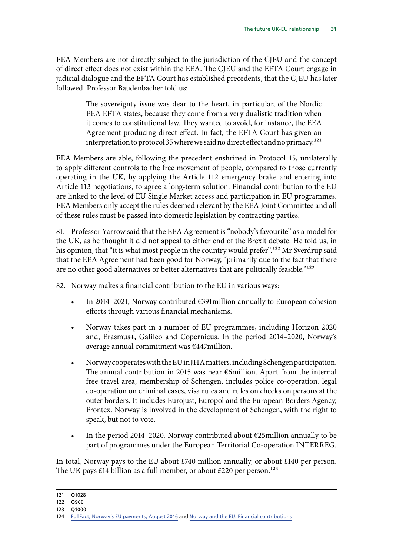EEA Members are not directly subject to the jurisdiction of the CJEU and the concept of direct effect does not exist within the EEA. The CJEU and the EFTA Court engage in judicial dialogue and the EFTA Court has established precedents, that the CJEU has later followed. Professor Baudenbacher told us:

> The sovereignty issue was dear to the heart, in particular, of the Nordic EEA EFTA states, because they come from a very dualistic tradition when it comes to constitutional law. They wanted to avoid, for instance, the EEA Agreement producing direct effect. In fact, the EFTA Court has given an interpretation to protocol 35 where we said no direct effect and no primacy.<sup>121</sup>

EEA Members are able, following the precedent enshrined in Protocol 15, unilaterally to apply different controls to the free movement of people, compared to those currently operating in the UK, by applying the Article 112 emergency brake and entering into Article 113 negotiations, to agree a long-term solution. Financial contribution to the EU are linked to the level of EU Single Market access and participation in EU programmes. EEA Members only accept the rules deemed relevant by the EEA Joint Committee and all of these rules must be passed into domestic legislation by contracting parties.

81. Professor Yarrow said that the EEA Agreement is "nobody's favourite" as a model for the UK, as he thought it did not appeal to either end of the Brexit debate. He told us, in his opinion, that "it is what most people in the country would prefer".<sup>122</sup> Mr Sverdrup said that the EEA Agreement had been good for Norway, "primarily due to the fact that there are no other good alternatives or better alternatives that are politically feasible."<sup>123</sup>

82. Norway makes a financial contribution to the EU in various ways:

- In 2014–2021, Norway contributed  $\epsilon$ 391 million annually to European cohesion efforts through various financial mechanisms.
- Norway takes part in a number of EU programmes, including Horizon 2020 and, Erasmus+, Galileo and Copernicus. In the period 2014–2020, Norway's average annual commitment was €447million.
- Norway cooperates with the EU in JHA matters, including Schengen participation. The annual contribution in 2015 was near €6million. Apart from the internal free travel area, membership of Schengen, includes police co-operation, legal co-operation on criminal cases, visa rules and rules on checks on persons at the outer borders. It includes Eurojust, Europol and the European Borders Agency, Frontex. Norway is involved in the development of Schengen, with the right to speak, but not to vote.
- In the period 2014–2020, Norway contributed about  $\epsilon$ 25million annually to be part of programmes under the European Territorial Co-operation INTERREG.

In total, Norway pays to the EU about £740 million annually, or about £140 per person. The UK pays £14 billion as a full member, or about £220 per person.<sup>124</sup>

<sup>121</sup> Q1028

<sup>122</sup> Q966

<sup>123</sup> Q1000

<sup>124</sup> [FullFact, Norway's EU payments, August 2016](https://fullfact.org/europe/norway-eu-payments/) and [Norway and the EU: Financial contributions](https://www.norway.no/en/missions/eu/areas-of-cooperation/financial-contribution/)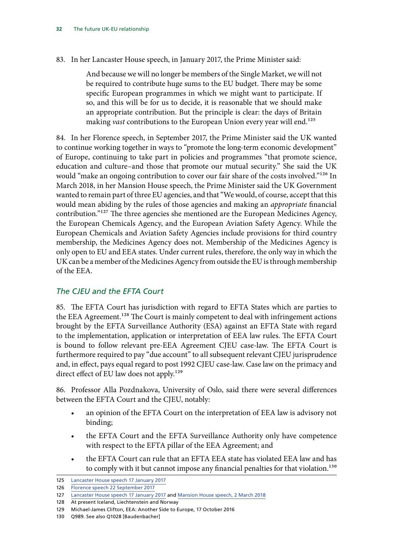#### 83. In her Lancaster House speech, in January 2017, the Prime Minister said:

And because we will no longer be members of the Single Market, we will not be required to contribute huge sums to the EU budget. There may be some specific European programmes in which we might want to participate. If so, and this will be for us to decide, it is reasonable that we should make an appropriate contribution. But the principle is clear: the days of Britain making *vast* contributions to the European Union every year will end.<sup>125</sup>

84. In her Florence speech, in September 2017, the Prime Minister said the UK wanted to continue working together in ways to "promote the long-term economic development" of Europe, continuing to take part in policies and programmes "that promote science, education and culture–and those that promote our mutual security." She said the UK would "make an ongoing contribution to cover our fair share of the costs involved."<sup>126</sup> In March 2018, in her Mansion House speech, the Prime Minister said the UK Government wanted to remain part of three EU agencies, and that "We would, of course, accept that this would mean abiding by the rules of those agencies and making an *appropriate* financial contribution."127 The three agencies she mentioned are the European Medicines Agency, the European Chemicals Agency, and the European Aviation Safety Agency. While the European Chemicals and Aviation Safety Agencies include provisions for third country membership, the Medicines Agency does not. Membership of the Medicines Agency is only open to EU and EEA states. Under current rules, therefore, the only way in which the UK can be a member of the Medicines Agency from outside the EU is through membership of the EEA.

#### *The CJEU and the EFTA Court*

85. The EFTA Court has jurisdiction with regard to EFTA States which are parties to the EEA Agreement.128 The Court is mainly competent to deal with infringement actions brought by the EFTA Surveillance Authority (ESA) against an EFTA State with regard to the implementation, application or interpretation of EEA law rules. The EFTA Court is bound to follow relevant pre-EEA Agreement CJEU case-law. The EFTA Court is furthermore required to pay "due account" to all subsequent relevant CJEU jurisprudence and, in effect, pays equal regard to post 1992 CJEU case-law. Case law on the primacy and direct effect of EU law does not apply.<sup>129</sup>

86. Professor Alla Pozdnakova, University of Oslo, said there were several differences between the EFTA Court and the CJEU, notably:

- an opinion of the EFTA Court on the interpretation of EEA law is advisory not binding;
- the EFTA Court and the EFTA Surveillance Authority only have competence with respect to the EFTA pillar of the EEA Agreement; and
- the EFTA Court can rule that an EFTA EEA state has violated EEA law and has to comply with it but cannot impose any financial penalties for that violation.<sup>130</sup>

<sup>125</sup> [Lancaster House speech 17 January 2017](https://www.gov.uk/government/speeches/the-governments-negotiating-objectives-for-exiting-the-eu-pm-speech)

<sup>126</sup> [Florence speech 22 September 2017](https://www.gov.uk/government/speeches/pms-florence-speech-a-new-era-of-cooperation-and-partnership-between-the-uk-and-the-eu)

<sup>127</sup> [Lancaster House speech 17 January 2017](https://www.gov.uk/government/speeches/the-governments-negotiating-objectives-for-exiting-the-eu-pm-speech) and [Mansion House speech, 2 March 2018](https://www.gov.uk/government/speeches/pm-speech-on-our-future-economic-partnership-with-the-european-union)

<sup>128</sup> At present Iceland, Liechtenstein and Norway

<sup>129</sup> Michael-James Clifton, EEA: Another Side to Europe, 17 October 2016

<sup>130</sup> Q989. See also Q1028 [Baudenbacher]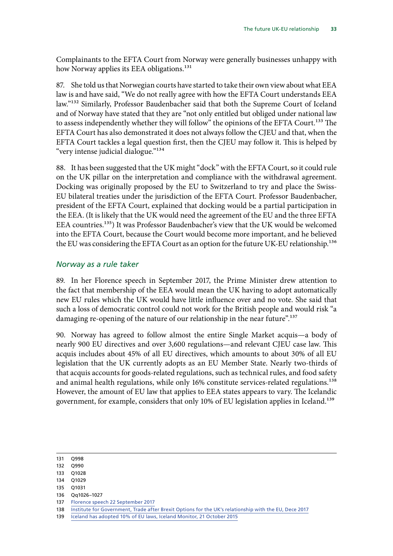Complainants to the EFTA Court from Norway were generally businesses unhappy with how Norway applies its EEA obligations.<sup>131</sup>

87. She told us that Norwegian courts have started to take their own view about what EEA law is and have said, "We do not really agree with how the EFTA Court understands EEA law."132 Similarly, Professor Baudenbacher said that both the Supreme Court of Iceland and of Norway have stated that they are "not only entitled but obliged under national law to assess independently whether they will follow" the opinions of the EFTA Court.<sup>133</sup> The EFTA Court has also demonstrated it does not always follow the CJEU and that, when the EFTA Court tackles a legal question first, then the CJEU may follow it. This is helped by "very intense judicial dialogue."134

88. It has been suggested that the UK might "dock" with the EFTA Court, so it could rule on the UK pillar on the interpretation and compliance with the withdrawal agreement. Docking was originally proposed by the EU to Switzerland to try and place the Swiss-EU bilateral treaties under the jurisdiction of the EFTA Court. Professor Baudenbacher, president of the EFTA Court, explained that docking would be a partial participation in the EEA. (It is likely that the UK would need the agreement of the EU and the three EFTA EEA countries.135) It was Professor Baudenbacher's view that the UK would be welcomed into the EFTA Court, because the Court would become more important, and he believed the EU was considering the EFTA Court as an option for the future UK-EU relationship.<sup>136</sup>

#### *Norway as a rule taker*

89. In her Florence speech in September 2017, the Prime Minister drew attention to the fact that membership of the EEA would mean the UK having to adopt automatically new EU rules which the UK would have little influence over and no vote. She said that such a loss of democratic control could not work for the British people and would risk "a damaging re-opening of the nature of our relationship in the near future".<sup>137</sup>

90. Norway has agreed to follow almost the entire Single Market acquis—a body of nearly 900 EU directives and over 3,600 regulations—and relevant CJEU case law. This acquis includes about 45% of all EU directives, which amounts to about 30% of all EU legislation that the UK currently adopts as an EU Member State. Nearly two-thirds of that acquis accounts for goods-related regulations, such as technical rules, and food safety and animal health regulations, while only 16% constitute services-related regulations.<sup>138</sup> However, the amount of EU law that applies to EEA states appears to vary. The Icelandic government, for example, considers that only 10% of EU legislation applies in Iceland.<sup>139</sup>

- 133 Q1028
- 134 Q1029
- 135 Q1031
- 136 Qq1026–1027
- 137 [Florence speech 22 September 2017](https://www.gov.uk/government/speeches/pms-florence-speech-a-new-era-of-cooperation-and-partnership-between-the-uk-and-the-eu)
- 138 [Institute for Government, Trade after Brexit Options for the UK's relationship](https://www.instituteforgovernment.org.uk/sites/default/files/publications/IFGJ5896-Brexit-Report-171214-final_0.pdf) with the EU, Dece 2017

<sup>131</sup> Q998

<sup>132</sup> Q990

<sup>139</sup> [Iceland has adopted 10% of EU laws, Iceland Monitor, 21 October 2015](https://icelandmonitor.mbl.is/news/politics_and_society/2015/10/21/iceland_has_adopted_10_prosent_of_eu_laws/)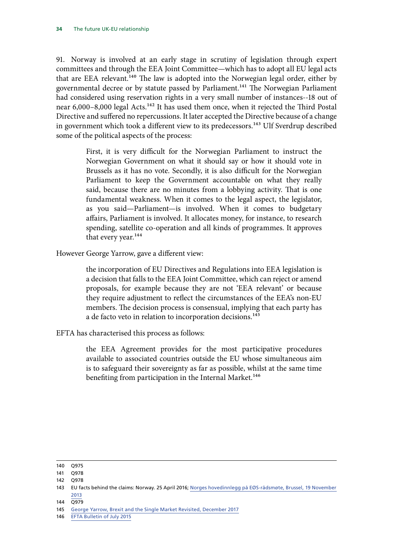91. Norway is involved at an early stage in scrutiny of legislation through expert committees and through the EEA Joint Committee—which has to adopt all EU legal acts that are EEA relevant.<sup>140</sup> The law is adopted into the Norwegian legal order, either by governmental decree or by statute passed by Parliament.<sup>141</sup> The Norwegian Parliament had considered using reservation rights in a very small number of instances--18 out of near 6,000–8,000 legal Acts.<sup>142</sup> It has used them once, when it rejected the Third Postal Directive and suffered no repercussions. It later accepted the Directive because of a change in government which took a different view to its predecessors.<sup>143</sup> Ulf Sverdrup described some of the political aspects of the process:

> First, it is very difficult for the Norwegian Parliament to instruct the Norwegian Government on what it should say or how it should vote in Brussels as it has no vote. Secondly, it is also difficult for the Norwegian Parliament to keep the Government accountable on what they really said, because there are no minutes from a lobbying activity. That is one fundamental weakness. When it comes to the legal aspect, the legislator, as you said—Parliament—is involved. When it comes to budgetary affairs, Parliament is involved. It allocates money, for instance, to research spending, satellite co-operation and all kinds of programmes. It approves that every year.<sup>144</sup>

However George Yarrow, gave a different view:

the incorporation of EU Directives and Regulations into EEA legislation is a decision that falls to the EEA Joint Committee, which can reject or amend proposals, for example because they are not 'EEA relevant' or because they require adjustment to reflect the circumstances of the EEA's non-EU members. The decision process is consensual, implying that each party has a de facto veto in relation to incorporation decisions.<sup>145</sup>

EFTA has characterised this process as follows:

the EEA Agreement provides for the most participative procedures available to associated countries outside the EU whose simultaneous aim is to safeguard their sovereignty as far as possible, whilst at the same time benefiting from participation in the Internal Market.<sup>146</sup>

140 Q975

<sup>141</sup> Q978

<sup>143</sup> EU facts behind the claims: Norway. 25 April 2016; [Norges hovedinnlegg på EØS-rådsmøte, Brussel, 19 November](https://www.regjeringen.no/no/aktuelt/innlegg_eos/id749504/)  [2013](https://www.regjeringen.no/no/aktuelt/innlegg_eos/id749504/)

<sup>144</sup> Q979

<sup>145</sup> [George Yarrow, Brexit and the Single Market Revisited, December 2017](http://www.rpieurope.org/Publications/Essays_New_Series/Essays_NS_7.2_Brexit_and_the_single_market_revisited.pdf)

<sup>146</sup> [EFTA Bulletin of July 2015](http://www.efta.int/sites/default/files/publications/bulletins/efta-bulletin-2015.pdf)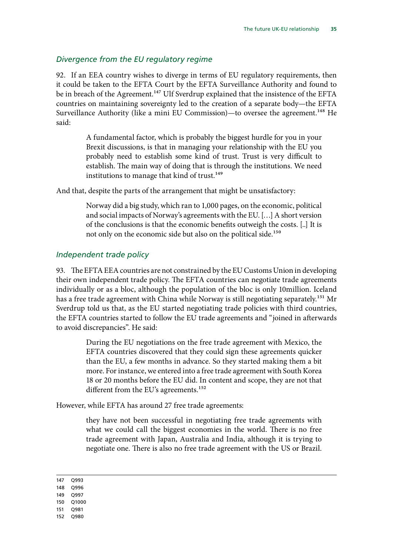#### *Divergence from the EU regulatory regime*

92. If an EEA country wishes to diverge in terms of EU regulatory requirements, then it could be taken to the EFTA Court by the EFTA Surveillance Authority and found to be in breach of the Agreement.<sup>147</sup> Ulf Sverdrup explained that the insistence of the EFTA countries on maintaining sovereignty led to the creation of a separate body—the EFTA Surveillance Authority (like a mini EU Commission)—to oversee the agreement.<sup>148</sup> He said:

> A fundamental factor, which is probably the biggest hurdle for you in your Brexit discussions, is that in managing your relationship with the EU you probably need to establish some kind of trust. Trust is very difficult to establish. The main way of doing that is through the institutions. We need institutions to manage that kind of trust.<sup>149</sup>

And that, despite the parts of the arrangement that might be unsatisfactory:

Norway did a big study, which ran to 1,000 pages, on the economic, political and social impacts of Norway's agreements with the EU. […] A short version of the conclusions is that the economic benefits outweigh the costs. [..] It is not only on the economic side but also on the political side.<sup>150</sup>

#### *Independent trade policy*

93. The EFTA EEA countries are not constrained by the EU Customs Union in developing their own independent trade policy. The EFTA countries can negotiate trade agreements individually or as a bloc, although the population of the bloc is only 10million. Iceland has a free trade agreement with China while Norway is still negotiating separately.<sup>151</sup> Mr Sverdrup told us that, as the EU started negotiating trade policies with third countries, the EFTA countries started to follow the EU trade agreements and "joined in afterwards to avoid discrepancies". He said:

> During the EU negotiations on the free trade agreement with Mexico, the EFTA countries discovered that they could sign these agreements quicker than the EU, a few months in advance. So they started making them a bit more. For instance, we entered into a free trade agreement with South Korea 18 or 20 months before the EU did. In content and scope, they are not that different from the EU's agreements.<sup>152</sup>

However, while EFTA has around 27 free trade agreements:

they have not been successful in negotiating free trade agreements with what we could call the biggest economies in the world. There is no free trade agreement with Japan, Australia and India, although it is trying to negotiate one. There is also no free trade agreement with the US or Brazil.

- 148 Q996
- 149 Q997
- 150 Q1000
- 151 Q981
- 152 Q980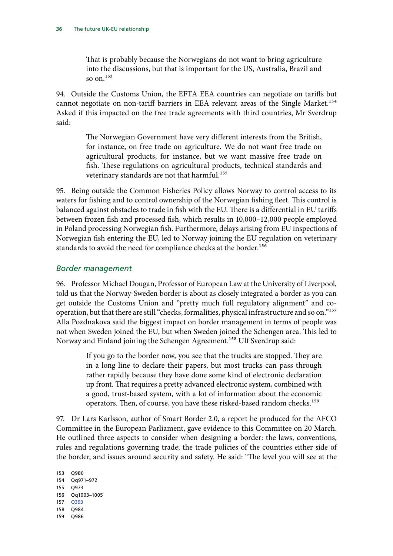That is probably because the Norwegians do not want to bring agriculture into the discussions, but that is important for the US, Australia, Brazil and so on $153$ 

94. Outside the Customs Union, the EFTA EEA countries can negotiate on tariffs but cannot negotiate on non-tariff barriers in EEA relevant areas of the Single Market.<sup>154</sup> Asked if this impacted on the free trade agreements with third countries, Mr Sverdrup said:

> The Norwegian Government have very different interests from the British, for instance, on free trade on agriculture. We do not want free trade on agricultural products, for instance, but we want massive free trade on fish. These regulations on agricultural products, technical standards and veterinary standards are not that harmful.<sup>155</sup>

95. Being outside the Common Fisheries Policy allows Norway to control access to its waters for fishing and to control ownership of the Norwegian fishing fleet. This control is balanced against obstacles to trade in fish with the EU. There is a differential in EU tariffs between frozen fish and processed fish, which results in 10,000–12,000 people employed in Poland processing Norwegian fish. Furthermore, delays arising from EU inspections of Norwegian fish entering the EU, led to Norway joining the EU regulation on veterinary standards to avoid the need for compliance checks at the border.<sup>156</sup>

#### *Border management*

96. Professor Michael Dougan, Professor of European Law at the University of Liverpool, told us that the Norway-Sweden border is about as closely integrated a border as you can get outside the Customs Union and "pretty much full regulatory alignment" and cooperation, but that there are still "checks, formalities, physical infrastructure and so on."157 Alla Pozdnakova said the biggest impact on border management in terms of people was not when Sweden joined the EU, but when Sweden joined the Schengen area. This led to Norway and Finland joining the Schengen Agreement.<sup>158</sup> Ulf Sverdrup said:

> If you go to the border now, you see that the trucks are stopped. They are in a long line to declare their papers, but most trucks can pass through rather rapidly because they have done some kind of electronic declaration up front. That requires a pretty advanced electronic system, combined with a good, trust-based system, with a lot of information about the economic operators. Then, of course, you have these risked-based random checks.<sup>159</sup>

97. Dr Lars Karlsson, author of Smart Border 2.0, a report he produced for the AFCO Committee in the European Parliament, gave evidence to this Committee on 20 March. He outlined three aspects to consider when designing a border: the laws, conventions, rules and regulations governing trade; the trade policies of the countries either side of the border, and issues around security and safety. He said: "The level you will see at the

153 Q980 154 Qq971–972 155 Q973 156 Qq1003–1005 157 [Q393](http://data.parliament.uk/writtenevidence/committeeevidence.svc/evidencedocument/exiting-the-european-union-committee/the-progress-of-the-uks-negotiations-on-eu-withdrawal/oral/76157.pdf) 158 Q984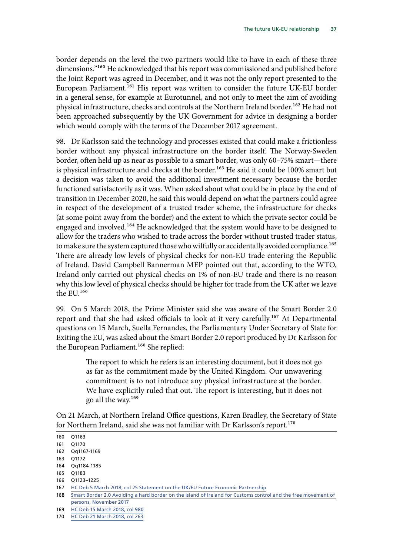border depends on the level the two partners would like to have in each of these three dimensions."<sup>160</sup> He acknowledged that his report was commissioned and published before the Joint Report was agreed in December, and it was not the only report presented to the European Parliament.<sup>161</sup> His report was written to consider the future UK-EU border in a general sense, for example at Eurotunnel, and not only to meet the aim of avoiding physical infrastructure, checks and controls at the Northern Ireland border.<sup>162</sup> He had not been approached subsequently by the UK Government for advice in designing a border which would comply with the terms of the December 2017 agreement.

98. Dr Karlsson said the technology and processes existed that could make a frictionless border without any physical infrastructure on the border itself. The Norway-Sweden border, often held up as near as possible to a smart border, was only 60–75% smart—there is physical infrastructure and checks at the border.<sup>163</sup> He said it could be 100% smart but a decision was taken to avoid the additional investment necessary because the border functioned satisfactorily as it was. When asked about what could be in place by the end of transition in December 2020, he said this would depend on what the partners could agree in respect of the development of a trusted trader scheme, the infrastructure for checks (at some point away from the border) and the extent to which the private sector could be engaged and involved.<sup>164</sup> He acknowledged that the system would have to be designed to allow for the traders who wished to trade across the border without trusted trader status, to make sure the system captured those who wilfully or accidentally avoided compliance.<sup>165</sup> There are already low levels of physical checks for non-EU trade entering the Republic of Ireland. David Campbell Bannerman MEP pointed out that, according to the WTO, Ireland only carried out physical checks on 1% of non-EU trade and there is no reason why this low level of physical checks should be higher for trade from the UK after we leave the EU.166

99. On 5 March 2018, the Prime Minister said she was aware of the Smart Border 2.0 report and that she had asked officials to look at it very carefully.<sup>167</sup> At Departmental questions on 15 March, Suella Fernandes, the Parliamentary Under Secretary of State for Exiting the EU, was asked about the Smart Border 2.0 report produced by Dr Karlsson for the European Parliament.<sup>168</sup> She replied:

> The report to which he refers is an interesting document, but it does not go as far as the commitment made by the United Kingdom. Our unwavering commitment is to not introduce any physical infrastructure at the border. We have explicitly ruled that out. The report is interesting, but it does not go all the way.169

On 21 March, at Northern Ireland Office questions, Karen Bradley, the Secretary of State for Northern Ireland, said she was not familiar with Dr Karlsson's report.<sup>170</sup>

163 Q1172

168 [Smart Border 2.0 Avoiding a hard border on the island of Ireland for Customs control and the free movement of](http://www.europarl.europa.eu/RegData/etudes/STUD/2017/596828/IPOL_STU(2017)596828_EN.pdf)  [persons, November 2017](http://www.europarl.europa.eu/RegData/etudes/STUD/2017/596828/IPOL_STU(2017)596828_EN.pdf)

<sup>160</sup> Q1163 161 Q1170

<sup>162</sup> Qq1167-1169

<sup>164</sup> Qq1184-1185 165 Q1183

<sup>166</sup> Q1123–1225

<sup>167</sup> [HC Deb 5 March 2018, col 25 Statement on the UK/EU Future Economic Partnership](https://hansard.parliament.uk/Commons/2018-03-05/debates/2F58E7E5-EEF6-4B6D-9C04-6DDF431F1D9F/UKEUFutureEconomicPartnership)

<sup>169</sup> [HC Deb 15 March 2018, col 980](https://hansard.parliament.uk/Commons/2018-03-15/debates/C0CBCB0C-F813-41BC-87B9-CE7E9290AFE4/ExitingTheEuropeanUnion)

<sup>170</sup> [HC Deb 21 March 2018, col 263](https://hansard.parliament.uk/Commons/2018-03-21/debates/2476D6CF-BC2F-4A4A-9A7D-A96D5E97219D/LeavingTheEUCross-BorderTrade)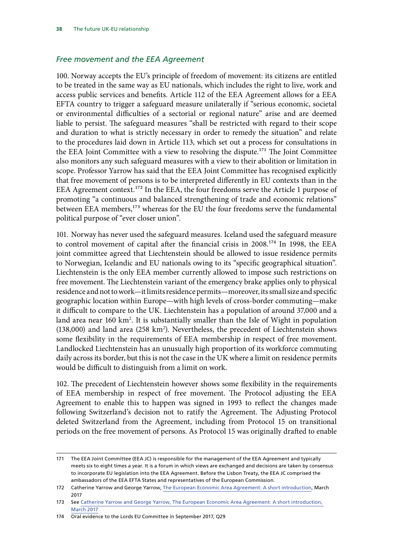## *Free movement and the EEA Agreement*

100. Norway accepts the EU's principle of freedom of movement: its citizens are entitled to be treated in the same way as EU nationals, which includes the right to live, work and access public services and benefits. Article 112 of the EEA Agreement allows for a EEA EFTA country to trigger a safeguard measure unilaterally if "serious economic, societal or environmental difficulties of a sectorial or regional nature" arise and are deemed liable to persist. The safeguard measures "shall be restricted with regard to their scope and duration to what is strictly necessary in order to remedy the situation" and relate to the procedures laid down in Article 113, which set out a process for consultations in the EEA Joint Committee with a view to resolving the dispute.<sup>171</sup> The Joint Committee also monitors any such safeguard measures with a view to their abolition or limitation in scope. Professor Yarrow has said that the EEA Joint Committee has recognised explicitly that free movement of persons is to be interpreted differently in EU contexts than in the EEA Agreement context.<sup>172</sup> In the EEA, the four freedoms serve the Article 1 purpose of promoting "a continuous and balanced strengthening of trade and economic relations" between EEA members,<sup>173</sup> whereas for the EU the four freedoms serve the fundamental political purpose of "ever closer union".

101. Norway has never used the safeguard measures. Iceland used the safeguard measure to control movement of capital after the financial crisis in 2008.<sup>174</sup> In 1998, the EEA joint committee agreed that Liechtenstein should be allowed to issue residence permits to Norwegian, Icelandic and EU nationals owing to its "specific geographical situation". Liechtenstein is the only EEA member currently allowed to impose such restrictions on free movement. The Liechtenstein variant of the emergency brake applies only to physical residence and not to work—it limits residence permits—moreover, its small size and specific geographic location within Europe—with high levels of cross-border commuting—make it difficult to compare to the UK. Liechtenstein has a population of around 37,000 and a land area near 160 km<sup>2</sup>. It is substantially smaller than the Isle of Wight in population  $(138,000)$  and land area  $(258 \text{ km}^2)$ . Nevertheless, the precedent of Liechtenstein shows some flexibility in the requirements of EEA membership in respect of free movement. Landlocked Liechtenstein has an unusually high proportion of its workforce commuting daily across its border, but this is not the case in the UK where a limit on residence permits would be difficult to distinguish from a limit on work.

102. The precedent of Liechtenstein however shows some flexibility in the requirements of EEA membership in respect of free movement. The Protocol adjusting the EEA Agreement to enable this to happen was signed in 1993 to reflect the changes made following Switzerland's decision not to ratify the Agreement. The Adjusting Protocol deleted Switzerland from the Agreement, including from Protocol 15 on transitional periods on the free movement of persons. As Protocol 15 was originally drafted to enable

<sup>171</sup> The EEA Joint Committee (EEA JC) is responsible for the management of the EEA Agreement and typically meets six to eight times a year. It is a forum in which views are exchanged and decisions are taken by consensus to incorporate EU legislation into the EEA Agreement. Before the Lisbon Treaty, the EEA JC comprised the ambassadors of the EEA EFTA States and representatives of the European Commission.

<sup>172</sup> Catherine Yarrow and George Yarrow, [The European Economic Area Agreement: A short introduction,](http://www.rpieurope.org/Publications/Studies_New_Series/Studies_NS1_7_Yarrows_on_the_EEA_March_2017.pdf) March 2017

<sup>173</sup> See [Catherine Yarrow and George Yarrow, The European Economic Area Agreement: A short introduction,](http://www.rpieurope.org/Publications/Studies_New_Series/Studies_NS1_7_Yarrows_on_the_EEA_March_2017.pdf)  [March 2017](http://www.rpieurope.org/Publications/Studies_New_Series/Studies_NS1_7_Yarrows_on_the_EEA_March_2017.pdf)

<sup>174</sup> Oral evidence to the Lords EU Committee in September 2017, Q29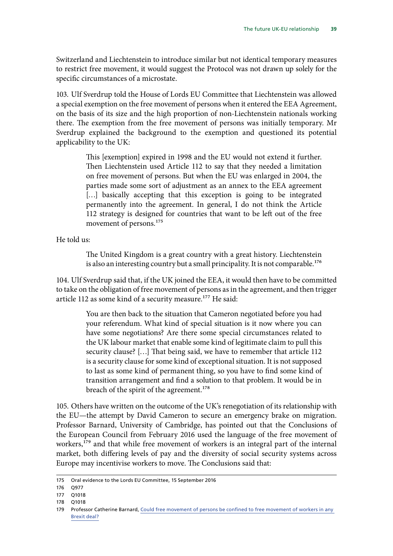Switzerland and Liechtenstein to introduce similar but not identical temporary measures to restrict free movement, it would suggest the Protocol was not drawn up solely for the specific circumstances of a microstate.

103. Ulf Sverdrup told the House of Lords EU Committee that Liechtenstein was allowed a special exemption on the free movement of persons when it entered the EEA Agreement, on the basis of its size and the high proportion of non-Liechtenstein nationals working there. The exemption from the free movement of persons was initially temporary. Mr Sverdrup explained the background to the exemption and questioned its potential applicability to the UK:

> This [exemption] expired in 1998 and the EU would not extend it further. Then Liechtenstein used Article 112 to say that they needed a limitation on free movement of persons. But when the EU was enlarged in 2004, the parties made some sort of adjustment as an annex to the EEA agreement [...] basically accepting that this exception is going to be integrated permanently into the agreement. In general, I do not think the Article 112 strategy is designed for countries that want to be left out of the free movement of persons.<sup>175</sup>

He told us:

The United Kingdom is a great country with a great history. Liechtenstein is also an interesting country but a small principality. It is not comparable.<sup>176</sup>

104. Ulf Sverdrup said that, if the UK joined the EEA, it would then have to be committed to take on the obligation of free movement of persons as in the agreement, and then trigger article 112 as some kind of a security measure.<sup>177</sup> He said:

> You are then back to the situation that Cameron negotiated before you had your referendum. What kind of special situation is it now where you can have some negotiations? Are there some special circumstances related to the UK labour market that enable some kind of legitimate claim to pull this security clause? […] That being said, we have to remember that article 112 is a security clause for some kind of exceptional situation. It is not supposed to last as some kind of permanent thing, so you have to find some kind of transition arrangement and find a solution to that problem. It would be in breach of the spirit of the agreement.<sup>178</sup>

105. Others have written on the outcome of the UK's renegotiation of its relationship with the EU—the attempt by David Cameron to secure an emergency brake on migration. Professor Barnard, University of Cambridge, has pointed out that the Conclusions of the European Council from February 2016 used the language of the free movement of workers,<sup>179</sup> and that while free movement of workers is an integral part of the internal market, both differing levels of pay and the diversity of social security systems across Europe may incentivise workers to move. The Conclusions said that:

<sup>175</sup> Oral evidence to the Lords EU Committee, 15 September 2016

<sup>176</sup> Q977

<sup>177</sup> Q1018

<sup>178</sup> Q1018

<sup>179</sup> Professor Catherine Barnard, [Could free movement of persons be confined to free movement of workers in any](http://ukandeu.ac.uk/explainers/could-free-movement-of-persons-be-confined-to-free-movement-of-workers-in-any-brexit-deal/)  [Brexit deal?](http://ukandeu.ac.uk/explainers/could-free-movement-of-persons-be-confined-to-free-movement-of-workers-in-any-brexit-deal/)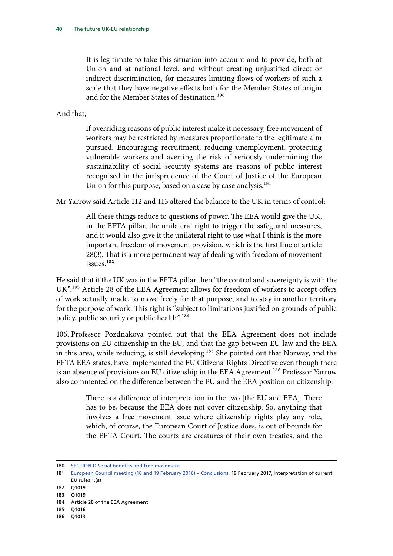It is legitimate to take this situation into account and to provide, both at Union and at national level, and without creating unjustified direct or indirect discrimination, for measures limiting flows of workers of such a scale that they have negative effects both for the Member States of origin and for the Member States of destination.<sup>180</sup>

And that,

if overriding reasons of public interest make it necessary, free movement of workers may be restricted by measures proportionate to the legitimate aim pursued. Encouraging recruitment, reducing unemployment, protecting vulnerable workers and averting the risk of seriously undermining the sustainability of social security systems are reasons of public interest recognised in the jurisprudence of the Court of Justice of the European Union for this purpose, based on a case by case analysis.<sup>181</sup>

Mr Yarrow said Article 112 and 113 altered the balance to the UK in terms of control:

All these things reduce to questions of power. The EEA would give the UK, in the EFTA pillar, the unilateral right to trigger the safeguard measures, and it would also give it the unilateral right to use what I think is the more important freedom of movement provision, which is the first line of article 28(3). That is a more permanent way of dealing with freedom of movement issues.182

He said that if the UK was in the EFTA pillar then "the control and sovereignty is with the UK".<sup>183</sup> Article 28 of the EEA Agreement allows for freedom of workers to accept offers of work actually made, to move freely for that purpose, and to stay in another territory for the purpose of work. This right is "subject to limitations justified on grounds of public policy, public security or public health".184

106. Professor Pozdnakova pointed out that the EEA Agreement does not include provisions on EU citizenship in the EU, and that the gap between EU law and the EEA in this area, while reducing, is still developing.<sup>185</sup> She pointed out that Norway, and the EFTA EEA states, have implemented the EU Citizens' Rights Directive even though there is an absence of provisions on EU citizenship in the EEA Agreement.<sup>186</sup> Professor Yarrow also commented on the difference between the EU and the EEA position on citizenship:

> There is a difference of interpretation in the two [the EU and EEA]. There has to be, because the EEA does not cover citizenship. So, anything that involves a free movement issue where citizenship rights play any role, which, of course, the European Court of Justice does, is out of bounds for the EFTA Court. The courts are creatures of their own treaties, and the

<sup>180</sup> [SECTION D Social benefits and free movement](http://www.consilium.europa.eu/media/21787/0216-euco-conclusions.pdf)

<sup>181</sup> [European Council meeting \(18 and 19 February 2016\) – Conclusions](http://www.consilium.europa.eu/media/21787/0216-euco-conclusions.pdf), 19 February 2017, Interpretation of current EU rules 1.(a)

<sup>182</sup> Q1019.

<sup>183</sup> Q1019

<sup>184</sup> Article 28 of the EEA Agreement

<sup>185</sup> Q1016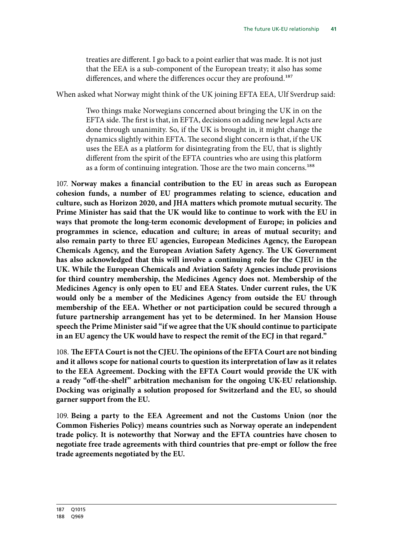treaties are different. I go back to a point earlier that was made. It is not just that the EEA is a sub-component of the European treaty; it also has some differences, and where the differences occur they are profound.<sup>187</sup>

When asked what Norway might think of the UK joining EFTA EEA, Ulf Sverdrup said:

Two things make Norwegians concerned about bringing the UK in on the EFTA side. The first is that, in EFTA, decisions on adding new legal Acts are done through unanimity. So, if the UK is brought in, it might change the dynamics slightly within EFTA. The second slight concern is that, if the UK uses the EEA as a platform for disintegrating from the EU, that is slightly different from the spirit of the EFTA countries who are using this platform as a form of continuing integration. Those are the two main concerns.<sup>188</sup>

107. **Norway makes a financial contribution to the EU in areas such as European cohesion funds, a number of EU programmes relating to science, education and culture, such as Horizon 2020, and JHA matters which promote mutual security. The Prime Minister has said that the UK would like to continue to work with the EU in ways that promote the long-term economic development of Europe; in policies and programmes in science, education and culture; in areas of mutual security; and also remain party to three EU agencies, European Medicines Agency, the European Chemicals Agency, and the European Aviation Safety Agency. The UK Government has also acknowledged that this will involve a continuing role for the CJEU in the UK. While the European Chemicals and Aviation Safety Agencies include provisions for third country membership, the Medicines Agency does not. Membership of the Medicines Agency is only open to EU and EEA States. Under current rules, the UK would only be a member of the Medicines Agency from outside the EU through membership of the EEA. Whether or not participation could be secured through a future partnership arrangement has yet to be determined. In her Mansion House speech the Prime Minister said "if we agree that the UK should continue to participate in an EU agency the UK would have to respect the remit of the ECJ in that regard."**

108. The EFTA Court is not the CJEU. The opinions of the EFTA Court are not binding **and it allows scope for national courts to question its interpretation of law as it relates to the EEA Agreement. Docking with the EFTA Court would provide the UK with a ready "off-the-shelf" arbitration mechanism for the ongoing UK-EU relationship. Docking was originally a solution proposed for Switzerland and the EU, so should garner support from the EU.**

109. **Being a party to the EEA Agreement and not the Customs Union (nor the Common Fisheries Policy) means countries such as Norway operate an independent trade policy. It is noteworthy that Norway and the EFTA countries have chosen to negotiate free trade agreements with third countries that pre-empt or follow the free trade agreements negotiated by the EU.**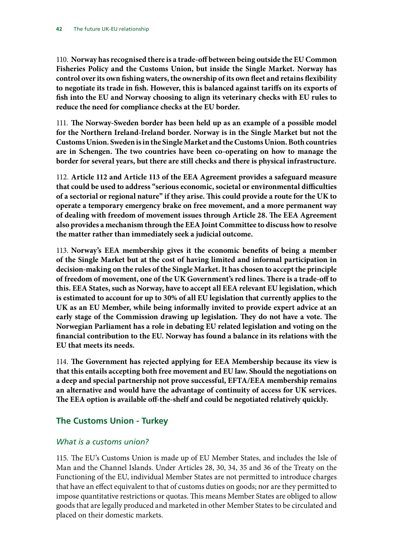110. **Norway has recognised there is a trade-off between being outside the EU Common Fisheries Policy and the Customs Union, but inside the Single Market. Norway has control over its own fishing waters, the ownership of its own fleet and retains flexibility to negotiate its trade in fish. However, this is balanced against tariffs on its exports of fish into the EU and Norway choosing to align its veterinary checks with EU rules to reduce the need for compliance checks at the EU border.**

111. The Norway-Sweden border has been held up as an example of a possible model **for the Northern Ireland-Ireland border. Norway is in the Single Market but not the Customs Union. Sweden is in the Single Market and the Customs Union. Both countries are in Schengen. The two countries have been co-operating on how to manage the border for several years, but there are still checks and there is physical infrastructure.**

112. **Article 112 and Article 113 of the EEA Agreement provides a safeguard measure that could be used to address "serious economic, societal or environmental difficulties of a sectorial or regional nature" if they arise. This could provide a route for the UK to operate a temporary emergency brake on free movement, and a more permanent way of dealing with freedom of movement issues through Article 28. The EEA Agreement also provides a mechanism through the EEA Joint Committee to discuss how to resolve the matter rather than immediately seek a judicial outcome.**

113. **Norway's EEA membership gives it the economic benefits of being a member of the Single Market but at the cost of having limited and informal participation in decision-making on the rules of the Single Market. It has chosen to accept the principle of freedom of movement, one of the UK Government's red lines. There is a trade-off to this. EEA States, such as Norway, have to accept all EEA relevant EU legislation, which is estimated to account for up to 30% of all EU legislation that currently applies to the UK as an EU Member, while being informally invited to provide expert advice at an early stage of the Commission drawing up legislation. They do not have a vote. The Norwegian Parliament has a role in debating EU related legislation and voting on the financial contribution to the EU. Norway has found a balance in its relations with the EU that meets its needs.**

114. The Government has rejected applying for EEA Membership because its view is **that this entails accepting both free movement and EU law. Should the negotiations on a deep and special partnership not prove successful, EFTA/EEA membership remains an alternative and would have the advantage of continuity of access for UK services. The EEA option is available off-the-shelf and could be negotiated relatively quickly.**

## **The Customs Union - Turkey**

## *What is a customs union?*

115. The EU's Customs Union is made up of EU Member States, and includes the Isle of Man and the Channel Islands. Under Articles 28, 30, 34, 35 and 36 of the Treaty on the Functioning of the EU, individual Member States are not permitted to introduce charges that have an effect equivalent to that of customs duties on goods; nor are they permitted to impose quantitative restrictions or quotas. This means Member States are obliged to allow goods that are legally produced and marketed in other Member States to be circulated and placed on their domestic markets.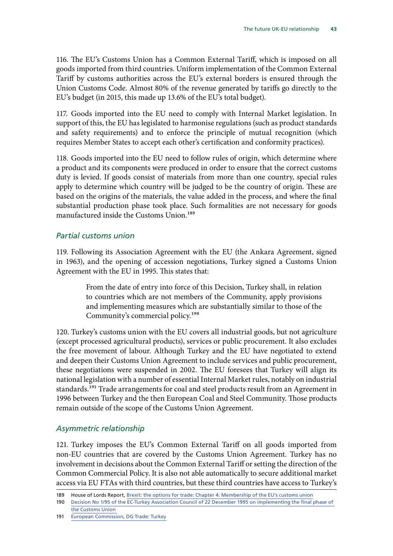116. The EU's Customs Union has a Common External Tariff, which is imposed on all goods imported from third countries. Uniform implementation of the Common External Tariff by customs authorities across the EU's external borders is ensured through the Union Customs Code. Almost 80% of the revenue generated by tariffs go directly to the EU's budget (in 2015, this made up 13.6% of the EU's total budget).

117. Goods imported into the EU need to comply with Internal Market legislation. In support of this, the EU has legislated to harmonise regulations (such as product standards and safety requirements) and to enforce the principle of mutual recognition (which requires Member States to accept each other's certification and conformity practices).

118. Goods imported into the EU need to follow rules of origin, which determine where a product and its components were produced in order to ensure that the correct customs duty is levied. If goods consist of materials from more than one country, special rules apply to determine which country will be judged to be the country of origin. These are based on the origins of the materials, the value added in the process, and where the final substantial production phase took place. Such formalities are not necessary for goods manufactured inside the Customs Union.<sup>189</sup>

#### *Partial customs union*

119. Following its Association Agreement with the EU (the Ankara Agreement, signed in 1963), and the opening of accession negotiations, Turkey signed a Customs Union Agreement with the EU in 1995. This states that:

> From the date of entry into force of this Decision, Turkey shall, in relation to countries which are not members of the Community, apply provisions and implementing measures which are substantially similar to those of the Community's commercial policy.190

120. Turkey's customs union with the EU covers all industrial goods, but not agriculture (except processed agricultural products), services or public procurement. It also excludes the free movement of labour. Although Turkey and the EU have negotiated to extend and deepen their Customs Union Agreement to include services and public procurement, these negotiations were suspended in 2002. The EU foresees that Turkey will align its national legislation with a number of essential Internal Market rules, notably on industrial standards.<sup>191</sup> Trade arrangements for coal and steel products result from an Agreement in 1996 between Turkey and the then European Coal and Steel Community. Those products remain outside of the scope of the Customs Union Agreement.

#### *Asymmetric relationship*

121. Turkey imposes the EU's Common External Tariff on all goods imported from non-EU countries that are covered by the Customs Union Agreement. Turkey has no involvement in decisions about the Common External Tariff or setting the direction of the Common Commercial Policy. It is also not able automatically to secure additional market access via EU FTAs with third countries, but these third countries have access to Turkey's

<sup>189</sup> House of Lords Report, [Brexit: the options for trade: Chapter 4: Membership of the EU's customs union](https://publications.parliament.uk/pa/ld201617/ldselect/ldeucom/72/7207.htm)

<sup>190</sup> Decision No 1/95 of the EC-Turkey Association Council of 22 December 1995 on implementing the final phase of [the Customs Union](http://eur-lex.europa.eu/legal-content/EN/TXT/PDF/?uri=CELEX:21996D0213%2801%29&rid=2)

<sup>191</sup> [European Commission, DG Trade: Turkey](http://ec.europa.eu/trade/policy/countries-and-regions/countries/turkey/index_en.htm)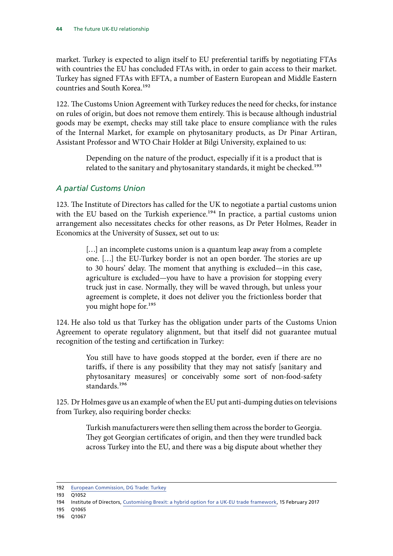market. Turkey is expected to align itself to EU preferential tariffs by negotiating FTAs with countries the EU has concluded FTAs with, in order to gain access to their market. Turkey has signed FTAs with EFTA, a number of Eastern European and Middle Eastern countries and South Korea.<sup>192</sup>

122. The Customs Union Agreement with Turkey reduces the need for checks, for instance on rules of origin, but does not remove them entirely. This is because although industrial goods may be exempt, checks may still take place to ensure compliance with the rules of the Internal Market, for example on phytosanitary products, as Dr Pinar Artiran, Assistant Professor and WTO Chair Holder at Bilgi University, explained to us:

> Depending on the nature of the product, especially if it is a product that is related to the sanitary and phytosanitary standards, it might be checked.<sup>193</sup>

## *A partial Customs Union*

123. The Institute of Directors has called for the UK to negotiate a partial customs union with the EU based on the Turkish experience.<sup>194</sup> In practice, a partial customs union arrangement also necessitates checks for other reasons, as Dr Peter Holmes, Reader in Economics at the University of Sussex, set out to us:

> [...] an incomplete customs union is a quantum leap away from a complete one. […] the EU-Turkey border is not an open border. The stories are up to 30 hours' delay. The moment that anything is excluded—in this case, agriculture is excluded—you have to have a provision for stopping every truck just in case. Normally, they will be waved through, but unless your agreement is complete, it does not deliver you the frictionless border that you might hope for.195

124. He also told us that Turkey has the obligation under parts of the Customs Union Agreement to operate regulatory alignment, but that itself did not guarantee mutual recognition of the testing and certification in Turkey:

> You still have to have goods stopped at the border, even if there are no tariffs, if there is any possibility that they may not satisfy [sanitary and phytosanitary measures] or conceivably some sort of non-food-safety standards.196

125. Dr Holmes gave us an example of when the EU put anti-dumping duties on televisions from Turkey, also requiring border checks:

> Turkish manufacturers were then selling them across the border to Georgia. They got Georgian certificates of origin, and then they were trundled back across Turkey into the EU, and there was a big dispute about whether they

 $193 \overline{01052}$ 

- 195 Q1065
- 196 Q1067

<sup>192</sup> [European Commission, DG Trade: Turkey](http://ec.europa.eu/trade/policy/countries-and-regions/countries/turkey/index_en.htm)

<sup>194</sup> Institute of Directors, [Customising Brexit: a hybrid option for a UK-EU trade framework](https://www.iod.com/Portals/0/PDFs/Campaigns%20and%20Reports/Europe%20and%20trade/IoD-Customising-Brexit.pdf?ver=2018-02-15-083137-800), 15 February 2017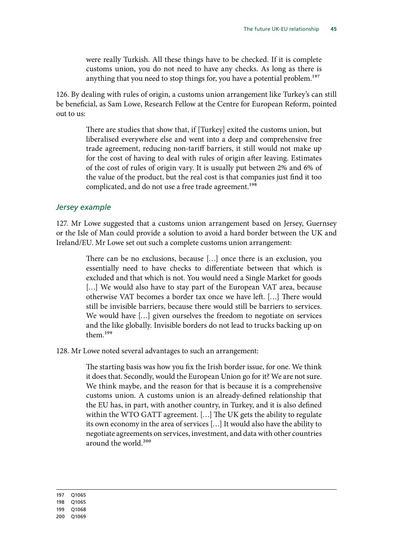were really Turkish. All these things have to be checked. If it is complete customs union, you do not need to have any checks. As long as there is anything that you need to stop things for, you have a potential problem.<sup>197</sup>

126. By dealing with rules of origin, a customs union arrangement like Turkey's can still be beneficial, as Sam Lowe, Research Fellow at the Centre for European Reform, pointed out to us:

> There are studies that show that, if [Turkey] exited the customs union, but liberalised everywhere else and went into a deep and comprehensive free trade agreement, reducing non-tariff barriers, it still would not make up for the cost of having to deal with rules of origin after leaving. Estimates of the cost of rules of origin vary. It is usually put between 2% and 6% of the value of the product, but the real cost is that companies just find it too complicated, and do not use a free trade agreement.<sup>198</sup>

#### *Jersey example*

127. Mr Lowe suggested that a customs union arrangement based on Jersey, Guernsey or the Isle of Man could provide a solution to avoid a hard border between the UK and Ireland/EU. Mr Lowe set out such a complete customs union arrangement:

> There can be no exclusions, because […] once there is an exclusion, you essentially need to have checks to differentiate between that which is excluded and that which is not. You would need a Single Market for goods [...] We would also have to stay part of the European VAT area, because otherwise VAT becomes a border tax once we have left. […] There would still be invisible barriers, because there would still be barriers to services. We would have […] given ourselves the freedom to negotiate on services and the like globally. Invisible borders do not lead to trucks backing up on them.199

128. Mr Lowe noted several advantages to such an arrangement:

The starting basis was how you fix the Irish border issue, for one. We think it does that. Secondly, would the European Union go for it? We are not sure. We think maybe, and the reason for that is because it is a comprehensive customs union. A customs union is an already-defined relationship that the EU has, in part, with another country, in Turkey, and it is also defined within the WTO GATT agreement. […] The UK gets the ability to regulate its own economy in the area of services […] It would also have the ability to negotiate agreements on services, investment, and data with other countries around the world.<sup>200</sup>

197 Q1065 198 Q1065

<sup>200</sup> Q1069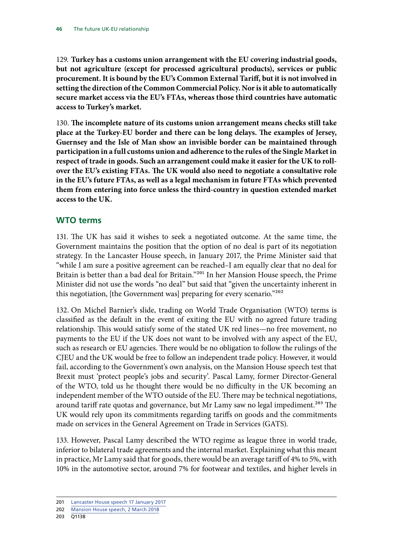129. **Turkey has a customs union arrangement with the EU covering industrial goods, but not agriculture (except for processed agricultural products), services or public procurement. It is bound by the EU's Common External Tariff, but it is not involved in setting the direction of the Common Commercial Policy. Nor is it able to automatically secure market access via the EU's FTAs, whereas those third countries have automatic access to Turkey's market.**

130. The incomplete nature of its customs union arrangement means checks still take **place at the Turkey-EU border and there can be long delays. The examples of Jersey, Guernsey and the Isle of Man show an invisible border can be maintained through participation in a full customs union and adherence to the rules of the Single Market in respect of trade in goods. Such an arrangement could make it easier for the UK to rollover the EU's existing FTAs. The UK would also need to negotiate a consultative role in the EU's future FTAs, as well as a legal mechanism in future FTAs which prevented them from entering into force unless the third-country in question extended market access to the UK.**

## **WTO terms**

131. The UK has said it wishes to seek a negotiated outcome. At the same time, the Government maintains the position that the option of no deal is part of its negotiation strategy. In the Lancaster House speech, in January 2017, the Prime Minister said that "while I am sure a positive agreement can be reached–I am equally clear that no deal for Britain is better than a bad deal for Britain."201 In her Mansion House speech, the Prime Minister did not use the words "no deal" but said that "given the uncertainty inherent in this negotiation, [the Government was] preparing for every scenario."<sup>202</sup>

132. On Michel Barnier's slide, trading on World Trade Organisation (WTO) terms is classified as the default in the event of exiting the EU with no agreed future trading relationship. This would satisfy some of the stated UK red lines—no free movement, no payments to the EU if the UK does not want to be involved with any aspect of the EU, such as research or EU agencies. There would be no obligation to follow the rulings of the CJEU and the UK would be free to follow an independent trade policy. However, it would fail, according to the Government's own analysis, on the Mansion House speech test that Brexit must 'protect people's jobs and security'. Pascal Lamy, former Director-General of the WTO, told us he thought there would be no difficulty in the UK becoming an independent member of the WTO outside of the EU. There may be technical negotiations, around tariff rate quotas and governance, but Mr Lamy saw no legal impediment.<sup>203</sup> The UK would rely upon its commitments regarding tariffs on goods and the commitments made on services in the General Agreement on Trade in Services (GATS).

133. However, Pascal Lamy described the WTO regime as league three in world trade, inferior to bilateral trade agreements and the internal market. Explaining what this meant in practice, Mr Lamy said that for goods, there would be an average tariff of 4% to 5%, with 10% in the automotive sector, around 7% for footwear and textiles, and higher levels in

<sup>201</sup> [Lancaster House speech 17 January 2017](https://www.gov.uk/government/speeches/the-governments-negotiating-objectives-for-exiting-the-eu-pm-speech)

<sup>202</sup> [Mansion House speech, 2 March 2018](https://www.gov.uk/government/speeches/pm-speech-on-our-future-economic-partnership-with-the-european-union)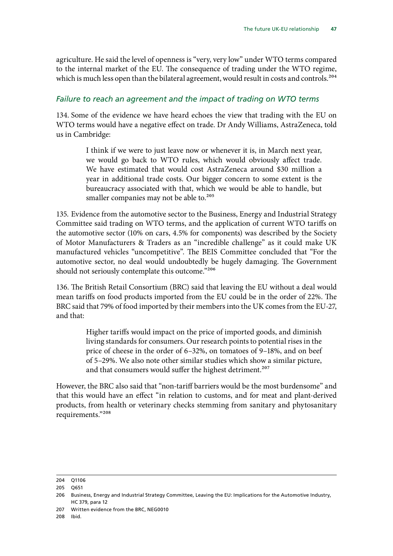agriculture. He said the level of openness is "very, very low" under WTO terms compared to the internal market of the EU. The consequence of trading under the WTO regime, which is much less open than the bilateral agreement, would result in costs and controls.<sup>204</sup>

## *Failure to reach an agreement and the impact of trading on WTO terms*

134. Some of the evidence we have heard echoes the view that trading with the EU on WTO terms would have a negative effect on trade. Dr Andy Williams, AstraZeneca, told us in Cambridge:

> I think if we were to just leave now or whenever it is, in March next year, we would go back to WTO rules, which would obviously affect trade. We have estimated that would cost AstraZeneca around \$30 million a year in additional trade costs. Our bigger concern to some extent is the bureaucracy associated with that, which we would be able to handle, but smaller companies may not be able to.<sup>205</sup>

135. Evidence from the automotive sector to the Business, Energy and Industrial Strategy Committee said trading on WTO terms, and the application of current WTO tariffs on the automotive sector (10% on cars, 4.5% for components) was described by the Society of Motor Manufacturers & Traders as an "incredible challenge" as it could make UK manufactured vehicles "uncompetitive". The BEIS Committee concluded that "For the automotive sector, no deal would undoubtedly be hugely damaging. The Government should not seriously contemplate this outcome."206

136. The British Retail Consortium (BRC) said that leaving the EU without a deal would mean tariffs on food products imported from the EU could be in the order of 22%. The BRC said that 79% of food imported by their members into the UK comes from the EU-27, and that:

> Higher tariffs would impact on the price of imported goods, and diminish living standards for consumers. Our research points to potential rises in the price of cheese in the order of 6–32%, on tomatoes of 9–18%, and on beef of 5–29%. We also note other similar studies which show a similar picture, and that consumers would suffer the highest detriment.<sup>207</sup>

However, the BRC also said that "non-tariff barriers would be the most burdensome" and that this would have an effect "in relation to customs, and for meat and plant-derived products, from health or veterinary checks stemming from sanitary and phytosanitary requirements."208

<sup>204</sup> Q1106

<sup>205</sup> Q651

<sup>206</sup> Business, Energy and Industrial Strategy Committee, Leaving the EU: Implications for the Automotive Industry, HC 379, para 12

<sup>207</sup> Written evidence from the BRC, NEG0010

<sup>208</sup> Ibid.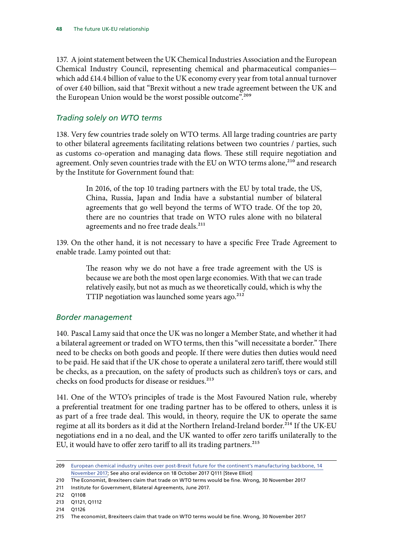137. A joint statement between the UK Chemical Industries Association and the European Chemical Industry Council, representing chemical and pharmaceutical companies which add £14.4 billion of value to the UK economy every year from total annual turnover of over £40 billion, said that "Brexit without a new trade agreement between the UK and the European Union would be the worst possible outcome".<sup>209</sup>

## *Trading solely on WTO terms*

138. Very few countries trade solely on WTO terms. All large trading countries are party to other bilateral agreements facilitating relations between two countries / parties, such as customs co-operation and managing data flows. These still require negotiation and agreement. Only seven countries trade with the EU on WTO terms alone,<sup>210</sup> and research by the Institute for Government found that:

> In 2016, of the top 10 trading partners with the EU by total trade, the US, China, Russia, Japan and India have a substantial number of bilateral agreements that go well beyond the terms of WTO trade. Of the top 20, there are no countries that trade on WTO rules alone with no bilateral agreements and no free trade deals.<sup>211</sup>

139. On the other hand, it is not necessary to have a specific Free Trade Agreement to enable trade. Lamy pointed out that:

> The reason why we do not have a free trade agreement with the US is because we are both the most open large economies. With that we can trade relatively easily, but not as much as we theoretically could, which is why the TTIP negotiation was launched some years ago.<sup>212</sup>

## *Border management*

140. Pascal Lamy said that once the UK was no longer a Member State, and whether it had a bilateral agreement or traded on WTO terms, then this "will necessitate a border." There need to be checks on both goods and people. If there were duties then duties would need to be paid. He said that if the UK chose to operate a unilateral zero tariff, there would still be checks, as a precaution, on the safety of products such as children's toys or cars, and checks on food products for disease or residues.<sup>213</sup>

141. One of the WTO's principles of trade is the Most Favoured Nation rule, whereby a preferential treatment for one trading partner has to be offered to others, unless it is as part of a free trade deal. This would, in theory, require the UK to operate the same regime at all its borders as it did at the Northern Ireland-Ireland border.<sup>214</sup> If the UK-EU negotiations end in a no deal, and the UK wanted to offer zero tariffs unilaterally to the EU, it would have to offer zero tariff to all its trading partners.<sup>215</sup>

<sup>209</sup> [European chemical industry unites over post-Brexit future for the continent's manufacturing backbone, 14](https://www.cia.org.uk/news/details/European-chemical-industry-unites-over-post-Brexit-future-for-the-continents-manufacturing-backbone)  [November 2017](https://www.cia.org.uk/news/details/European-chemical-industry-unites-over-post-Brexit-future-for-the-continents-manufacturing-backbone); See also oral evidence on 18 October 2017 Q111 [Steve Elliot]

<sup>210</sup> The Economist, Brexiteers claim that trade on WTO terms would be fine. Wrong, 30 November 2017

<sup>211</sup> Institute for Government, Bilateral Agreements, June 2017.

<sup>212</sup> Q1108

<sup>213</sup> Q1121, Q1112

<sup>214</sup> Q1126

<sup>215</sup> The economist, Brexiteers claim that trade on WTO terms would be fine. Wrong, 30 November 2017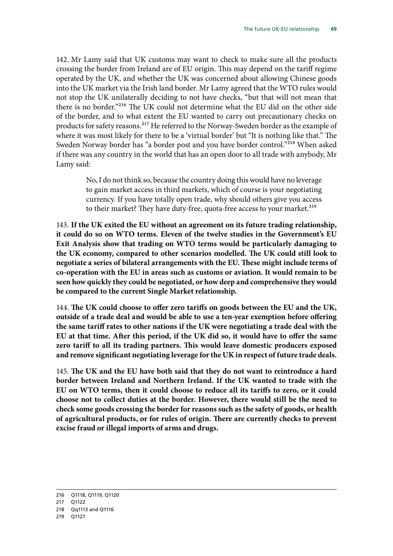142. Mr Lamy said that UK customs may want to check to make sure all the products crossing the border from Ireland are of EU origin. This may depend on the tariff regime operated by the UK, and whether the UK was concerned about allowing Chinese goods into the UK market via the Irish land border. Mr Lamy agreed that the WTO rules would not stop the UK unilaterally deciding to not have checks, "but that will not mean that there is no border."216 The UK could not determine what the EU did on the other side of the border, and to what extent the EU wanted to carry out precautionary checks on products for safety reasons.<sup>217</sup> He referred to the Norway-Sweden border as the example of where it was most likely for there to be a 'virtual border' but "It is nothing like that." The Sweden Norway border has "a border post and you have border control."218 When asked if there was any country in the world that has an open door to all trade with anybody, Mr Lamy said:

> No, I do not think so, because the country doing this would have no leverage to gain market access in third markets, which of course is your negotiating currency. If you have totally open trade, why should others give you access to their market? They have duty-free, quota-free access to your market.<sup>219</sup>

143. **If the UK exited the EU without an agreement on its future trading relationship, it could do so on WTO terms. Eleven of the twelve studies in the Government's EU Exit Analysis show that trading on WTO terms would be particularly damaging to the UK economy, compared to other scenarios modelled. The UK could still look to negotiate a series of bilateral arrangements with the EU. These might include terms of co-operation with the EU in areas such as customs or aviation. It would remain to be seen how quickly they could be negotiated, or how deep and comprehensive they would be compared to the current Single Market relationship.**

144. The UK could choose to offer zero tariffs on goods between the EU and the UK, **outside of a trade deal and would be able to use a ten-year exemption before offering the same tariff rates to other nations if the UK were negotiating a trade deal with the EU at that time. After this period, if the UK did so, it would have to offer the same zero tariff to all its trading partners. This would leave domestic producers exposed and remove significant negotiating leverage for the UK in respect of future trade deals.**

145. The UK and the EU have both said that they do not want to reintroduce a hard **border between Ireland and Northern Ireland. If the UK wanted to trade with the EU on WTO terms, then it could choose to reduce all its tariffs to zero, or it could choose not to collect duties at the border. However, there would still be the need to check some goods crossing the border for reasons such as the safety of goods, or health of agricultural products, or for rules of origin. There are currently checks to prevent excise fraud or illegal imports of arms and drugs.**

<sup>216</sup> Q1118, Q1119, Q1120

<sup>217</sup> Q1122

<sup>218</sup> Qq1113 and Q1116

<sup>219</sup> Q1127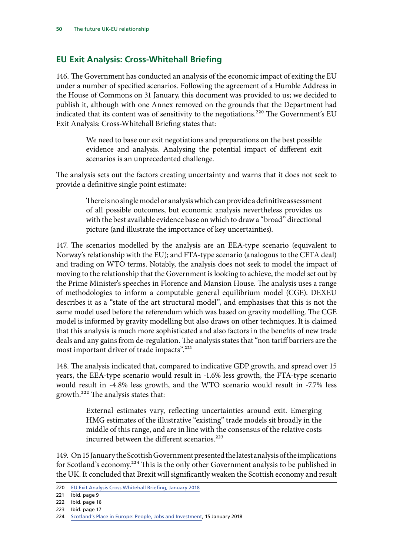## **EU Exit Analysis: Cross-Whitehall Briefing**

146. The Government has conducted an analysis of the economic impact of exiting the EU under a number of specified scenarios. Following the agreement of a Humble Address in the House of Commons on 31 January, this document was provided to us; we decided to publish it, although with one Annex removed on the grounds that the Department had indicated that its content was of sensitivity to the negotiations.<sup>220</sup> The Government's EU Exit Analysis: Cross-Whitehall Briefing states that:

> We need to base our exit negotiations and preparations on the best possible evidence and analysis. Analysing the potential impact of different exit scenarios is an unprecedented challenge.

The analysis sets out the factors creating uncertainty and warns that it does not seek to provide a definitive single point estimate:

> There is no single model or analysis which can provide a definitive assessment of all possible outcomes, but economic analysis nevertheless provides us with the best available evidence base on which to draw a "broad" directional picture (and illustrate the importance of key uncertainties).

147. The scenarios modelled by the analysis are an EEA-type scenario (equivalent to Norway's relationship with the EU); and FTA-type scenario (analogous to the CETA deal) and trading on WTO terms. Notably, the analysis does not seek to model the impact of moving to the relationship that the Government is looking to achieve, the model set out by the Prime Minister's speeches in Florence and Mansion House. The analysis uses a range of methodologies to inform a computable general equilibrium model (CGE). DEXEU describes it as a "state of the art structural model", and emphasises that this is not the same model used before the referendum which was based on gravity modelling. The CGE model is informed by gravity modelling but also draws on other techniques. It is claimed that this analysis is much more sophisticated and also factors in the benefits of new trade deals and any gains from de-regulation. The analysis states that "non tariff barriers are the most important driver of trade impacts".<sup>221</sup>

148. The analysis indicated that, compared to indicative GDP growth, and spread over 15 years, the EEA-type scenario would result in -1.6% less growth, the FTA-type scenario would result in -4.8% less growth, and the WTO scenario would result in -7.7% less growth.222 The analysis states that:

> External estimates vary, reflecting uncertainties around exit. Emerging HMG estimates of the illustrative "existing" trade models sit broadly in the middle of this range, and are in line with the consensus of the relative costs incurred between the different scenarios. $223$

149. On 15 January the Scottish Government presented the latest analysis of the implications for Scotland's economy.224 This is the only other Government analysis to be published in the UK. It concluded that Brexit will significantly weaken the Scottish economy and result

<sup>220</sup> [EU Exit Analysis Cross Whitehall Briefing, January 2018](https://www.parliament.uk/documents/commons-committees/Exiting-the-European-Union/17-19/Cross-Whitehall-briefing/EU-Exit-Analysis-Cross-Whitehall-Briefing.pdf)

<sup>221</sup> **Ibid.** page 9

<sup>222</sup> Ibid. page 16

<sup>223</sup> Ibid. page 17

<sup>224</sup> [Scotland's Place in Europe: People, Jobs and Investment](http://www.gov.scot/Publications/2018/01/6407), 15 January 2018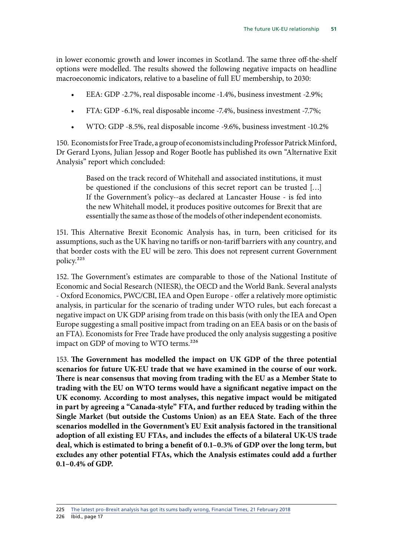in lower economic growth and lower incomes in Scotland. The same three off-the-shelf options were modelled. The results showed the following negative impacts on headline macroeconomic indicators, relative to a baseline of full EU membership, to 2030:

- EEA: GDP -2.7%, real disposable income -1.4%, business investment -2.9%;
- FTA: GDP -6.1%, real disposable income -7.4%, business investment -7.7%;
- WTO: GDP -8.5%, real disposable income -9.6%, business investment -10.2%

150. Economists for Free Trade, a group of economists including Professor Patrick Minford, Dr Gerard Lyons, Julian Jessop and Roger Bootle has published its own "Alternative Exit Analysis" report which concluded:

> Based on the track record of Whitehall and associated institutions, it must be questioned if the conclusions of this secret report can be trusted […] If the Government's policy--as declared at Lancaster House - is fed into the new Whitehall model, it produces positive outcomes for Brexit that are essentially the same as those of the models of other independent economists.

151. This Alternative Brexit Economic Analysis has, in turn, been criticised for its assumptions, such as the UK having no tariffs or non-tariff barriers with any country, and that border costs with the EU will be zero. This does not represent current Government policy.225

152. The Government's estimates are comparable to those of the National Institute of Economic and Social Research (NIESR), the OECD and the World Bank. Several analysts - Oxford Economics, PWC/CBI, IEA and Open Europe - offer a relatively more optimistic analysis, in particular for the scenario of trading under WTO rules, but each forecast a negative impact on UK GDP arising from trade on this basis (with only the IEA and Open Europe suggesting a small positive impact from trading on an EEA basis or on the basis of an FTA). Economists for Free Trade have produced the only analysis suggesting a positive impact on GDP of moving to WTO terms.<sup>226</sup>

153. The Government has modelled the impact on UK GDP of the three potential **scenarios for future UK-EU trade that we have examined in the course of our work. There is near consensus that moving from trading with the EU as a Member State to trading with the EU on WTO terms would have a significant negative impact on the UK economy. According to most analyses, this negative impact would be mitigated in part by agreeing a "Canada-style" FTA, and further reduced by trading within the Single Market (but outside the Customs Union) as an EEA State. Each of the three scenarios modelled in the Government's EU Exit analysis factored in the transitional adoption of all existing EU FTAs, and includes the effects of a bilateral UK-US trade deal, which is estimated to bring a benefit of 0.1–0.3% of GDP over the long term, but excludes any other potential FTAs, which the Analysis estimates could add a further 0.1–0.4% of GDP.**

226 Ibid., page 17

<sup>225</sup> [The latest pro-Brexit analysis has got its sums badly wrong, Financial Times, 21 February 2018](https://www.ft.com/content/9bddba54-16ea-11e8-9e9c-25c814761640)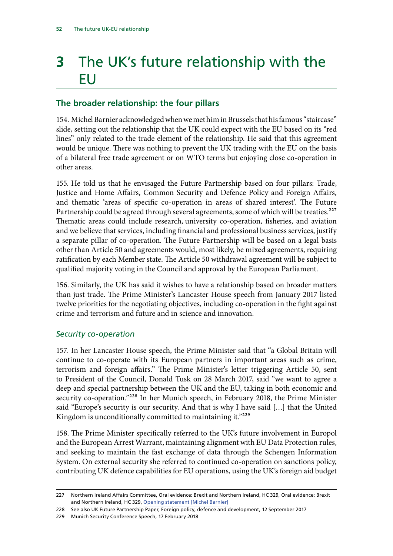# **3** The UK's future relationship with the EU

## **The broader relationship: the four pillars**

154. Michel Barnier acknowledged when we met him in Brussels that his famous "staircase" slide, setting out the relationship that the UK could expect with the EU based on its "red lines" only related to the trade element of the relationship. He said that this agreement would be unique. There was nothing to prevent the UK trading with the EU on the basis of a bilateral free trade agreement or on WTO terms but enjoying close co-operation in other areas.

155. He told us that he envisaged the Future Partnership based on four pillars: Trade, Justice and Home Affairs, Common Security and Defence Policy and Foreign Affairs, and thematic 'areas of specific co-operation in areas of shared interest'. The Future Partnership could be agreed through several agreements, some of which will be treaties.<sup>227</sup> Thematic areas could include research, university co-operation, fisheries, and aviation and we believe that services, including financial and professional business services, justify a separate pillar of co-operation. The Future Partnership will be based on a legal basis other than Article 50 and agreements would, most likely, be mixed agreements, requiring ratification by each Member state. The Article 50 withdrawal agreement will be subject to qualified majority voting in the Council and approval by the European Parliament.

156. Similarly, the UK has said it wishes to have a relationship based on broader matters than just trade. The Prime Minister's Lancaster House speech from January 2017 listed twelve priorities for the negotiating objectives, including co-operation in the fight against crime and terrorism and future and in science and innovation.

## *Security co-operation*

157. In her Lancaster House speech, the Prime Minister said that "a Global Britain will continue to co-operate with its European partners in important areas such as crime, terrorism and foreign affairs." The Prime Minister's letter triggering Article 50, sent to President of the Council, Donald Tusk on 28 March 2017, said "we want to agree a deep and special partnership between the UK and the EU, taking in both economic and security co-operation."<sup>228</sup> In her Munich speech, in February 2018, the Prime Minister said "Europe's security is our security. And that is why I have said […] that the United Kingdom is unconditionally committed to maintaining it."<sup>229</sup>

158. The Prime Minister specifically referred to the UK's future involvement in Europol and the European Arrest Warrant, maintaining alignment with EU Data Protection rules, and seeking to maintain the fast exchange of data through the Schengen Information System. On external security she referred to continued co-operation on sanctions policy, contributing UK defence capabilities for EU operations, using the UK's foreign aid budget

229 Munich Security Conference Speech, 17 February 2018

<sup>227</sup> Northern Ireland Affairs Committee, Oral evidence: Brexit and Northern Ireland, HC 329, Oral evidence: Brexit and Northern Ireland, HC 329, [Opening statement \[Michel Barnier\]](http://data.parliament.uk/writtenevidence/committeeevidence.svc/evidencedocument/northern-ireland-affairs-committee/the-land-border-between-northern-ireland-and-ireland/oral/77724.html)

<sup>228</sup> See also UK Future Partnership Paper, Foreign policy, defence and development, 12 September 2017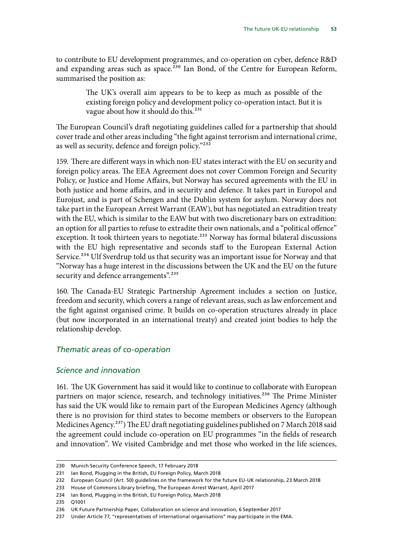to contribute to EU development programmes, and co-operation on cyber, defence R&D and expanding areas such as space.<sup>230</sup> Ian Bond, of the Centre for European Reform, summarised the position as:

> The UK's overall aim appears to be to keep as much as possible of the existing foreign policy and development policy co-operation intact. But it is vague about how it should do this.<sup>231</sup>

The European Council's draft negotiating guidelines called for a partnership that should cover trade and other areas including "the fight against terrorism and international crime, as well as security, defence and foreign policy."<sup>232</sup>

159. There are different ways in which non-EU states interact with the EU on security and foreign policy areas. The EEA Agreement does not cover Common Foreign and Security Policy, or Justice and Home Affairs, but Norway has secured agreements with the EU in both justice and home affairs, and in security and defence. It takes part in Europol and Eurojust, and is part of Schengen and the Dublin system for asylum. Norway does not take part in the European Arrest Warrant (EAW), but has negotiated an extradition treaty with the EU, which is similar to the EAW but with two discretionary bars on extradition: an option for all parties to refuse to extradite their own nationals, and a "political offence" exception. It took thirteen years to negotiate.<sup>233</sup> Norway has formal bilateral discussions with the EU high representative and seconds staff to the European External Action Service.<sup>234</sup> Ulf Sverdrup told us that security was an important issue for Norway and that "Norway has a huge interest in the discussions between the UK and the EU on the future security and defence arrangements".<sup>235</sup>

160. The Canada-EU Strategic Partnership Agreement includes a section on Justice, freedom and security, which covers a range of relevant areas, such as law enforcement and the fight against organised crime. It builds on co-operation structures already in place (but now incorporated in an international treaty) and created joint bodies to help the relationship develop.

#### *Thematic areas of co-operation*

#### *Science and innovation*

161. The UK Government has said it would like to continue to collaborate with European partners on major science, research, and technology initiatives.<sup>236</sup> The Prime Minister has said the UK would like to remain part of the European Medicines Agency (although there is no provision for third states to become members or observers to the European Medicines Agency.<sup>237</sup>) The EU draft negotiating guidelines published on 7 March 2018 said the agreement could include co-operation on EU programmes "in the fields of research and innovation". We visited Cambridge and met those who worked in the life sciences,

<sup>230</sup> Munich Security Conference Speech, 17 February 2018

<sup>231</sup> Ian Bond, Plugging in the British, EU Foreign Policy, March 2018

<sup>232</sup> European Council (Art. 50) guidelines on the framework for the future EU-UK relationship, 23 March 2018

<sup>233</sup> House of Commons Library briefing, The European Arrest Warrant, April 2017

<sup>234</sup> Ian Bond, Plugging in the British, EU Foreign Policy, March 2018

<sup>235</sup> Q1001

<sup>236</sup> UK Future Partnership Paper, Collaboration on science and innovation, 6 September 2017

<sup>237</sup> Under Article 77, "representatives of international organisations" may participate in the EMA.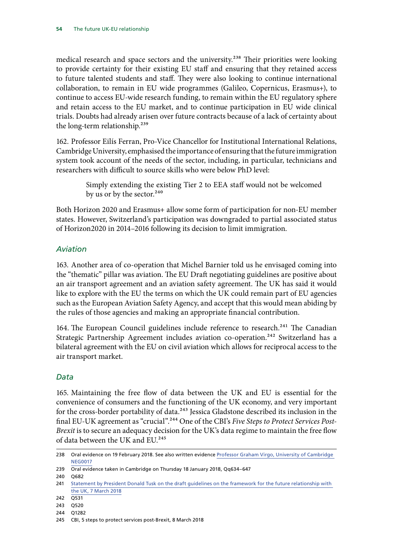medical research and space sectors and the university.<sup>238</sup> Their priorities were looking to provide certainty for their existing EU staff and ensuring that they retained access to future talented students and staff. They were also looking to continue international collaboration, to remain in EU wide programmes (Galileo, Copernicus, Erasmus+), to continue to access EU-wide research funding, to remain within the EU regulatory sphere and retain access to the EU market, and to continue participation in EU wide clinical trials. Doubts had already arisen over future contracts because of a lack of certainty about the long-term relationship.<sup>239</sup>

162. Professor Eilís Ferran, Pro-Vice Chancellor for Institutional International Relations, Cambridge University, emphasised the importance of ensuring that the future immigration system took account of the needs of the sector, including, in particular, technicians and researchers with difficult to source skills who were below PhD level:

> Simply extending the existing Tier 2 to EEA staff would not be welcomed by us or by the sector.<sup>240</sup>

Both Horizon 2020 and Erasmus+ allow some form of participation for non-EU member states. However, Switzerland's participation was downgraded to partial associated status of Horizon2020 in 2014–2016 following its decision to limit immigration.

## *Aviation*

163. Another area of co-operation that Michel Barnier told us he envisaged coming into the "thematic" pillar was aviation. The EU Draft negotiating guidelines are positive about an air transport agreement and an aviation safety agreement. The UK has said it would like to explore with the EU the terms on which the UK could remain part of EU agencies such as the European Aviation Safety Agency, and accept that this would mean abiding by the rules of those agencies and making an appropriate financial contribution.

164. The European Council guidelines include reference to research.<sup>241</sup> The Canadian Strategic Partnership Agreement includes aviation co-operation.<sup>242</sup> Switzerland has a bilateral agreement with the EU on civil aviation which allows for reciprocal access to the air transport market.

## *Data*

165. Maintaining the free flow of data between the UK and EU is essential for the convenience of consumers and the functioning of the UK economy, and very important for the cross-border portability of data.<sup>243</sup> Jessica Gladstone described its inclusion in the final EU-UK agreement as "crucial".244 One of the CBI's *Five Steps to Protect Services Post-Brexit* is to secure an adequacy decision for the UK's data regime to maintain the free flow of data between the UK and EU.245

<sup>238</sup> Oral evidence on 19 February 2018. See also written evidence [Professor Graham Virgo, University of Cambridge](http://data.parliament.uk/writtenevidence/committeeevidence.svc/evidencedocument/exiting-the-european-union-committee/the-progress-of-the-uks-negotiations-on-eu-withdrawal/written/79123.pdf)  [NEG0017](http://data.parliament.uk/writtenevidence/committeeevidence.svc/evidencedocument/exiting-the-european-union-committee/the-progress-of-the-uks-negotiations-on-eu-withdrawal/written/79123.pdf)

<sup>239</sup> Oral evidence taken in Cambridge on Thursday 18 January 2018, Qq634–647

<sup>240</sup> Q682

<sup>241</sup> Statement by President Donald Tusk on the draft guidelines on the framework for the future relationship with [the UK, 7 March 2018](http://www.consilium.europa.eu/en/press/press-releases/2018/03/07/statement-by-president-donald-tusk-on-the-draft-guidelines-on-the-framework-for-the-future-relationship-with-the-uk/)

<sup>242</sup> Q531

<sup>243</sup> Q520

<sup>244</sup> Q1282

<sup>245</sup> CBI, 5 steps to protect services post-Brexit, 8 March 2018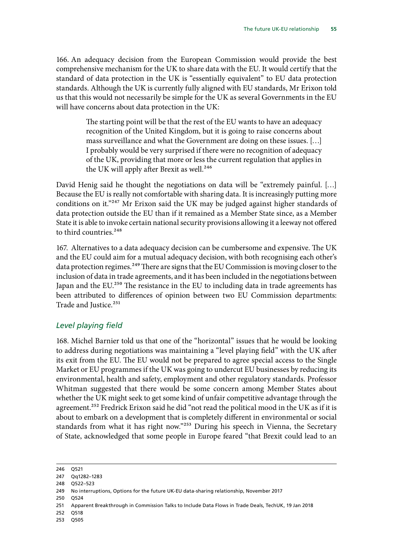166. An adequacy decision from the European Commission would provide the best comprehensive mechanism for the UK to share data with the EU. It would certify that the standard of data protection in the UK is "essentially equivalent" to EU data protection standards. Although the UK is currently fully aligned with EU standards, Mr Erixon told us that this would not necessarily be simple for the UK as several Governments in the EU will have concerns about data protection in the UK:

> The starting point will be that the rest of the EU wants to have an adequacy recognition of the United Kingdom, but it is going to raise concerns about mass surveillance and what the Government are doing on these issues. […] I probably would be very surprised if there were no recognition of adequacy of the UK, providing that more or less the current regulation that applies in the UK will apply after Brexit as well.<sup>246</sup>

David Henig said he thought the negotiations on data will be "extremely painful. […] Because the EU is really not comfortable with sharing data. It is increasingly putting more conditions on it."247 Mr Erixon said the UK may be judged against higher standards of data protection outside the EU than if it remained as a Member State since, as a Member State it is able to invoke certain national security provisions allowing it a leeway not offered to third countries.<sup>248</sup>

167. Alternatives to a data adequacy decision can be cumbersome and expensive. The UK and the EU could aim for a mutual adequacy decision, with both recognising each other's data protection regimes.<sup>249</sup> There are signs that the EU Commission is moving closer to the inclusion of data in trade agreements, and it has been included in the negotiations between Japan and the EU.<sup>250</sup> The resistance in the EU to including data in trade agreements has been attributed to differences of opinion between two EU Commission departments: Trade and Justice.<sup>251</sup>

## *Level playing field*

168. Michel Barnier told us that one of the "horizontal" issues that he would be looking to address during negotiations was maintaining a "level playing field" with the UK after its exit from the EU. The EU would not be prepared to agree special access to the Single Market or EU programmes if the UK was going to undercut EU businesses by reducing its environmental, health and safety, employment and other regulatory standards. Professor Whitman suggested that there would be some concern among Member States about whether the UK might seek to get some kind of unfair competitive advantage through the agreement.<sup>252</sup> Fredrick Erixon said he did "not read the political mood in the UK as if it is about to embark on a development that is completely different in environmental or social standards from what it has right now."<sup>253</sup> During his speech in Vienna, the Secretary of State, acknowledged that some people in Europe feared "that Brexit could lead to an

- 252 Q518
- 253 Q505

<sup>246</sup> Q521

<sup>247</sup> Qq1282–1283

<sup>248</sup> Q522–523

<sup>249</sup> No interruptions, Options for the future UK-EU data-sharing relationship, November 2017

<sup>250</sup> Q524

<sup>251</sup> Apparent Breakthrough in Commission Talks to Include Data Flows in Trade Deals, TechUK, 19 Jan 2018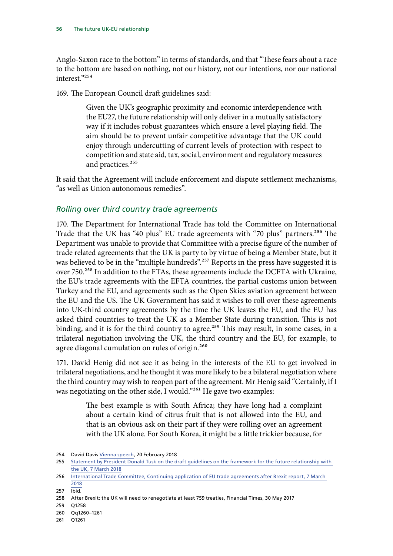Anglo-Saxon race to the bottom" in terms of standards, and that "These fears about a race to the bottom are based on nothing, not our history, not our intentions, nor our national interest<sup>"254</sup>

169. The European Council draft guidelines said:

Given the UK's geographic proximity and economic interdependence with the EU27, the future relationship will only deliver in a mutually satisfactory way if it includes robust guarantees which ensure a level playing field. The aim should be to prevent unfair competitive advantage that the UK could enjoy through undercutting of current levels of protection with respect to competition and state aid, tax, social, environment and regulatory measures and practices.<sup>255</sup>

It said that the Agreement will include enforcement and dispute settlement mechanisms, "as well as Union autonomous remedies".

#### *Rolling over third country trade agreements*

170. The Department for International Trade has told the Committee on International Trade that the UK has "40 plus" EU trade agreements with "70 plus" partners.<sup>256</sup> The Department was unable to provide that Committee with a precise figure of the number of trade related agreements that the UK is party to by virtue of being a Member State, but it was believed to be in the "multiple hundreds".<sup>257</sup> Reports in the press have suggested it is over 750.<sup>258</sup> In addition to the FTAs, these agreements include the DCFTA with Ukraine, the EU's trade agreements with the EFTA countries, the partial customs union between Turkey and the EU, and agreements such as the Open Skies aviation agreement between the EU and the US. The UK Government has said it wishes to roll over these agreements into UK-third country agreements by the time the UK leaves the EU, and the EU has asked third countries to treat the UK as a Member State during transition. This is not binding, and it is for the third country to agree.<sup>259</sup> This may result, in some cases, in a trilateral negotiation involving the UK, the third country and the EU, for example, to agree diagonal cumulation on rules of origin.<sup>260</sup>

171. David Henig did not see it as being in the interests of the EU to get involved in trilateral negotiations, and he thought it was more likely to be a bilateral negotiation where the third country may wish to reopen part of the agreement. Mr Henig said "Certainly, if I was negotiating on the other side, I would."<sup>261</sup> He gave two examples:

> The best example is with South Africa; they have long had a complaint about a certain kind of citrus fruit that is not allowed into the EU, and that is an obvious ask on their part if they were rolling over an agreement with the UK alone. For South Korea, it might be a little trickier because, for

259 Q1258

<sup>254</sup> David Davis [Vienna speech,](https://www.gov.uk/government/news/david-davis-foundations-of-the-future-economic-partnership-speech) 20 February 2018

<sup>255</sup> [Statement by President Donald Tusk on the draft guidelines on the framework for the future relationship with](http://www.consilium.europa.eu/en/press/press-releases/2018/03/07/statement-by-president-donald-tusk-on-the-draft-guidelines-on-the-framework-for-the-future-relationship-with-the-uk/)  [the UK, 7 March 2018](http://www.consilium.europa.eu/en/press/press-releases/2018/03/07/statement-by-president-donald-tusk-on-the-draft-guidelines-on-the-framework-for-the-future-relationship-with-the-uk/)

<sup>256</sup> [International Trade Committee, Continuing application of EU trade agreements after Brexit report, 7 March](https://publications.parliament.uk/pa/cm201719/cmselect/cmintrade/520/520.pdf)  [2018](https://publications.parliament.uk/pa/cm201719/cmselect/cmintrade/520/520.pdf)

<sup>257</sup> Ibid.

<sup>258</sup> After Brexit: the UK will need to renegotiate at least 759 treaties, Financial Times, 30 May 2017

<sup>260</sup> Qq1260–1261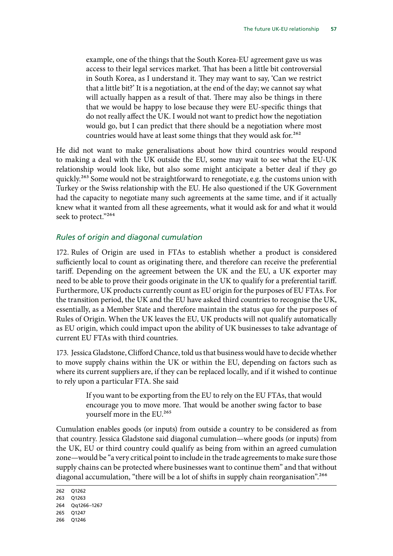example, one of the things that the South Korea-EU agreement gave us was access to their legal services market. That has been a little bit controversial in South Korea, as I understand it. They may want to say, 'Can we restrict that a little bit?' It is a negotiation, at the end of the day; we cannot say what will actually happen as a result of that. There may also be things in there that we would be happy to lose because they were EU-specific things that do not really affect the UK. I would not want to predict how the negotiation would go, but I can predict that there should be a negotiation where most countries would have at least some things that they would ask for.<sup>262</sup>

He did not want to make generalisations about how third countries would respond to making a deal with the UK outside the EU, some may wait to see what the EU-UK relationship would look like, but also some might anticipate a better deal if they go quickly.<sup>263</sup> Some would not be straightforward to renegotiate, e.g. the customs union with Turkey or the Swiss relationship with the EU. He also questioned if the UK Government had the capacity to negotiate many such agreements at the same time, and if it actually knew what it wanted from all these agreements, what it would ask for and what it would seek to protect."264

## *Rules of origin and diagonal cumulation*

172. Rules of Origin are used in FTAs to establish whether a product is considered sufficiently local to count as originating there, and therefore can receive the preferential tariff. Depending on the agreement between the UK and the EU, a UK exporter may need to be able to prove their goods originate in the UK to qualify for a preferential tariff. Furthermore, UK products currently count as EU origin for the purposes of EU FTAs. For the transition period, the UK and the EU have asked third countries to recognise the UK, essentially, as a Member State and therefore maintain the status quo for the purposes of Rules of Origin. When the UK leaves the EU, UK products will not qualify automatically as EU origin, which could impact upon the ability of UK businesses to take advantage of current EU FTAs with third countries.

173. Jessica Gladstone, Clifford Chance, told us that business would have to decide whether to move supply chains within the UK or within the EU, depending on factors such as where its current suppliers are, if they can be replaced locally, and if it wished to continue to rely upon a particular FTA. She said

> If you want to be exporting from the EU to rely on the EU FTAs, that would encourage you to move more. That would be another swing factor to base yourself more in the EU.<sup>265</sup>

Cumulation enables goods (or inputs) from outside a country to be considered as from that country. Jessica Gladstone said diagonal cumulation—where goods (or inputs) from the UK, EU or third country could qualify as being from within an agreed cumulation zone—would be "a very critical point to include in the trade agreements to make sure those supply chains can be protected where businesses want to continue them" and that without diagonal accumulation, "there will be a lot of shifts in supply chain reorganisation".<sup>266</sup>

<sup>262</sup> Q1262

<sup>263</sup> Q1263

<sup>264</sup> Qq1266–1267

<sup>265</sup> Q1247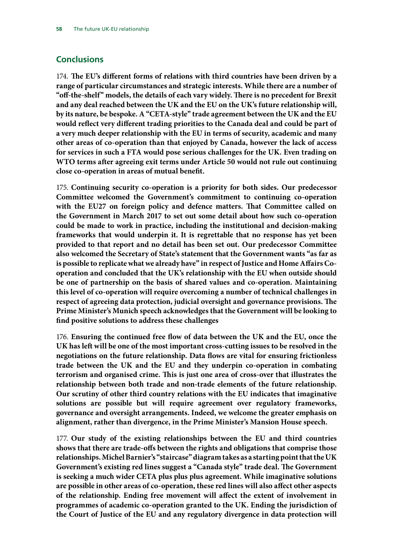## **Conclusions**

174. The EU's different forms of relations with third countries have been driven by a **range of particular circumstances and strategic interests. While there are a number of "off-the-shelf" models, the details of each vary widely. There is no precedent for Brexit and any deal reached between the UK and the EU on the UK's future relationship will, by its nature, be bespoke. A "CETA-style" trade agreement between the UK and the EU would reflect very different trading priorities to the Canada deal and could be part of a very much deeper relationship with the EU in terms of security, academic and many other areas of co-operation than that enjoyed by Canada, however the lack of access for services in such a FTA would pose serious challenges for the UK. Even trading on WTO terms after agreeing exit terms under Article 50 would not rule out continuing close co-operation in areas of mutual benefit.**

175. **Continuing security co-operation is a priority for both sides. Our predecessor Committee welcomed the Government's commitment to continuing co-operation with the EU27 on foreign policy and defence matters. That Committee called on the Government in March 2017 to set out some detail about how such co-operation could be made to work in practice, including the institutional and decision-making frameworks that would underpin it. It is regrettable that no response has yet been provided to that report and no detail has been set out. Our predecessor Committee also welcomed the Secretary of State's statement that the Government wants "as far as is possible to replicate what we already have" in respect of Justice and Home Affairs Cooperation and concluded that the UK's relationship with the EU when outside should be one of partnership on the basis of shared values and co-operation. Maintaining this level of co-operation will require overcoming a number of technical challenges in respect of agreeing data protection, judicial oversight and governance provisions. The Prime Minister's Munich speech acknowledges that the Government will be looking to find positive solutions to address these challenges**

176. **Ensuring the continued free flow of data between the UK and the EU, once the UK has left will be one of the most important cross-cutting issues to be resolved in the negotiations on the future relationship. Data flows are vital for ensuring frictionless trade between the UK and the EU and they underpin co-operation in combating terrorism and organised crime. This is just one area of cross-over that illustrates the relationship between both trade and non-trade elements of the future relationship. Our scrutiny of other third country relations with the EU indicates that imaginative solutions are possible but will require agreement over regulatory frameworks, governance and oversight arrangements. Indeed, we welcome the greater emphasis on alignment, rather than divergence, in the Prime Minister's Mansion House speech.**

177. **Our study of the existing relationships between the EU and third countries shows that there are trade-offs between the rights and obligations that comprise those relationships. Michel Barnier's "staircase" diagram takes as a starting point that the UK Government's existing red lines suggest a "Canada style" trade deal. The Government is seeking a much wider CETA plus plus plus agreement. While imaginative solutions are possible in other areas of co-operation, these red lines will also affect other aspects of the relationship. Ending free movement will affect the extent of involvement in programmes of academic co-operation granted to the UK. Ending the jurisdiction of the Court of Justice of the EU and any regulatory divergence in data protection will**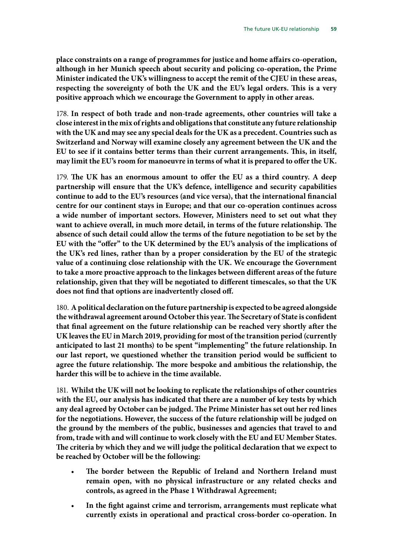**place constraints on a range of programmes for justice and home affairs co-operation, although in her Munich speech about security and policing co-operation, the Prime Minister indicated the UK's willingness to accept the remit of the CJEU in these areas, respecting the sovereignty of both the UK and the EU's legal orders. This is a very positive approach which we encourage the Government to apply in other areas.**

178. **In respect of both trade and non-trade agreements, other countries will take a close interest in the mix of rights and obligations that constitute any future relationship with the UK and may see any special deals for the UK as a precedent. Countries such as Switzerland and Norway will examine closely any agreement between the UK and the EU to see if it contains better terms than their current arrangements. This, in itself, may limit the EU's room for manoeuvre in terms of what it is prepared to offer the UK.**

179. The UK has an enormous amount to offer the EU as a third country. A deep **partnership will ensure that the UK's defence, intelligence and security capabilities continue to add to the EU's resources (and vice versa), that the international financial centre for our continent stays in Europe; and that our co-operation continues across a wide number of important sectors. However, Ministers need to set out what they want to achieve overall, in much more detail, in terms of the future relationship. The absence of such detail could allow the terms of the future negotiation to be set by the EU with the "offer" to the UK determined by the EU's analysis of the implications of the UK's red lines, rather than by a proper consideration by the EU of the strategic value of a continuing close relationship with the UK. We encourage the Government to take a more proactive approach to the linkages between different areas of the future relationship, given that they will be negotiated to different timescales, so that the UK does not find that options are inadvertently closed off.**

180. **A political declaration on the future partnership is expected to be agreed alongside the withdrawal agreement around October this year. The Secretary of State is confident that final agreement on the future relationship can be reached very shortly after the UK leaves the EU in March 2019, providing for most of the transition period (currently anticipated to last 21 months) to be spent "implementing" the future relationship. In our last report, we questioned whether the transition period would be sufficient to agree the future relationship. The more bespoke and ambitious the relationship, the harder this will be to achieve in the time available.**

181. **Whilst the UK will not be looking to replicate the relationships of other countries with the EU, our analysis has indicated that there are a number of key tests by which any deal agreed by October can be judged. The Prime Minister has set out her red lines for the negotiations. However, the success of the future relationship will be judged on the ground by the members of the public, businesses and agencies that travel to and from, trade with and will continue to work closely with the EU and EU Member States. The criteria by which they and we will judge the political declaration that we expect to be reached by October will be the following:**

- The border between the Republic of Ireland and Northern Ireland must **remain open, with no physical infrastructure or any related checks and controls, as agreed in the Phase 1 Withdrawal Agreement;**
- **In the fight against crime and terrorism, arrangements must replicate what currently exists in operational and practical cross-border co-operation. In**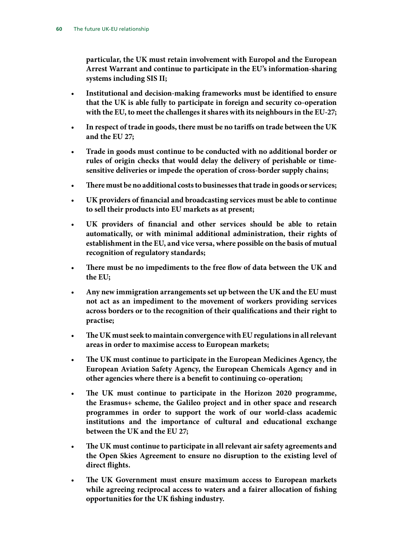**particular, the UK must retain involvement with Europol and the European Arrest Warrant and continue to participate in the EU's information-sharing systems including SIS II;**

- **Institutional and decision-making frameworks must be identified to ensure that the UK is able fully to participate in foreign and security co-operation with the EU, to meet the challenges it shares with its neighbours in the EU-27;**
- **In respect of trade in goods, there must be no tariffs on trade between the UK and the EU 27;**
- **Trade in goods must continue to be conducted with no additional border or rules of origin checks that would delay the delivery of perishable or timesensitive deliveries or impede the operation of cross-border supply chains;**
- **T here must be no additional costs to businesses that trade in goods or services;**
- **UK providers of financial and broadcasting services must be able to continue to sell their products into EU markets as at present;**
- **UK providers of financial and other services should be able to retain automatically, or with minimal additional administration, their rights of establishment in the EU, and vice versa, where possible on the basis of mutual recognition of regulatory standards;**
- There must be no impediments to the free flow of data between the UK and **the EU;**
- **Any new immigration arrangements set up between the UK and the EU must not act as an impediment to the movement of workers providing services across borders or to the recognition of their qualifications and their right to practise;**
- The UK must seek to maintain convergence with EU regulations in all relevant **areas in order to maximise access to European markets;**
- The UK must continue to participate in the European Medicines Agency, the **European Aviation Safety Agency, the European Chemicals Agency and in other agencies where there is a benefit to continuing co-operation;**
- The UK must continue to participate in the Horizon 2020 programme, **the Erasmus+ scheme, the Galileo project and in other space and research programmes in order to support the work of our world-class academic institutions and the importance of cultural and educational exchange between the UK and the EU 27;**
- **T he UK must continue to participate in all relevant air safety agreements and the Open Skies Agreement to ensure no disruption to the existing level of direct flights.**
- The UK Government must ensure maximum access to European markets **while agreeing reciprocal access to waters and a fairer allocation of fishing opportunities for the UK fishing industry.**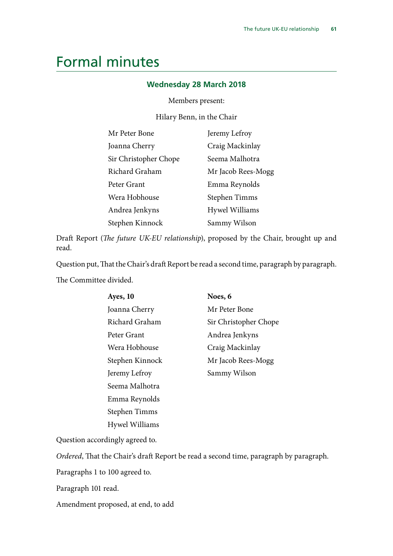## Formal minutes

## **Wednesday 28 March 2018**

#### Members present:

Hilary Benn, in the Chair

| Mr Peter Bone         | Jeremy Lefroy      |
|-----------------------|--------------------|
| Joanna Cherry         | Craig Mackinlay    |
| Sir Christopher Chope | Seema Malhotra     |
| Richard Graham        | Mr Jacob Rees-Mogg |
| Peter Grant           | Emma Reynolds      |
| Wera Hobhouse         | Stephen Timms      |
| Andrea Jenkyns        | Hywel Williams     |
| Stephen Kinnock       | Sammy Wilson       |

Draft Report (*The future UK-EU relationship*), proposed by the Chair, brought up and read.

Question put, That the Chair's draft Report be read a second time, paragraph by paragraph.

The Committee divided.

| Ayes, 10        | Noes, 6               |
|-----------------|-----------------------|
| Joanna Cherry   | Mr Peter Bone         |
| Richard Graham  | Sir Christopher Chope |
| Peter Grant     | Andrea Jenkyns        |
| Wera Hobhouse   | Craig Mackinlay       |
| Stephen Kinnock | Mr Jacob Rees-Mogg    |
| Jeremy Lefroy   | Sammy Wilson          |
| Seema Malhotra  |                       |
| Emma Reynolds   |                       |
| Stephen Timms   |                       |
| Hywel Williams  |                       |

Question accordingly agreed to.

*Ordered*, That the Chair's draft Report be read a second time, paragraph by paragraph.

Paragraphs 1 to 100 agreed to.

Paragraph 101 read.

Amendment proposed, at end, to add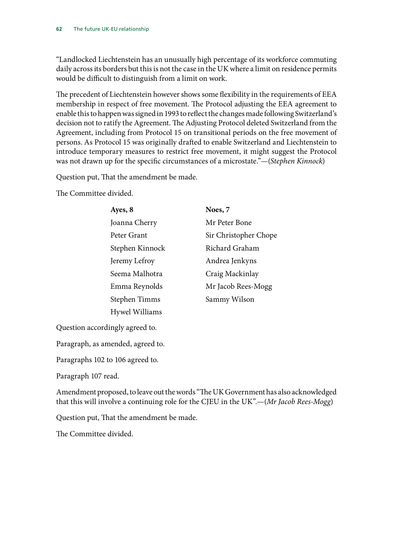"Landlocked Liechtenstein has an unusually high percentage of its workforce commuting daily across its borders but this is not the case in the UK where a limit on residence permits would be difficult to distinguish from a limit on work.

The precedent of Liechtenstein however shows some flexibility in the requirements of EEA membership in respect of free movement. The Protocol adjusting the EEA agreement to enable this to happen was signed in 1993 to reflect the changes made following Switzerland's decision not to ratify the Agreement. The Adjusting Protocol deleted Switzerland from the Agreement, including from Protocol 15 on transitional periods on the free movement of persons. As Protocol 15 was originally drafted to enable Switzerland and Liechtenstein to introduce temporary measures to restrict free movement, it might suggest the Protocol was not drawn up for the specific circumstances of a microstate."—(*Stephen Kinnock*)

Question put, That the amendment be made.

The Committee divided.

| Ayes, 8         | Noes, 7               |
|-----------------|-----------------------|
| Joanna Cherry   | Mr Peter Bone         |
| Peter Grant     | Sir Christopher Chope |
| Stephen Kinnock | Richard Graham        |
| Jeremy Lefroy   | Andrea Jenkyns        |
| Seema Malhotra  | Craig Mackinlay       |
| Emma Reynolds   | Mr Jacob Rees-Mogg    |
| Stephen Timms   | Sammy Wilson          |
| Hywel Williams  |                       |

Question accordingly agreed to.

Paragraph, as amended, agreed to.

Paragraphs 102 to 106 agreed to.

Paragraph 107 read.

Amendment proposed, to leave out the words "The UK Government has also acknowledged that this will involve a continuing role for the CJEU in the UK".—(*Mr Jacob Rees-Mogg*)

Question put, That the amendment be made.

The Committee divided.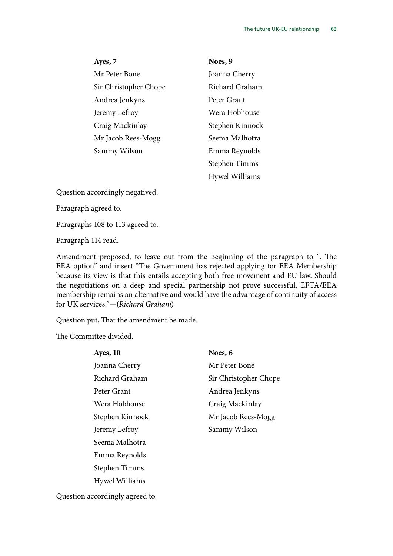**Ayes, 7** Mr Peter Bone Sir Christopher Chope Andrea Jenkyns Jeremy Lefroy Craig Mackinlay Mr Jacob Rees-Mogg Sammy Wilson

**Noes, 9** Joanna Cherry Richard Graham Peter Grant Wera Hobhouse Stephen Kinnock Seema Malhotra Emma Reynolds Stephen Timms Hywel Williams

Question accordingly negatived.

Paragraph agreed to.

Paragraphs 108 to 113 agreed to.

Paragraph 114 read.

Amendment proposed, to leave out from the beginning of the paragraph to ". The EEA option" and insert "The Government has rejected applying for EEA Membership because its view is that this entails accepting both free movement and EU law. Should the negotiations on a deep and special partnership not prove successful, EFTA/EEA membership remains an alternative and would have the advantage of continuity of access for UK services."—(*Richard Graham*)

Question put, That the amendment be made.

The Committee divided.

| Ayes, 10        | Noes, 6               |
|-----------------|-----------------------|
| Joanna Cherry   | Mr Peter Bone         |
| Richard Graham  | Sir Christopher Chope |
| Peter Grant     | Andrea Jenkyns        |
| Wera Hobhouse   | Craig Mackinlay       |
| Stephen Kinnock | Mr Jacob Rees-Mogg    |
| Jeremy Lefroy   | Sammy Wilson          |
| Seema Malhotra  |                       |
| Emma Reynolds   |                       |
| Stephen Timms   |                       |
| Hywel Williams  |                       |
|                 |                       |

Question accordingly agreed to.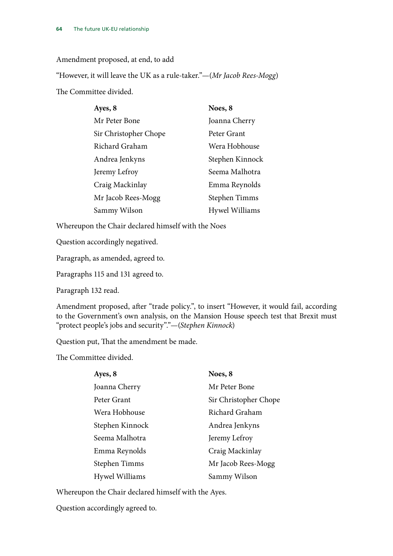#### Amendment proposed, at end, to add

"However, it will leave the UK as a rule-taker."—(*Mr Jacob Rees-Mogg*) The Committee divided.

| Ayes, 8               | Noes, 8         |
|-----------------------|-----------------|
| Mr Peter Bone         | Joanna Cherry   |
| Sir Christopher Chope | Peter Grant     |
| Richard Graham        | Wera Hobhouse   |
| Andrea Jenkyns        | Stephen Kinnock |
| Jeremy Lefroy         | Seema Malhotra  |
| Craig Mackinlay       | Emma Reynolds   |
| Mr Jacob Rees-Mogg    | Stephen Timms   |
| Sammy Wilson          | Hywel Williams  |

Whereupon the Chair declared himself with the Noes

Question accordingly negatived.

Paragraph, as amended, agreed to.

Paragraphs 115 and 131 agreed to.

Paragraph 132 read.

Amendment proposed, after "trade policy.", to insert "However, it would fail, according to the Government's own analysis, on the Mansion House speech test that Brexit must "protect people's jobs and security"."—(*Stephen Kinnock*)

Question put, That the amendment be made.

The Committee divided.

| Ayes, 8         | Noes, 8               |
|-----------------|-----------------------|
| Joanna Cherry   | Mr Peter Bone         |
| Peter Grant     | Sir Christopher Chope |
| Wera Hobhouse   | Richard Graham        |
| Stephen Kinnock | Andrea Jenkyns        |
| Seema Malhotra  | Jeremy Lefroy         |
| Emma Reynolds   | Craig Mackinlay       |
| Stephen Timms   | Mr Jacob Rees-Mogg    |
| Hywel Williams  | Sammy Wilson          |

Whereupon the Chair declared himself with the Ayes.

Question accordingly agreed to.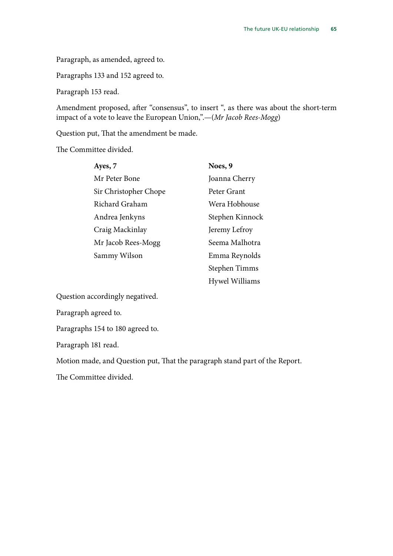Paragraph, as amended, agreed to.

Paragraphs 133 and 152 agreed to.

Paragraph 153 read.

Amendment proposed, after "consensus", to insert ", as there was about the short-term impact of a vote to leave the European Union,".—(*Mr Jacob Rees-Mogg*)

Question put, That the amendment be made.

The Committee divided.

| Ayes, 7               | Noes, 9         |
|-----------------------|-----------------|
| Mr Peter Bone         | Joanna Cherry   |
| Sir Christopher Chope | Peter Grant     |
| Richard Graham        | Wera Hobhouse   |
| Andrea Jenkyns        | Stephen Kinnock |
| Craig Mackinlay       | Jeremy Lefroy   |
| Mr Jacob Rees-Mogg    | Seema Malhotra  |
| Sammy Wilson          | Emma Reynolds   |
|                       | Stephen Timms   |
|                       | Hywel Williams  |

Question accordingly negatived.

Paragraph agreed to.

Paragraphs 154 to 180 agreed to.

Paragraph 181 read.

Motion made, and Question put, That the paragraph stand part of the Report.

The Committee divided.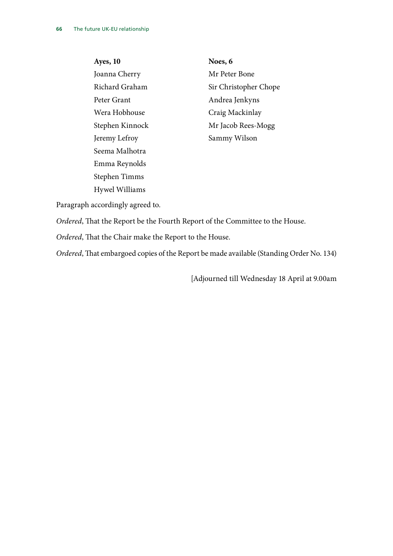**Ayes, 10** Joanna Cherry Richard Graham Peter Grant Wera Hobhouse Stephen Kinnock Jeremy Lefroy Seema Malhotra Emma Reynolds Stephen Timms Hywel Williams

**Noes, 6** Mr Peter Bone Sir Christopher Chope Andrea Jenkyns Craig Mackinlay Mr Jacob Rees-Mogg Sammy Wilson

Paragraph accordingly agreed to.

*Ordered*, That the Report be the Fourth Report of the Committee to the House.

*Ordered*, That the Chair make the Report to the House.

*Ordered*, That embargoed copies of the Report be made available (Standing Order No. 134)

[Adjourned till Wednesday 18 April at 9.00am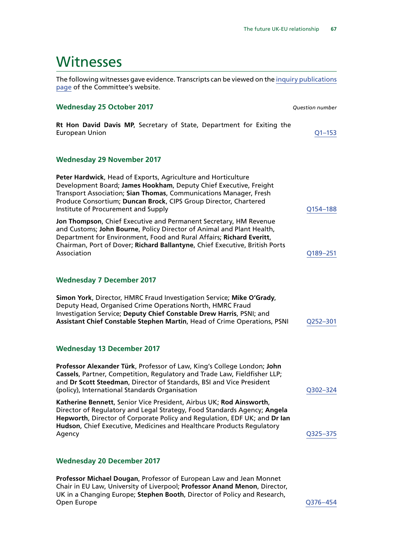## Witnesses

The following witnesses gave evidence. Transcripts can be viewed on the [inquiry publications](http://www.parliament.uk/business/committees/committees-a-z/commons-select/exiting-the-european-union-committee/inquiries/parliament-2017/progress-uk-negotiations-eu-withdrawal-17-19/publications/) [page](http://www.parliament.uk/business/committees/committees-a-z/commons-select/exiting-the-european-union-committee/inquiries/parliament-2017/progress-uk-negotiations-eu-withdrawal-17-19/publications/) of the Committee's website.

#### **Wednesday 25 October 2017** *Question number*

**Rt Hon David Davis MP**, Secretary of State, Department for Exiting the European Union [Q1–153](http://data.parliament.uk/writtenevidence/committeeevidence.svc/evidencedocument/exiting-the-european-union-committee/the-progress-of-the-uks-negotiations-on-eu-withdrawal/oral/72017.html)

#### **Wednesday 29 November 2017**

| Peter Hardwick, Head of Exports, Agriculture and Horticulture<br>Development Board; James Hookham, Deputy Chief Executive, Freight<br>Transport Association; Sian Thomas, Communications Manager, Fresh<br>Produce Consortium; Duncan Brock, CIPS Group Director, Chartered<br>Institute of Procurement and Supply | Q154-188 |
|--------------------------------------------------------------------------------------------------------------------------------------------------------------------------------------------------------------------------------------------------------------------------------------------------------------------|----------|
| Jon Thompson, Chief Executive and Permanent Secretary, HM Revenue<br>and Customs; John Bourne, Policy Director of Animal and Plant Health,<br>Department for Environment, Food and Rural Affairs; Richard Everitt,<br>Chairman, Port of Dover; Richard Ballantyne, Chief Executive, British Ports<br>Association   | Q189-251 |
| <b>Wednesday 7 December 2017</b>                                                                                                                                                                                                                                                                                   |          |
| Simon York, Director, HMRC Fraud Investigation Service; Mike O'Grady,<br>Deputy Head, Organised Crime Operations North, HMRC Fraud<br>Investigation Service; Deputy Chief Constable Drew Harris, PSNI; and<br>Assistant Chief Constable Stephen Martin, Head of Crime Operations, PSNI                             | Q252-301 |
| <b>Wednesday 13 December 2017</b>                                                                                                                                                                                                                                                                                  |          |
| Professor Alexander Türk, Professor of Law, King's College London; John<br>Cassels, Partner, Competition, Regulatory and Trade Law, Fieldfisher LLP;<br>and Dr Scott Steedman, Director of Standards, BSI and Vice President<br>(policy), International Standards Organisation                                     | Q302-324 |
| Katherine Bennett, Senior Vice President, Airbus UK; Rod Ainsworth,<br>Director of Regulatory and Legal Strategy, Food Standards Agency; Angela<br>Hepworth, Director of Corporate Policy and Regulation, EDF UK; and Dr Ian<br>Hudson, Chief Executive, Medicines and Healthcare Products Regulatory<br>Agency    | Q325-375 |
| <b>Wednesday 20 December 2017</b>                                                                                                                                                                                                                                                                                  |          |

**Professor Michael Dougan**, Professor of European Law and Jean Monnet Chair in EU Law, University of Liverpool; **Professor Anand Menon**, Director, UK in a Changing Europe; **Stephen Booth**, Director of Policy and Research, Open Europe [Q376–454](http://data.parliament.uk/writtenevidence/committeeevidence.svc/evidencedocument/exiting-the-european-union-committee/the-progress-of-the-uks-negotiations-on-eu-withdrawal/oral/76157.html#Panel1)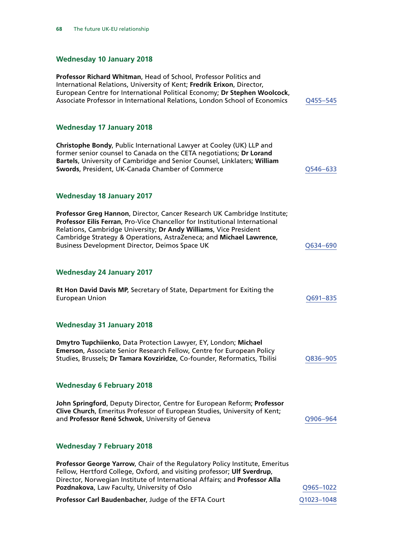## **Wednesday 10 January 2018**

| Professor Richard Whitman, Head of School, Professor Politics and<br>International Relations, University of Kent; Fredrik Erixon, Director,<br>European Centre for International Political Economy; Dr Stephen Woolcock,<br>Associate Professor in International Relations, London School of Economics                                                       | Q455-545   |
|--------------------------------------------------------------------------------------------------------------------------------------------------------------------------------------------------------------------------------------------------------------------------------------------------------------------------------------------------------------|------------|
| <b>Wednesday 17 January 2018</b>                                                                                                                                                                                                                                                                                                                             |            |
| Christophe Bondy, Public International Lawyer at Cooley (UK) LLP and<br>former senior counsel to Canada on the CETA negotiations; Dr Lorand<br>Bartels, University of Cambridge and Senior Counsel, Linklaters; William<br>Swords, President, UK-Canada Chamber of Commerce                                                                                  | Q546-633   |
| <b>Wednesday 18 January 2017</b>                                                                                                                                                                                                                                                                                                                             |            |
| Professor Greg Hannon, Director, Cancer Research UK Cambridge Institute;<br>Professor Eilís Ferran, Pro-Vice Chancellor for Institutional International<br>Relations, Cambridge University; Dr Andy Williams, Vice President<br>Cambridge Strategy & Operations, AstraZeneca; and Michael Lawrence,<br><b>Business Development Director, Deimos Space UK</b> | Q634-690   |
| <b>Wednesday 24 January 2017</b>                                                                                                                                                                                                                                                                                                                             |            |
| Rt Hon David Davis MP, Secretary of State, Department for Exiting the<br><b>European Union</b>                                                                                                                                                                                                                                                               | Q691-835   |
| <b>Wednesday 31 January 2018</b>                                                                                                                                                                                                                                                                                                                             |            |
| Dmytro Tupchiienko, Data Protection Lawyer, EY, London; Michael<br>Emerson, Associate Senior Research Fellow, Centre for European Policy<br>Studies, Brussels; Dr Tamara Kovziridze, Co-founder, Reformatics, Tbilisi                                                                                                                                        | Q836-905   |
| <b>Wednesday 6 February 2018</b>                                                                                                                                                                                                                                                                                                                             |            |
| John Springford, Deputy Director, Centre for European Reform; Professor<br>Clive Church, Emeritus Professor of European Studies, University of Kent;<br>and Professor René Schwok, University of Geneva                                                                                                                                                      | Q906-964   |
| <b>Wednesday 7 February 2018</b>                                                                                                                                                                                                                                                                                                                             |            |
| Professor George Yarrow, Chair of the Regulatory Policy Institute, Emeritus<br>Fellow, Hertford College, Oxford, and visiting professor; Ulf Sverdrup,<br>Director, Norwegian Institute of International Affairs; and Professor Alla<br>Pozdnakova, Law Faculty, University of Oslo                                                                          | Q965-1022  |
| Professor Carl Baudenbacher, Judge of the EFTA Court                                                                                                                                                                                                                                                                                                         | Q1023-1048 |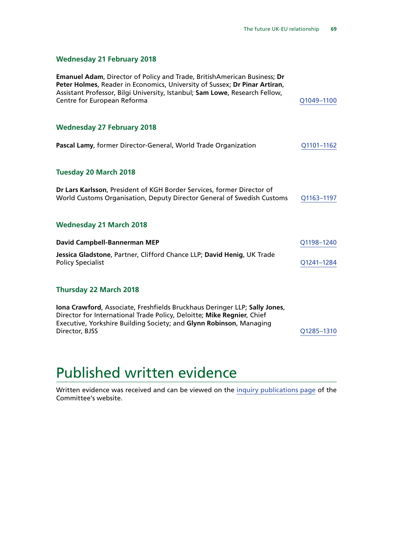## **Wednesday 21 February 2018**

| <b>Emanuel Adam, Director of Policy and Trade, BritishAmerican Business; Dr</b><br>Peter Holmes, Reader in Economics, University of Sussex; Dr Pinar Artiran,<br>Assistant Professor, Bilgi University, Istanbul; Sam Lowe, Research Fellow,<br>Centre for European Reforma | Q1049-1100 |
|-----------------------------------------------------------------------------------------------------------------------------------------------------------------------------------------------------------------------------------------------------------------------------|------------|
| <b>Wednesday 27 February 2018</b>                                                                                                                                                                                                                                           |            |
| Pascal Lamy, former Director-General, World Trade Organization                                                                                                                                                                                                              | Q1101-1162 |
| <b>Tuesday 20 March 2018</b>                                                                                                                                                                                                                                                |            |
| Dr Lars Karlsson, President of KGH Border Services, former Director of<br>World Customs Organisation, Deputy Director General of Swedish Customs                                                                                                                            | Q1163-1197 |
| <b>Wednesday 21 March 2018</b>                                                                                                                                                                                                                                              |            |
| David Campbell-Bannerman MEP                                                                                                                                                                                                                                                | Q1198-1240 |
| Jessica Gladstone, Partner, Clifford Chance LLP; David Henig, UK Trade<br><b>Policy Specialist</b>                                                                                                                                                                          | Q1241-1284 |
| <b>Thursday 22 March 2018</b>                                                                                                                                                                                                                                               |            |
| Iona Crawford, Associate, Freshfields Bruckhaus Deringer LLP; Sally Jones,<br>Director for International Trade Policy, Deloitte; Mike Regnier, Chief<br>Executive, Yorkshire Building Society; and Glynn Robinson, Managing<br>Director, BJSS                               | Q1285-1310 |

## Published written evidence

Written evidence was received and can be viewed on the [inquiry publications page](https://www.parliament.uk/business/committees/committees-a-z/commons-select/exiting-the-european-union-committee/inquiries/parliament-2017/progress-uk-negotiations-eu-withdrawal-17-19/publications/) of the Committee's website.